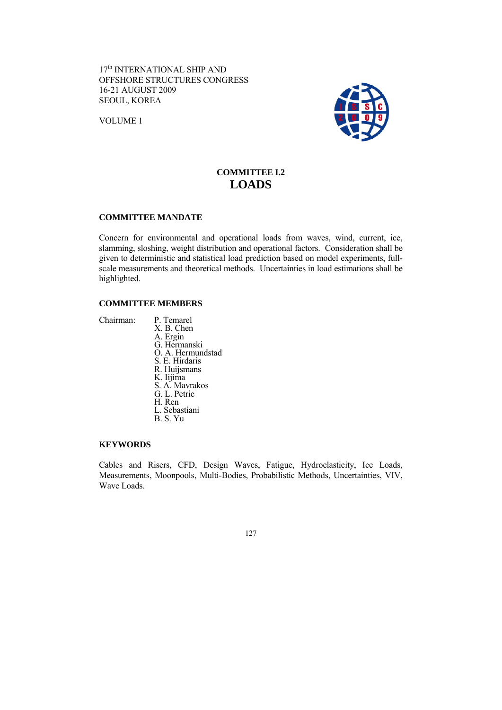17<sup>th</sup> INTERNATIONAL SHIP AND OFFSHORE STRUCTURES CONGRESS 16-21 AUGUST 2009 SEOUL, KOREA

VOLUME 1



# **COMMITTEE I.2 LOADS**

# **COMMITTEE MANDATE**

Concern for environmental and operational loads from waves, wind, current, ice, slamming, sloshing, weight distribution and operational factors. Consideration shall be given to deterministic and statistical load prediction based on model experiments, fullscale measurements and theoretical methods. Uncertainties in load estimations shall be highlighted.

# **COMMITTEE MEMBERS**

Chairman: P. Temarel X. B. Chen A. Ergin G. Hermanski O. A. Hermundstad S. E. Hirdaris R. Huijsmans K. Iijima S. A. Mavrakos G. L. Petrie H. Ren L. Sebastiani B. S. Yu

#### **KEYWORDS**

Cables and Risers, CFD, Design Waves, Fatigue, Hydroelasticity, Ice Loads, Measurements, Moonpools, Multi-Bodies, Probabilistic Methods, Uncertainties, VIV, Wave Loads.

127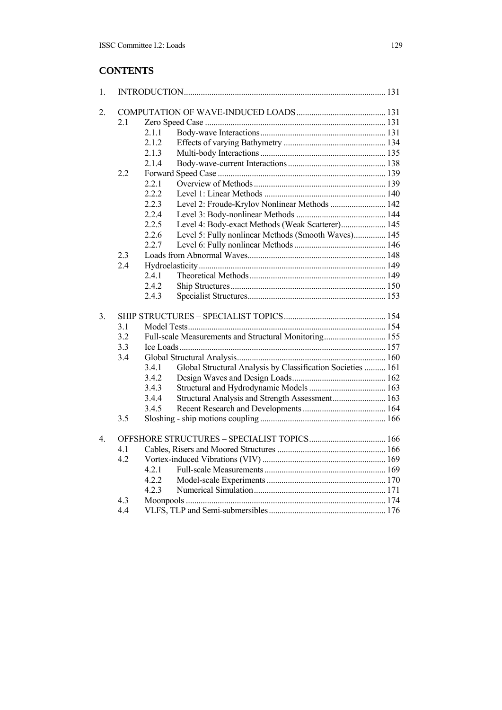# **CONTENTS**

| 1.               |     |       |                                                             |  |  |  |  |  |
|------------------|-----|-------|-------------------------------------------------------------|--|--|--|--|--|
| 2.               |     |       |                                                             |  |  |  |  |  |
|                  | 2.1 |       |                                                             |  |  |  |  |  |
|                  |     | 2.1.1 |                                                             |  |  |  |  |  |
|                  |     | 2.1.2 |                                                             |  |  |  |  |  |
|                  |     | 2.1.3 |                                                             |  |  |  |  |  |
|                  |     | 2.1.4 |                                                             |  |  |  |  |  |
|                  | 2.2 |       |                                                             |  |  |  |  |  |
|                  |     | 2.2.1 |                                                             |  |  |  |  |  |
|                  |     | 2.2.2 |                                                             |  |  |  |  |  |
|                  |     | 2.2.3 | Level 2: Froude-Krylov Nonlinear Methods  142               |  |  |  |  |  |
|                  |     | 2.2.4 |                                                             |  |  |  |  |  |
|                  |     | 2.2.5 | Level 4: Body-exact Methods (Weak Scatterer) 145            |  |  |  |  |  |
|                  |     | 2.2.6 | Level 5: Fully nonlinear Methods (Smooth Waves) 145         |  |  |  |  |  |
|                  |     | 2.2.7 |                                                             |  |  |  |  |  |
|                  | 2.3 |       |                                                             |  |  |  |  |  |
|                  | 2.4 |       |                                                             |  |  |  |  |  |
|                  |     | 2.4.1 |                                                             |  |  |  |  |  |
|                  |     | 2.4.2 |                                                             |  |  |  |  |  |
|                  |     | 2.4.3 |                                                             |  |  |  |  |  |
|                  |     |       |                                                             |  |  |  |  |  |
| 3 <sub>1</sub>   |     |       |                                                             |  |  |  |  |  |
|                  | 3.1 |       |                                                             |  |  |  |  |  |
|                  | 3.2 |       | Full-scale Measurements and Structural Monitoring 155       |  |  |  |  |  |
|                  | 3.3 |       |                                                             |  |  |  |  |  |
|                  | 3.4 |       |                                                             |  |  |  |  |  |
|                  |     | 3.4.1 | Global Structural Analysis by Classification Societies  161 |  |  |  |  |  |
|                  |     | 3.4.2 |                                                             |  |  |  |  |  |
|                  |     | 3.4.3 |                                                             |  |  |  |  |  |
|                  |     | 3.4.4 | Structural Analysis and Strength Assessment 163             |  |  |  |  |  |
|                  |     | 3.4.5 |                                                             |  |  |  |  |  |
|                  | 3.5 |       |                                                             |  |  |  |  |  |
| $\overline{4}$ . |     |       |                                                             |  |  |  |  |  |
|                  | 4.1 |       |                                                             |  |  |  |  |  |
|                  | 4.2 |       |                                                             |  |  |  |  |  |
|                  |     | 4.2.1 |                                                             |  |  |  |  |  |
|                  |     | 4.2.2 |                                                             |  |  |  |  |  |
|                  |     | 4.2.3 |                                                             |  |  |  |  |  |
|                  | 4.3 |       |                                                             |  |  |  |  |  |
|                  | 4.4 |       |                                                             |  |  |  |  |  |
|                  |     |       |                                                             |  |  |  |  |  |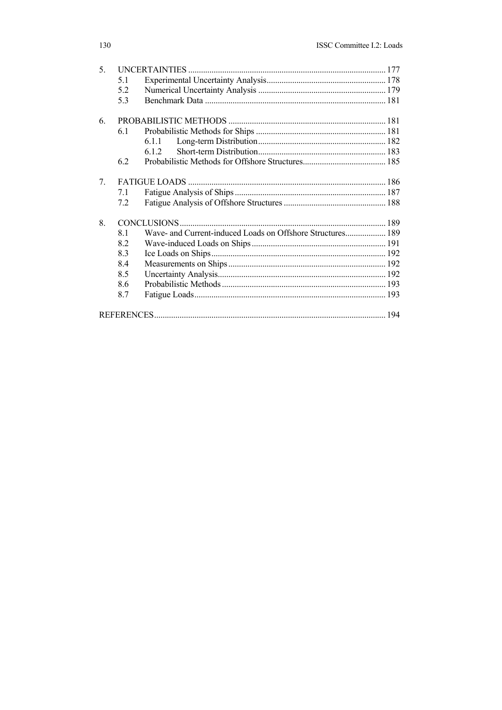| 5 <sub>1</sub> |     |                                                            |  |  |  |  |
|----------------|-----|------------------------------------------------------------|--|--|--|--|
|                | 5.1 |                                                            |  |  |  |  |
|                | 5.2 |                                                            |  |  |  |  |
|                | 5.3 |                                                            |  |  |  |  |
| 6.             |     |                                                            |  |  |  |  |
|                | 6.1 |                                                            |  |  |  |  |
|                |     | 6.1.1                                                      |  |  |  |  |
|                |     | 6 1 2                                                      |  |  |  |  |
|                | 6.2 |                                                            |  |  |  |  |
| 7.             |     |                                                            |  |  |  |  |
|                | 7.1 |                                                            |  |  |  |  |
|                | 7.2 |                                                            |  |  |  |  |
| 8.             |     |                                                            |  |  |  |  |
|                | 8.1 | Wave- and Current-induced Loads on Offshore Structures 189 |  |  |  |  |
|                | 8.2 |                                                            |  |  |  |  |
|                | 8.3 |                                                            |  |  |  |  |
|                | 8.4 |                                                            |  |  |  |  |
|                | 8.5 |                                                            |  |  |  |  |
|                | 8.6 |                                                            |  |  |  |  |
|                | 8.7 |                                                            |  |  |  |  |
|                |     |                                                            |  |  |  |  |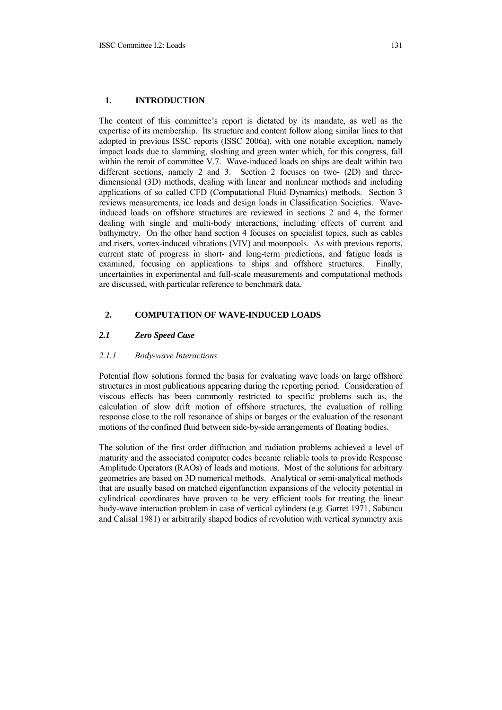# **1. INTRODUCTION**

The content of this committee's report is dictated by its mandate, as well as the expertise of its membership. Its structure and content follow along similar lines to that adopted in previous ISSC reports (ISSC 2006a), with one notable exception, namely impact loads due to slamming, sloshing and green water which, for this congress, fall within the remit of committee V.7. Wave-induced loads on ships are dealt within two different sections, namely 2 and 3. Section 2 focuses on two- (2D) and threedimensional (3D) methods, dealing with linear and nonlinear methods and including applications of so called CFD (Computational Fluid Dynamics) methods. Section 3 reviews measurements, ice loads and design loads in Classification Societies. Waveinduced loads on offshore structures are reviewed in sections 2 and 4, the former dealing with single and multi-body interactions, including effects of current and bathymetry. On the other hand section 4 focuses on specialist topics, such as cables and risers, vortex-induced vibrations (VIV) and moonpools. As with previous reports, current state of progress in short- and long-term predictions, and fatigue loads is examined, focusing on applications to ships and offshore structures. Finally, uncertainties in experimental and full-scale measurements and computational methods are discussed, with particular reference to benchmark data.

## **2. COMPUTATION OF WAVE-INDUCED LOADS**

## *2.1 Zero Speed Case*

#### *2.1.1 Body-wave Interactions*

Potential flow solutions formed the basis for evaluating wave loads on large offshore structures in most publications appearing during the reporting period. Consideration of viscous effects has been commonly restricted to specific problems such as, the calculation of slow drift motion of offshore structures, the evaluation of rolling response close to the roll resonance of ships or barges or the evaluation of the resonant motions of the confined fluid between side-by-side arrangements of floating bodies.

The solution of the first order diffraction and radiation problems achieved a level of maturity and the associated computer codes became reliable tools to provide Response Amplitude Operators (RAOs) of loads and motions. Most of the solutions for arbitrary geometries are based on 3D numerical methods. Analytical or semi-analytical methods that are usually based on matched eigenfunction expansions of the velocity potential in cylindrical coordinates have proven to be very efficient tools for treating the linear body-wave interaction problem in case of vertical cylinders (e.g. Garret 1971, Sabuncu and Calisal 1981) or arbitrarily shaped bodies of revolution with vertical symmetry axis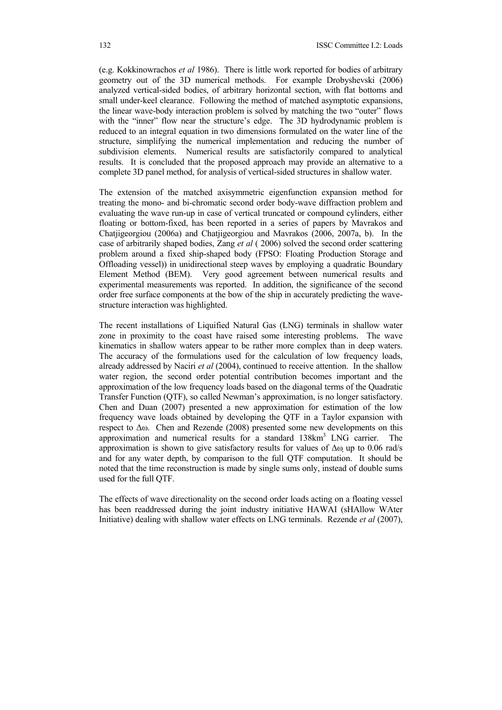(e.g. Kokkinowrachos *et al* 1986). There is little work reported for bodies of arbitrary geometry out of the 3D numerical methods. For example Drobyshevski (2006) analyzed vertical-sided bodies, of arbitrary horizontal section, with flat bottoms and small under-keel clearance. Following the method of matched asymptotic expansions, the linear wave-body interaction problem is solved by matching the two "outer" flows with the "inner" flow near the structure's edge. The 3D hydrodynamic problem is reduced to an integral equation in two dimensions formulated on the water line of the structure, simplifying the numerical implementation and reducing the number of subdivision elements. Numerical results are satisfactorily compared to analytical results. It is concluded that the proposed approach may provide an alternative to a complete 3D panel method, for analysis of vertical-sided structures in shallow water.

The extension of the matched axisymmetric eigenfunction expansion method for treating the mono- and bi-chromatic second order body-wave diffraction problem and evaluating the wave run-up in case of vertical truncated or compound cylinders, either floating or bottom-fixed, has been reported in a series of papers by Mavrakos and Chatjigeorgiou (2006a) and Chatjigeorgiou and Mavrakos (2006, 2007a, b). In the case of arbitrarily shaped bodies, Zang *et al* ( 2006) solved the second order scattering problem around a fixed ship-shaped body (FPSO: Floating Production Storage and Offloading vessel)) in unidirectional steep waves by employing a quadratic Boundary Element Method (BEM). Very good agreement between numerical results and experimental measurements was reported. In addition, the significance of the second order free surface components at the bow of the ship in accurately predicting the wavestructure interaction was highlighted.

The recent installations of Liquified Natural Gas (LNG) terminals in shallow water zone in proximity to the coast have raised some interesting problems. The wave kinematics in shallow waters appear to be rather more complex than in deep waters. The accuracy of the formulations used for the calculation of low frequency loads, already addressed by Naciri *et al* (2004), continued to receive attention. In the shallow water region, the second order potential contribution becomes important and the approximation of the low frequency loads based on the diagonal terms of the Quadratic Transfer Function (QTF), so called Newman's approximation, is no longer satisfactory. Chen and Duan (2007) presented a new approximation for estimation of the low frequency wave loads obtained by developing the QTF in a Taylor expansion with respect to  $\Delta\omega$ . Chen and Rezende (2008) presented some new developments on this approximation and numerical results for a standard 138km<sup>3</sup> LNG carrier. The approximation is shown to give satisfactory results for values of Δω up to 0.06 rad/s and for any water depth, by comparison to the full QTF computation. It should be noted that the time reconstruction is made by single sums only, instead of double sums used for the full QTF.

The effects of wave directionality on the second order loads acting on a floating vessel has been readdressed during the joint industry initiative HAWAI (sHAllow WAter Initiative) dealing with shallow water effects on LNG terminals. Rezende *et al* (2007),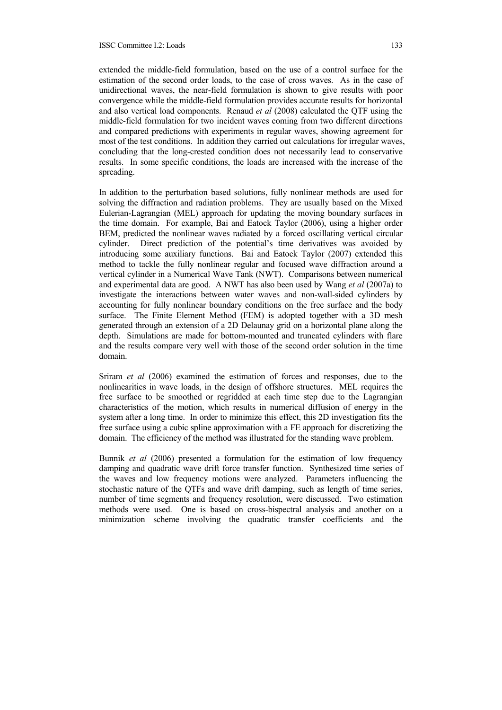extended the middle-field formulation, based on the use of a control surface for the estimation of the second order loads, to the case of cross waves. As in the case of unidirectional waves, the near-field formulation is shown to give results with poor convergence while the middle-field formulation provides accurate results for horizontal and also vertical load components. Renaud *et al* (2008) calculated the QTF using the middle-field formulation for two incident waves coming from two different directions and compared predictions with experiments in regular waves, showing agreement for most of the test conditions. In addition they carried out calculations for irregular waves, concluding that the long-crested condition does not necessarily lead to conservative results. In some specific conditions, the loads are increased with the increase of the spreading.

In addition to the perturbation based solutions, fully nonlinear methods are used for solving the diffraction and radiation problems. They are usually based on the Mixed Eulerian-Lagrangian (MEL) approach for updating the moving boundary surfaces in the time domain. For example, Bai and Eatock Taylor (2006), using a higher order BEM, predicted the nonlinear waves radiated by a forced oscillating vertical circular cylinder. Direct prediction of the potential's time derivatives was avoided by introducing some auxiliary functions. Bai and Eatock Taylor (2007) extended this method to tackle the fully nonlinear regular and focused wave diffraction around a vertical cylinder in a Numerical Wave Tank (NWT). Comparisons between numerical and experimental data are good. A NWT has also been used by Wang *et al* (2007a) to investigate the interactions between water waves and non-wall-sided cylinders by accounting for fully nonlinear boundary conditions on the free surface and the body surface. The Finite Element Method (FEM) is adopted together with a 3D mesh generated through an extension of a 2D Delaunay grid on a horizontal plane along the depth. Simulations are made for bottom-mounted and truncated cylinders with flare and the results compare very well with those of the second order solution in the time domain.

Sriram *et al* (2006) examined the estimation of forces and responses, due to the nonlinearities in wave loads, in the design of offshore structures. MEL requires the free surface to be smoothed or regridded at each time step due to the Lagrangian characteristics of the motion, which results in numerical diffusion of energy in the system after a long time. In order to minimize this effect, this 2D investigation fits the free surface using a cubic spline approximation with a FE approach for discretizing the domain. The efficiency of the method was illustrated for the standing wave problem.

Bunnik *et al* (2006) presented a formulation for the estimation of low frequency damping and quadratic wave drift force transfer function. Synthesized time series of the waves and low frequency motions were analyzed. Parameters influencing the stochastic nature of the QTFs and wave drift damping, such as length of time series, number of time segments and frequency resolution, were discussed. Two estimation methods were used. One is based on cross-bispectral analysis and another on a minimization scheme involving the quadratic transfer coefficients and the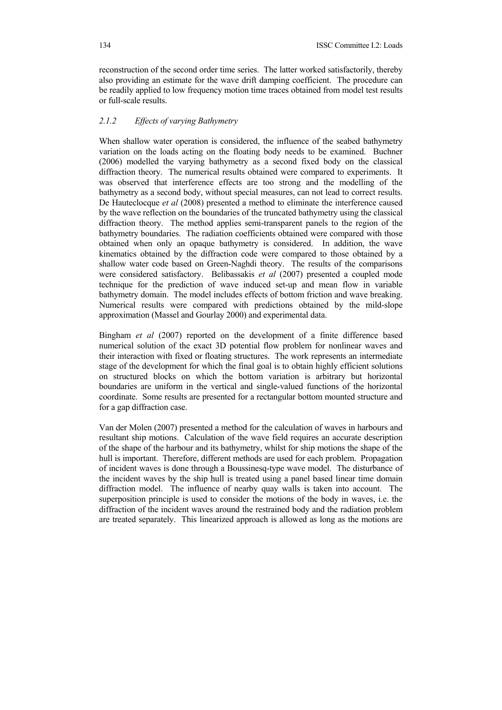reconstruction of the second order time series. The latter worked satisfactorily, thereby also providing an estimate for the wave drift damping coefficient. The procedure can be readily applied to low frequency motion time traces obtained from model test results or full-scale results.

# *2.1.2 Effects of varying Bathymetry*

When shallow water operation is considered, the influence of the seabed bathymetry variation on the loads acting on the floating body needs to be examined. Buchner (2006) modelled the varying bathymetry as a second fixed body on the classical diffraction theory. The numerical results obtained were compared to experiments. It was observed that interference effects are too strong and the modelling of the bathymetry as a second body, without special measures, can not lead to correct results. De Hauteclocque *et al* (2008) presented a method to eliminate the interference caused by the wave reflection on the boundaries of the truncated bathymetry using the classical diffraction theory. The method applies semi-transparent panels to the region of the bathymetry boundaries. The radiation coefficients obtained were compared with those obtained when only an opaque bathymetry is considered. In addition, the wave kinematics obtained by the diffraction code were compared to those obtained by a shallow water code based on Green-Naghdi theory. The results of the comparisons were considered satisfactory. Belibassakis *et al* (2007) presented a coupled mode technique for the prediction of wave induced set-up and mean flow in variable bathymetry domain. The model includes effects of bottom friction and wave breaking. Numerical results were compared with predictions obtained by the mild-slope approximation (Massel and Gourlay 2000) and experimental data.

Bingham *et al* (2007) reported on the development of a finite difference based numerical solution of the exact 3D potential flow problem for nonlinear waves and their interaction with fixed or floating structures. The work represents an intermediate stage of the development for which the final goal is to obtain highly efficient solutions on structured blocks on which the bottom variation is arbitrary but horizontal boundaries are uniform in the vertical and single-valued functions of the horizontal coordinate. Some results are presented for a rectangular bottom mounted structure and for a gap diffraction case.

Van der Molen (2007) presented a method for the calculation of waves in harbours and resultant ship motions. Calculation of the wave field requires an accurate description of the shape of the harbour and its bathymetry, whilst for ship motions the shape of the hull is important. Therefore, different methods are used for each problem. Propagation of incident waves is done through a Boussinesq-type wave model. The disturbance of the incident waves by the ship hull is treated using a panel based linear time domain diffraction model. The influence of nearby quay walls is taken into account. The superposition principle is used to consider the motions of the body in waves, i.e. the diffraction of the incident waves around the restrained body and the radiation problem are treated separately. This linearized approach is allowed as long as the motions are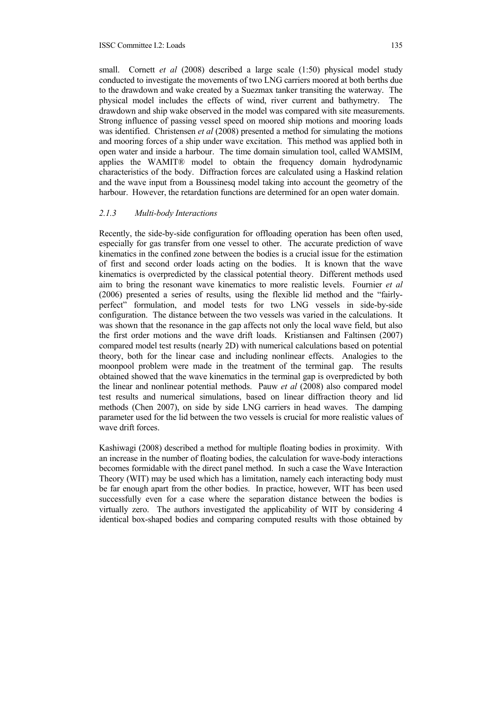small. Cornett *et al* (2008) described a large scale (1:50) physical model study conducted to investigate the movements of two LNG carriers moored at both berths due to the drawdown and wake created by a Suezmax tanker transiting the waterway. The physical model includes the effects of wind, river current and bathymetry. The drawdown and ship wake observed in the model was compared with site measurements. Strong influence of passing vessel speed on moored ship motions and mooring loads was identified. Christensen *et al* (2008) presented a method for simulating the motions and mooring forces of a ship under wave excitation. This method was applied both in open water and inside a harbour. The time domain simulation tool, called WAMSIM, applies the WAMIT® model to obtain the frequency domain hydrodynamic characteristics of the body. Diffraction forces are calculated using a Haskind relation and the wave input from a Boussinesq model taking into account the geometry of the harbour. However, the retardation functions are determined for an open water domain.

#### *2.1.3 Multi-body Interactions*

Recently, the side-by-side configuration for offloading operation has been often used, especially for gas transfer from one vessel to other. The accurate prediction of wave kinematics in the confined zone between the bodies is a crucial issue for the estimation of first and second order loads acting on the bodies. It is known that the wave kinematics is overpredicted by the classical potential theory. Different methods used aim to bring the resonant wave kinematics to more realistic levels. Fournier *et al* (2006) presented a series of results, using the flexible lid method and the "fairlyperfect" formulation, and model tests for two LNG vessels in side-by-side configuration. The distance between the two vessels was varied in the calculations. It was shown that the resonance in the gap affects not only the local wave field, but also the first order motions and the wave drift loads. Kristiansen and Faltinsen (2007) compared model test results (nearly 2D) with numerical calculations based on potential theory, both for the linear case and including nonlinear effects. Analogies to the moonpool problem were made in the treatment of the terminal gap. The results obtained showed that the wave kinematics in the terminal gap is overpredicted by both the linear and nonlinear potential methods. Pauw *et al* (2008) also compared model test results and numerical simulations, based on linear diffraction theory and lid methods (Chen 2007), on side by side LNG carriers in head waves. The damping parameter used for the lid between the two vessels is crucial for more realistic values of wave drift forces.

Kashiwagi (2008) described a method for multiple floating bodies in proximity. With an increase in the number of floating bodies, the calculation for wave-body interactions becomes formidable with the direct panel method. In such a case the Wave Interaction Theory (WIT) may be used which has a limitation, namely each interacting body must be far enough apart from the other bodies. In practice, however, WIT has been used successfully even for a case where the separation distance between the bodies is virtually zero. The authors investigated the applicability of WIT by considering 4 identical box-shaped bodies and comparing computed results with those obtained by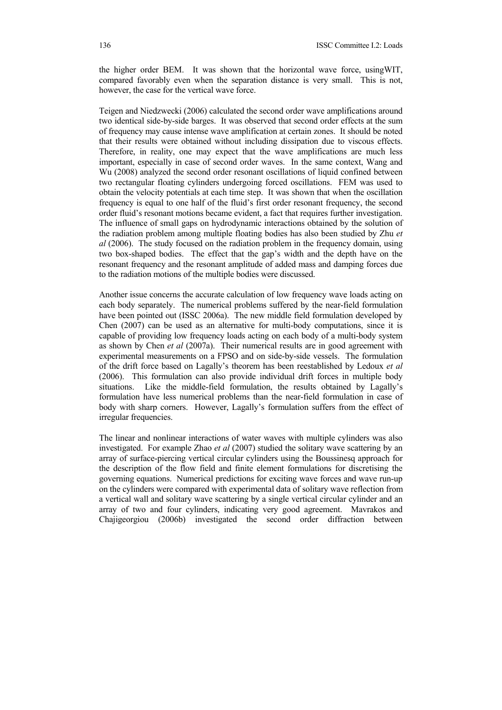the higher order BEM. It was shown that the horizontal wave force, usingWIT, compared favorably even when the separation distance is very small. This is not, however, the case for the vertical wave force.

Teigen and Niedzwecki (2006) calculated the second order wave amplifications around two identical side-by-side barges. It was observed that second order effects at the sum of frequency may cause intense wave amplification at certain zones. It should be noted that their results were obtained without including dissipation due to viscous effects. Therefore, in reality, one may expect that the wave amplifications are much less important, especially in case of second order waves. In the same context, Wang and Wu (2008) analyzed the second order resonant oscillations of liquid confined between two rectangular floating cylinders undergoing forced oscillations. FEM was used to obtain the velocity potentials at each time step. It was shown that when the oscillation frequency is equal to one half of the fluid's first order resonant frequency, the second order fluid's resonant motions became evident, a fact that requires further investigation. The influence of small gaps on hydrodynamic interactions obtained by the solution of the radiation problem among multiple floating bodies has also been studied by Zhu *et al* (2006). The study focused on the radiation problem in the frequency domain, using two box-shaped bodies. The effect that the gap's width and the depth have on the resonant frequency and the resonant amplitude of added mass and damping forces due to the radiation motions of the multiple bodies were discussed.

Another issue concerns the accurate calculation of low frequency wave loads acting on each body separately. The numerical problems suffered by the near-field formulation have been pointed out (ISSC 2006a). The new middle field formulation developed by Chen (2007) can be used as an alternative for multi-body computations, since it is capable of providing low frequency loads acting on each body of a multi-body system as shown by Chen *et al* (2007a). Their numerical results are in good agreement with experimental measurements on a FPSO and on side-by-side vessels. The formulation of the drift force based on Lagally's theorem has been reestablished by Ledoux *et al* (2006). This formulation can also provide individual drift forces in multiple body situations. Like the middle-field formulation, the results obtained by Lagally's formulation have less numerical problems than the near-field formulation in case of body with sharp corners. However, Lagally's formulation suffers from the effect of irregular frequencies.

The linear and nonlinear interactions of water waves with multiple cylinders was also investigated. For example Zhao *et al* (2007) studied the solitary wave scattering by an array of surface-piercing vertical circular cylinders using the Boussinesq approach for the description of the flow field and finite element formulations for discretising the governing equations. Numerical predictions for exciting wave forces and wave run-up on the cylinders were compared with experimental data of solitary wave reflection from a vertical wall and solitary wave scattering by a single vertical circular cylinder and an array of two and four cylinders, indicating very good agreement. Mavrakos and Chajigeorgiou (2006b) investigated the second order diffraction between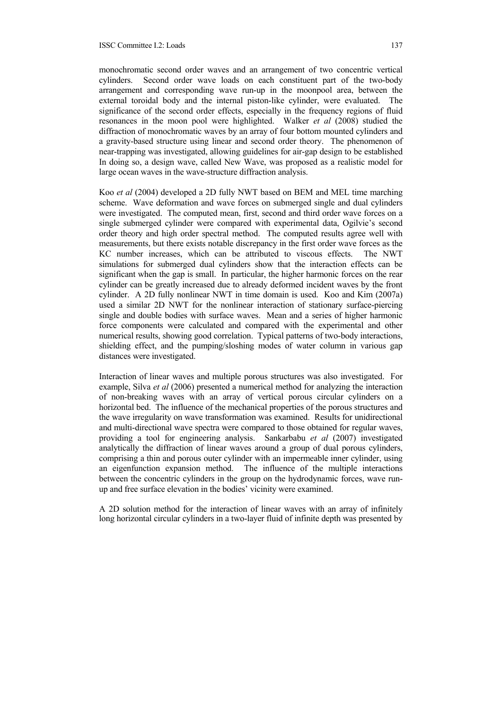monochromatic second order waves and an arrangement of two concentric vertical cylinders. Second order wave loads on each constituent part of the two-body arrangement and corresponding wave run-up in the moonpool area, between the external toroidal body and the internal piston-like cylinder, were evaluated. The significance of the second order effects, especially in the frequency regions of fluid resonances in the moon pool were highlighted. Walker *et al* (2008) studied the diffraction of monochromatic waves by an array of four bottom mounted cylinders and a gravity-based structure using linear and second order theory. The phenomenon of near-trapping was investigated, allowing guidelines for air-gap design to be established In doing so, a design wave, called New Wave, was proposed as a realistic model for large ocean waves in the wave-structure diffraction analysis.

Koo *et al* (2004) developed a 2D fully NWT based on BEM and MEL time marching scheme. Wave deformation and wave forces on submerged single and dual cylinders were investigated. The computed mean, first, second and third order wave forces on a single submerged cylinder were compared with experimental data, Ogilvie's second order theory and high order spectral method. The computed results agree well with measurements, but there exists notable discrepancy in the first order wave forces as the KC number increases, which can be attributed to viscous effects. The NWT simulations for submerged dual cylinders show that the interaction effects can be significant when the gap is small. In particular, the higher harmonic forces on the rear cylinder can be greatly increased due to already deformed incident waves by the front cylinder. A 2D fully nonlinear NWT in time domain is used. Koo and Kim (2007a) used a similar 2D NWT for the nonlinear interaction of stationary surface-piercing single and double bodies with surface waves. Mean and a series of higher harmonic force components were calculated and compared with the experimental and other numerical results, showing good correlation. Typical patterns of two-body interactions, shielding effect, and the pumping/sloshing modes of water column in various gap distances were investigated.

Interaction of linear waves and multiple porous structures was also investigated. For example, Silva *et al* (2006) presented a numerical method for analyzing the interaction of non-breaking waves with an array of vertical porous circular cylinders on a horizontal bed. The influence of the mechanical properties of the porous structures and the wave irregularity on wave transformation was examined. Results for unidirectional and multi-directional wave spectra were compared to those obtained for regular waves, providing a tool for engineering analysis. Sankarbabu *et al* (2007) investigated analytically the diffraction of linear waves around a group of dual porous cylinders, comprising a thin and porous outer cylinder with an impermeable inner cylinder, using an eigenfunction expansion method. The influence of the multiple interactions between the concentric cylinders in the group on the hydrodynamic forces, wave runup and free surface elevation in the bodies' vicinity were examined.

A 2D solution method for the interaction of linear waves with an array of infinitely long horizontal circular cylinders in a two-layer fluid of infinite depth was presented by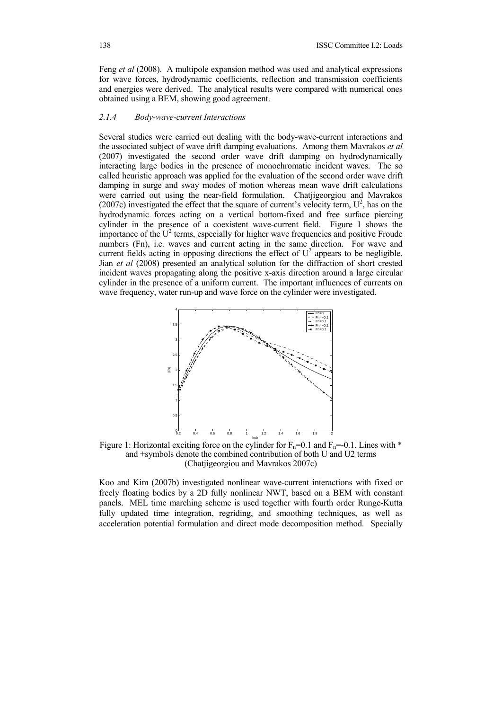Feng *et al* (2008). A multipole expansion method was used and analytical expressions for wave forces, hydrodynamic coefficients, reflection and transmission coefficients and energies were derived. The analytical results were compared with numerical ones obtained using a BEM, showing good agreement.

#### *2.1.4 Body-wave-current Interactions*

Several studies were carried out dealing with the body-wave-current interactions and the associated subject of wave drift damping evaluations. Among them Mavrakos *et al* (2007) investigated the second order wave drift damping on hydrodynamically interacting large bodies in the presence of monochromatic incident waves. The so called heuristic approach was applied for the evaluation of the second order wave drift damping in surge and sway modes of motion whereas mean wave drift calculations were carried out using the near-field formulation. Chatjigeorgiou and Mavrakos (2007c) investigated the effect that the square of current's velocity term,  $U^2$ , has on the hydrodynamic forces acting on a vertical bottom-fixed and free surface piercing cylinder in the presence of a coexistent wave-current field. Figure 1 shows the importance of the  $U^2$  terms, especially for higher wave frequencies and positive Froude numbers (Fn), i.e. waves and current acting in the same direction. For wave and current fields acting in opposing directions the effect of  $U^2$  appears to be negligible. Jian *et al* (2008) presented an analytical solution for the diffraction of short crested incident waves propagating along the positive x-axis direction around a large circular cylinder in the presence of a uniform current. The important influences of currents on wave frequency, water run-up and wave force on the cylinder were investigated.



Figure 1: Horizontal exciting force on the cylinder for  $F_n=0.1$  and  $F_n=-0.1$ . Lines with  $*$ and +symbols denote the combined contribution of both U and U2 terms (Chatjigeorgiou and Mavrakos 2007c)

Koo and Kim (2007b) investigated nonlinear wave-current interactions with fixed or freely floating bodies by a 2D fully nonlinear NWT, based on a BEM with constant panels. MEL time marching scheme is used together with fourth order Runge-Kutta fully updated time integration, regriding, and smoothing techniques, as well as acceleration potential formulation and direct mode decomposition method. Specially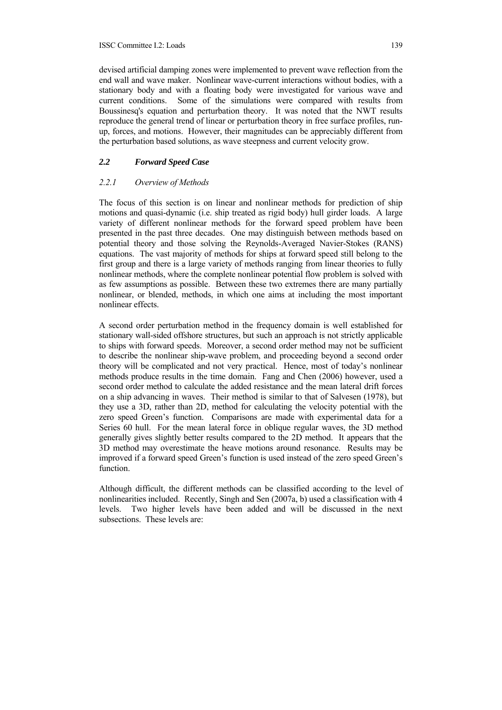#### ISSC Committee I.2: Loads 139

devised artificial damping zones were implemented to prevent wave reflection from the end wall and wave maker. Nonlinear wave-current interactions without bodies, with a stationary body and with a floating body were investigated for various wave and current conditions. Some of the simulations were compared with results from Boussinesq's equation and perturbation theory. It was noted that the NWT results reproduce the general trend of linear or perturbation theory in free surface profiles, runup, forces, and motions. However, their magnitudes can be appreciably different from the perturbation based solutions, as wave steepness and current velocity grow.

# *2.2 Forward Speed Case*

# *2.2.1 Overview of Methods*

The focus of this section is on linear and nonlinear methods for prediction of ship motions and quasi-dynamic (i.e. ship treated as rigid body) hull girder loads. A large variety of different nonlinear methods for the forward speed problem have been presented in the past three decades. One may distinguish between methods based on potential theory and those solving the Reynolds-Averaged Navier-Stokes (RANS) equations. The vast majority of methods for ships at forward speed still belong to the first group and there is a large variety of methods ranging from linear theories to fully nonlinear methods, where the complete nonlinear potential flow problem is solved with as few assumptions as possible. Between these two extremes there are many partially nonlinear, or blended, methods, in which one aims at including the most important nonlinear effects.

A second order perturbation method in the frequency domain is well established for stationary wall-sided offshore structures, but such an approach is not strictly applicable to ships with forward speeds. Moreover, a second order method may not be sufficient to describe the nonlinear ship-wave problem, and proceeding beyond a second order theory will be complicated and not very practical. Hence, most of today's nonlinear methods produce results in the time domain. Fang and Chen (2006) however, used a second order method to calculate the added resistance and the mean lateral drift forces on a ship advancing in waves. Their method is similar to that of Salvesen (1978), but they use a 3D, rather than 2D, method for calculating the velocity potential with the zero speed Green's function. Comparisons are made with experimental data for a Series 60 hull. For the mean lateral force in oblique regular waves, the 3D method generally gives slightly better results compared to the 2D method. It appears that the 3D method may overestimate the heave motions around resonance. Results may be improved if a forward speed Green's function is used instead of the zero speed Green's function.

Although difficult, the different methods can be classified according to the level of nonlinearities included. Recently, Singh and Sen (2007a, b) used a classification with 4 levels. Two higher levels have been added and will be discussed in the next subsections. These levels are: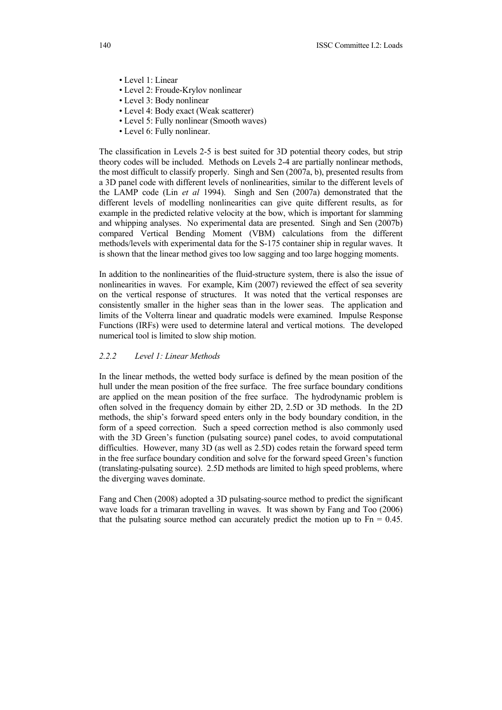- Level 1: Linear
- Level 2: Froude-Krylov nonlinear
- Level 3: Body nonlinear
- Level 4: Body exact (Weak scatterer)
- Level 5: Fully nonlinear (Smooth waves)
- Level 6: Fully nonlinear.

The classification in Levels 2-5 is best suited for 3D potential theory codes, but strip theory codes will be included. Methods on Levels 2-4 are partially nonlinear methods, the most difficult to classify properly. Singh and Sen (2007a, b), presented results from a 3D panel code with different levels of nonlinearities, similar to the different levels of the LAMP code (Lin *et al* 1994). Singh and Sen (2007a) demonstrated that the different levels of modelling nonlinearities can give quite different results, as for example in the predicted relative velocity at the bow, which is important for slamming and whipping analyses. No experimental data are presented. Singh and Sen (2007b) compared Vertical Bending Moment (VBM) calculations from the different methods/levels with experimental data for the S-175 container ship in regular waves. It is shown that the linear method gives too low sagging and too large hogging moments.

In addition to the nonlinearities of the fluid-structure system, there is also the issue of nonlinearities in waves. For example, Kim (2007) reviewed the effect of sea severity on the vertical response of structures. It was noted that the vertical responses are consistently smaller in the higher seas than in the lower seas. The application and limits of the Volterra linear and quadratic models were examined. Impulse Response Functions (IRFs) were used to determine lateral and vertical motions. The developed numerical tool is limited to slow ship motion.

# *2.2.2 Level 1: Linear Methods*

In the linear methods, the wetted body surface is defined by the mean position of the hull under the mean position of the free surface. The free surface boundary conditions are applied on the mean position of the free surface. The hydrodynamic problem is often solved in the frequency domain by either 2D, 2.5D or 3D methods. In the 2D methods, the ship's forward speed enters only in the body boundary condition, in the form of a speed correction. Such a speed correction method is also commonly used with the 3D Green's function (pulsating source) panel codes, to avoid computational difficulties. However, many 3D (as well as 2.5D) codes retain the forward speed term in the free surface boundary condition and solve for the forward speed Green's function (translating-pulsating source). 2.5D methods are limited to high speed problems, where the diverging waves dominate.

Fang and Chen (2008) adopted a 3D pulsating-source method to predict the significant wave loads for a trimaran travelling in waves. It was shown by Fang and Too (2006) that the pulsating source method can accurately predict the motion up to  $Fn = 0.45$ .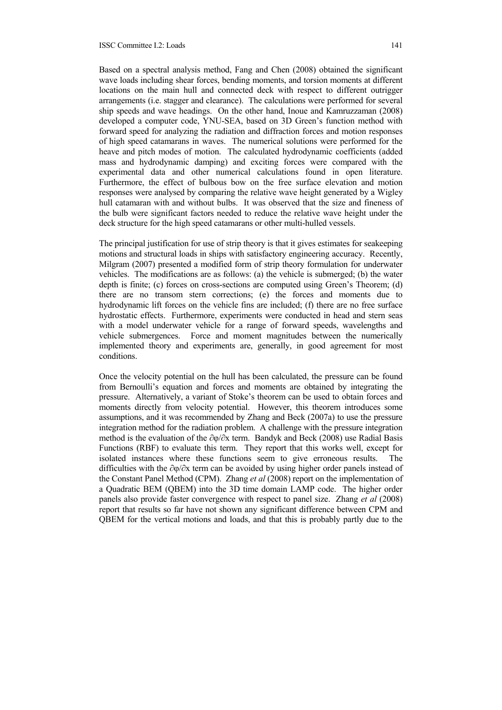#### ISSC Committee I.2: Loads 141

Based on a spectral analysis method, Fang and Chen (2008) obtained the significant wave loads including shear forces, bending moments, and torsion moments at different locations on the main hull and connected deck with respect to different outrigger arrangements (i.e. stagger and clearance). The calculations were performed for several ship speeds and wave headings. On the other hand, Inoue and Kamruzzaman (2008) developed a computer code, YNU-SEA, based on 3D Green's function method with forward speed for analyzing the radiation and diffraction forces and motion responses of high speed catamarans in waves. The numerical solutions were performed for the heave and pitch modes of motion. The calculated hydrodynamic coefficients (added mass and hydrodynamic damping) and exciting forces were compared with the experimental data and other numerical calculations found in open literature. Furthermore, the effect of bulbous bow on the free surface elevation and motion responses were analysed by comparing the relative wave height generated by a Wigley hull catamaran with and without bulbs. It was observed that the size and fineness of the bulb were significant factors needed to reduce the relative wave height under the deck structure for the high speed catamarans or other multi-hulled vessels.

The principal justification for use of strip theory is that it gives estimates for seakeeping motions and structural loads in ships with satisfactory engineering accuracy. Recently, Milgram (2007) presented a modified form of strip theory formulation for underwater vehicles. The modifications are as follows: (a) the vehicle is submerged; (b) the water depth is finite; (c) forces on cross-sections are computed using Green's Theorem; (d) there are no transom stern corrections; (e) the forces and moments due to hydrodynamic lift forces on the vehicle fins are included; (f) there are no free surface hydrostatic effects. Furthermore, experiments were conducted in head and stern seas with a model underwater vehicle for a range of forward speeds, wavelengths and vehicle submergences. Force and moment magnitudes between the numerically implemented theory and experiments are, generally, in good agreement for most conditions.

Once the velocity potential on the hull has been calculated, the pressure can be found from Bernoulli's equation and forces and moments are obtained by integrating the pressure. Alternatively, a variant of Stoke's theorem can be used to obtain forces and moments directly from velocity potential. However, this theorem introduces some assumptions, and it was recommended by Zhang and Beck (2007a) to use the pressure integration method for the radiation problem. A challenge with the pressure integration method is the evaluation of the  $\partial \varphi / \partial x$  term. Bandyk and Beck (2008) use Radial Basis Functions (RBF) to evaluate this term. They report that this works well, except for isolated instances where these functions seem to give erroneous results. The difficulties with the  $\partial \omega / \partial x$  term can be avoided by using higher order panels instead of the Constant Panel Method (CPM). Zhang *et al* (2008) report on the implementation of a Quadratic BEM (QBEM) into the 3D time domain LAMP code. The higher order panels also provide faster convergence with respect to panel size. Zhang *et al* (2008) report that results so far have not shown any significant difference between CPM and QBEM for the vertical motions and loads, and that this is probably partly due to the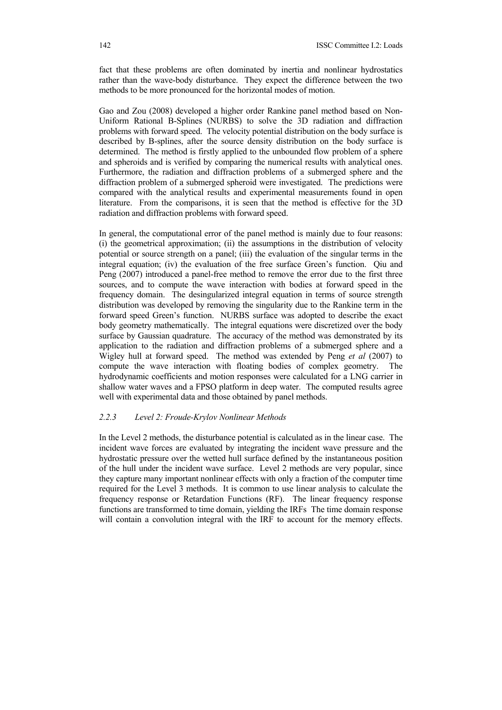fact that these problems are often dominated by inertia and nonlinear hydrostatics rather than the wave-body disturbance. They expect the difference between the two methods to be more pronounced for the horizontal modes of motion.

Gao and Zou (2008) developed a higher order Rankine panel method based on Non-Uniform Rational B-Splines (NURBS) to solve the 3D radiation and diffraction problems with forward speed. The velocity potential distribution on the body surface is described by B-splines, after the source density distribution on the body surface is determined. The method is firstly applied to the unbounded flow problem of a sphere and spheroids and is verified by comparing the numerical results with analytical ones. Furthermore, the radiation and diffraction problems of a submerged sphere and the diffraction problem of a submerged spheroid were investigated. The predictions were compared with the analytical results and experimental measurements found in open literature. From the comparisons, it is seen that the method is effective for the 3D radiation and diffraction problems with forward speed.

In general, the computational error of the panel method is mainly due to four reasons: (i) the geometrical approximation; (ii) the assumptions in the distribution of velocity potential or source strength on a panel; (iii) the evaluation of the singular terms in the integral equation; (iv) the evaluation of the free surface Green's function. Qiu and Peng (2007) introduced a panel-free method to remove the error due to the first three sources, and to compute the wave interaction with bodies at forward speed in the frequency domain. The desingularized integral equation in terms of source strength distribution was developed by removing the singularity due to the Rankine term in the forward speed Green's function. NURBS surface was adopted to describe the exact body geometry mathematically. The integral equations were discretized over the body surface by Gaussian quadrature. The accuracy of the method was demonstrated by its application to the radiation and diffraction problems of a submerged sphere and a Wigley hull at forward speed. The method was extended by Peng *et al* (2007) to compute the wave interaction with floating bodies of complex geometry. The hydrodynamic coefficients and motion responses were calculated for a LNG carrier in shallow water waves and a FPSO platform in deep water. The computed results agree well with experimental data and those obtained by panel methods.

#### *2.2.3 Level 2: Froude-Krylov Nonlinear Methods*

In the Level 2 methods, the disturbance potential is calculated as in the linear case. The incident wave forces are evaluated by integrating the incident wave pressure and the hydrostatic pressure over the wetted hull surface defined by the instantaneous position of the hull under the incident wave surface. Level 2 methods are very popular, since they capture many important nonlinear effects with only a fraction of the computer time required for the Level 3 methods. It is common to use linear analysis to calculate the frequency response or Retardation Functions (RF). The linear frequency response functions are transformed to time domain, yielding the IRFs The time domain response will contain a convolution integral with the IRF to account for the memory effects.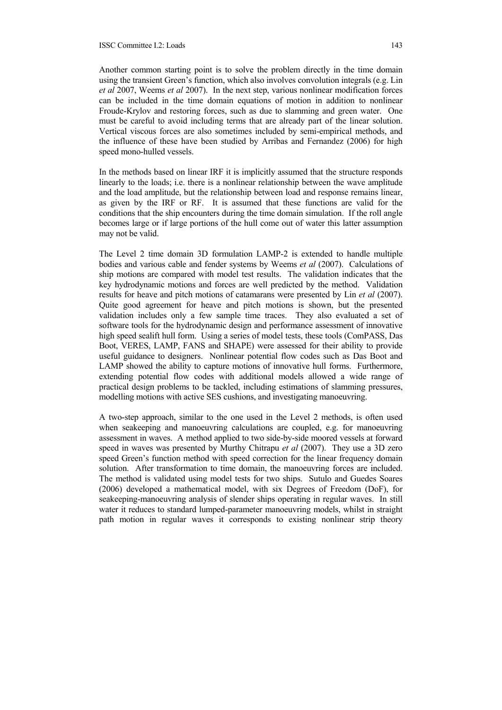Another common starting point is to solve the problem directly in the time domain using the transient Green's function, which also involves convolution integrals (e.g. Lin *et al* 2007, Weems *et al* 2007). In the next step, various nonlinear modification forces can be included in the time domain equations of motion in addition to nonlinear Froude-Krylov and restoring forces, such as due to slamming and green water. One must be careful to avoid including terms that are already part of the linear solution. Vertical viscous forces are also sometimes included by semi-empirical methods, and the influence of these have been studied by Arribas and Fernandez (2006) for high speed mono-hulled vessels.

In the methods based on linear IRF it is implicitly assumed that the structure responds linearly to the loads; i.e. there is a nonlinear relationship between the wave amplitude and the load amplitude, but the relationship between load and response remains linear, as given by the IRF or RF. It is assumed that these functions are valid for the conditions that the ship encounters during the time domain simulation. If the roll angle becomes large or if large portions of the hull come out of water this latter assumption may not be valid.

The Level 2 time domain 3D formulation LAMP-2 is extended to handle multiple bodies and various cable and fender systems by Weems *et al* (2007). Calculations of ship motions are compared with model test results. The validation indicates that the key hydrodynamic motions and forces are well predicted by the method. Validation results for heave and pitch motions of catamarans were presented by Lin *et al* (2007). Quite good agreement for heave and pitch motions is shown, but the presented validation includes only a few sample time traces. They also evaluated a set of software tools for the hydrodynamic design and performance assessment of innovative high speed sealift hull form. Using a series of model tests, these tools (ComPASS, Das Boot, VERES, LAMP, FANS and SHAPE) were assessed for their ability to provide useful guidance to designers. Nonlinear potential flow codes such as Das Boot and LAMP showed the ability to capture motions of innovative hull forms. Furthermore, extending potential flow codes with additional models allowed a wide range of practical design problems to be tackled, including estimations of slamming pressures, modelling motions with active SES cushions, and investigating manoeuvring.

A two-step approach, similar to the one used in the Level 2 methods, is often used when seakeeping and manoeuvring calculations are coupled, e.g. for manoeuvring assessment in waves. A method applied to two side-by-side moored vessels at forward speed in waves was presented by Murthy Chitrapu *et al* (2007). They use a 3D zero speed Green's function method with speed correction for the linear frequency domain solution. After transformation to time domain, the manoeuvring forces are included. The method is validated using model tests for two ships. Sutulo and Guedes Soares (2006) developed a mathematical model, with six Degrees of Freedom (DoF), for seakeeping-manoeuvring analysis of slender ships operating in regular waves. In still water it reduces to standard lumped-parameter manoeuvring models, whilst in straight path motion in regular waves it corresponds to existing nonlinear strip theory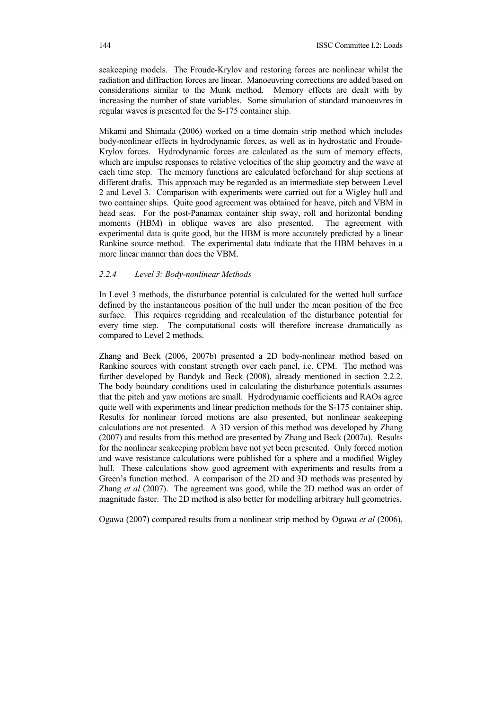seakeeping models. The Froude-Krylov and restoring forces are nonlinear whilst the radiation and diffraction forces are linear. Manoeuvring corrections are added based on considerations similar to the Munk method. Memory effects are dealt with by increasing the number of state variables. Some simulation of standard manoeuvres in regular waves is presented for the S-175 container ship.

Mikami and Shimada (2006) worked on a time domain strip method which includes body-nonlinear effects in hydrodynamic forces, as well as in hydrostatic and Froude-Krylov forces. Hydrodynamic forces are calculated as the sum of memory effects, which are impulse responses to relative velocities of the ship geometry and the wave at each time step. The memory functions are calculated beforehand for ship sections at different drafts. This approach may be regarded as an intermediate step between Level 2 and Level 3. Comparison with experiments were carried out for a Wigley hull and two container ships. Quite good agreement was obtained for heave, pitch and VBM in head seas. For the post-Panamax container ship sway, roll and horizontal bending moments (HBM) in oblique waves are also presented. The agreement with experimental data is quite good, but the HBM is more accurately predicted by a linear Rankine source method. The experimental data indicate that the HBM behaves in a more linear manner than does the VBM.

#### *2.2.4 Level 3: Body-nonlinear Methods*

In Level 3 methods, the disturbance potential is calculated for the wetted hull surface defined by the instantaneous position of the hull under the mean position of the free surface. This requires regridding and recalculation of the disturbance potential for every time step. The computational costs will therefore increase dramatically as compared to Level 2 methods.

Zhang and Beck (2006, 2007b) presented a 2D body-nonlinear method based on Rankine sources with constant strength over each panel, i.e. CPM. The method was further developed by Bandyk and Beck (2008), already mentioned in section 2.2.2. The body boundary conditions used in calculating the disturbance potentials assumes that the pitch and yaw motions are small. Hydrodynamic coefficients and RAOs agree quite well with experiments and linear prediction methods for the S-175 container ship. Results for nonlinear forced motions are also presented, but nonlinear seakeeping calculations are not presented. A 3D version of this method was developed by Zhang (2007) and results from this method are presented by Zhang and Beck (2007a). Results for the nonlinear seakeeping problem have not yet been presented. Only forced motion and wave resistance calculations were published for a sphere and a modified Wigley hull. These calculations show good agreement with experiments and results from a Green's function method. A comparison of the 2D and 3D methods was presented by Zhang *et al* (2007). The agreement was good, while the 2D method was an order of magnitude faster. The 2D method is also better for modelling arbitrary hull geometries.

Ogawa (2007) compared results from a nonlinear strip method by Ogawa *et al* (2006),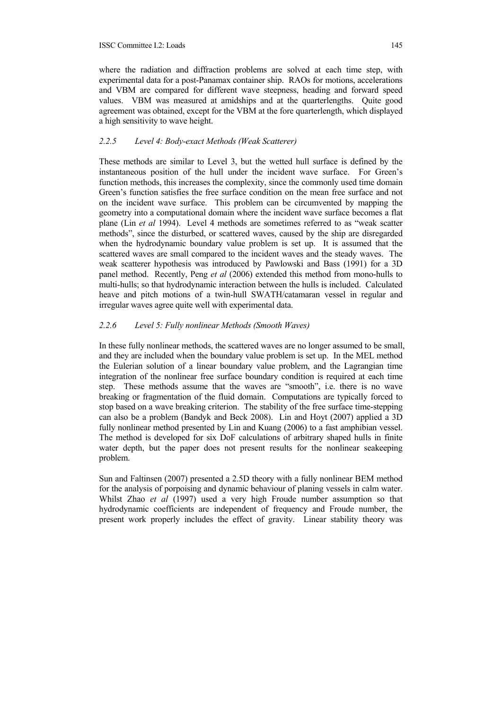where the radiation and diffraction problems are solved at each time step, with experimental data for a post-Panamax container ship. RAOs for motions, accelerations and VBM are compared for different wave steepness, heading and forward speed values. VBM was measured at amidships and at the quarterlengths. Quite good agreement was obtained, except for the VBM at the fore quarterlength, which displayed a high sensitivity to wave height.

## *2.2.5 Level 4: Body-exact Methods (Weak Scatterer)*

These methods are similar to Level 3, but the wetted hull surface is defined by the instantaneous position of the hull under the incident wave surface. For Green's function methods, this increases the complexity, since the commonly used time domain Green's function satisfies the free surface condition on the mean free surface and not on the incident wave surface. This problem can be circumvented by mapping the geometry into a computational domain where the incident wave surface becomes a flat plane (Lin *et al* 1994). Level 4 methods are sometimes referred to as "weak scatter methods", since the disturbed, or scattered waves, caused by the ship are disregarded when the hydrodynamic boundary value problem is set up. It is assumed that the scattered waves are small compared to the incident waves and the steady waves. The weak scatterer hypothesis was introduced by Pawlowski and Bass (1991) for a 3D panel method. Recently, Peng *et al* (2006) extended this method from mono-hulls to multi-hulls; so that hydrodynamic interaction between the hulls is included. Calculated heave and pitch motions of a twin-hull SWATH/catamaran vessel in regular and irregular waves agree quite well with experimental data.

# *2.2.6 Level 5: Fully nonlinear Methods (Smooth Waves)*

In these fully nonlinear methods, the scattered waves are no longer assumed to be small, and they are included when the boundary value problem is set up. In the MEL method the Eulerian solution of a linear boundary value problem, and the Lagrangian time integration of the nonlinear free surface boundary condition is required at each time step. These methods assume that the waves are "smooth", i.e. there is no wave breaking or fragmentation of the fluid domain. Computations are typically forced to stop based on a wave breaking criterion. The stability of the free surface time-stepping can also be a problem (Bandyk and Beck 2008). Lin and Hoyt (2007) applied a 3D fully nonlinear method presented by Lin and Kuang (2006) to a fast amphibian vessel. The method is developed for six DoF calculations of arbitrary shaped hulls in finite water depth, but the paper does not present results for the nonlinear seakeeping problem.

Sun and Faltinsen (2007) presented a 2.5D theory with a fully nonlinear BEM method for the analysis of porpoising and dynamic behaviour of planing vessels in calm water. Whilst Zhao *et al* (1997) used a very high Froude number assumption so that hydrodynamic coefficients are independent of frequency and Froude number, the present work properly includes the effect of gravity. Linear stability theory was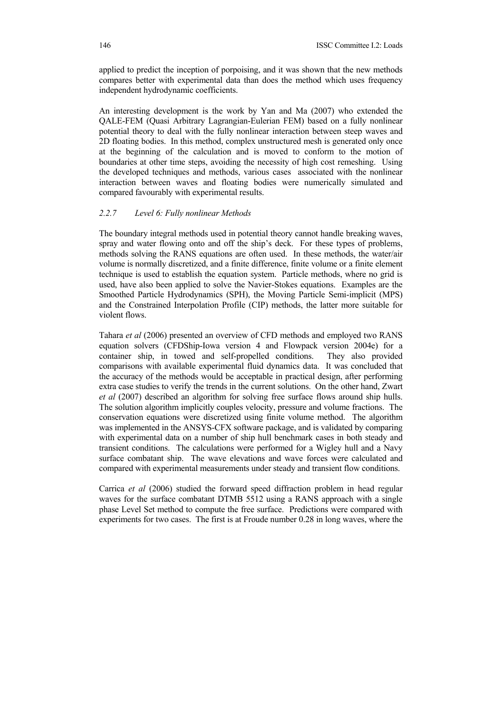applied to predict the inception of porpoising, and it was shown that the new methods compares better with experimental data than does the method which uses frequency independent hydrodynamic coefficients.

An interesting development is the work by Yan and Ma (2007) who extended the QALE-FEM (Quasi Arbitrary Lagrangian-Eulerian FEM) based on a fully nonlinear potential theory to deal with the fully nonlinear interaction between steep waves and 2D floating bodies. In this method, complex unstructured mesh is generated only once at the beginning of the calculation and is moved to conform to the motion of boundaries at other time steps, avoiding the necessity of high cost remeshing. Using the developed techniques and methods, various cases associated with the nonlinear interaction between waves and floating bodies were numerically simulated and compared favourably with experimental results.

#### *2.2.7 Level 6: Fully nonlinear Methods*

The boundary integral methods used in potential theory cannot handle breaking waves, spray and water flowing onto and off the ship's deck. For these types of problems, methods solving the RANS equations are often used. In these methods, the water/air volume is normally discretized, and a finite difference, finite volume or a finite element technique is used to establish the equation system. Particle methods, where no grid is used, have also been applied to solve the Navier-Stokes equations. Examples are the Smoothed Particle Hydrodynamics (SPH), the Moving Particle Semi-implicit (MPS) and the Constrained Interpolation Profile (CIP) methods, the latter more suitable for violent flows.

Tahara *et al* (2006) presented an overview of CFD methods and employed two RANS equation solvers (CFDShip-Iowa version 4 and Flowpack version 2004e) for a container ship, in towed and self-propelled conditions. They also provided comparisons with available experimental fluid dynamics data. It was concluded that the accuracy of the methods would be acceptable in practical design, after performing extra case studies to verify the trends in the current solutions. On the other hand, Zwart *et al* (2007) described an algorithm for solving free surface flows around ship hulls. The solution algorithm implicitly couples velocity, pressure and volume fractions. The conservation equations were discretized using finite volume method. The algorithm was implemented in the ANSYS-CFX software package, and is validated by comparing with experimental data on a number of ship hull benchmark cases in both steady and transient conditions. The calculations were performed for a Wigley hull and a Navy surface combatant ship. The wave elevations and wave forces were calculated and compared with experimental measurements under steady and transient flow conditions.

Carrica *et al* (2006) studied the forward speed diffraction problem in head regular waves for the surface combatant DTMB 5512 using a RANS approach with a single phase Level Set method to compute the free surface. Predictions were compared with experiments for two cases. The first is at Froude number 0.28 in long waves, where the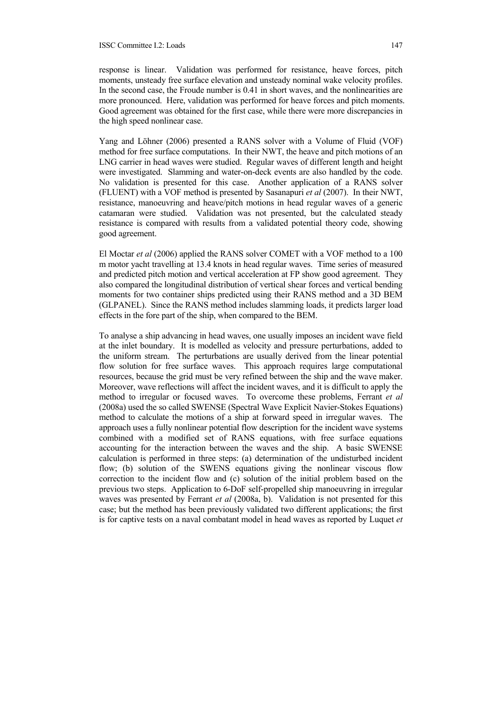response is linear. Validation was performed for resistance, heave forces, pitch moments, unsteady free surface elevation and unsteady nominal wake velocity profiles. In the second case, the Froude number is 0.41 in short waves, and the nonlinearities are more pronounced. Here, validation was performed for heave forces and pitch moments. Good agreement was obtained for the first case, while there were more discrepancies in the high speed nonlinear case.

Yang and Löhner (2006) presented a RANS solver with a Volume of Fluid (VOF) method for free surface computations. In their NWT, the heave and pitch motions of an LNG carrier in head waves were studied. Regular waves of different length and height were investigated. Slamming and water-on-deck events are also handled by the code. No validation is presented for this case. Another application of a RANS solver (FLUENT) with a VOF method is presented by Sasanapuri *et al* (2007). In their NWT, resistance, manoeuvring and heave/pitch motions in head regular waves of a generic catamaran were studied. Validation was not presented, but the calculated steady resistance is compared with results from a validated potential theory code, showing good agreement.

El Moctar *et al* (2006) applied the RANS solver COMET with a VOF method to a 100 m motor yacht travelling at 13.4 knots in head regular waves. Time series of measured and predicted pitch motion and vertical acceleration at FP show good agreement. They also compared the longitudinal distribution of vertical shear forces and vertical bending moments for two container ships predicted using their RANS method and a 3D BEM (GLPANEL). Since the RANS method includes slamming loads, it predicts larger load effects in the fore part of the ship, when compared to the BEM.

To analyse a ship advancing in head waves, one usually imposes an incident wave field at the inlet boundary. It is modelled as velocity and pressure perturbations, added to the uniform stream. The perturbations are usually derived from the linear potential flow solution for free surface waves. This approach requires large computational resources, because the grid must be very refined between the ship and the wave maker. Moreover, wave reflections will affect the incident waves, and it is difficult to apply the method to irregular or focused waves. To overcome these problems, Ferrant *et al* (2008a) used the so called SWENSE (Spectral Wave Explicit Navier-Stokes Equations) method to calculate the motions of a ship at forward speed in irregular waves. The approach uses a fully nonlinear potential flow description for the incident wave systems combined with a modified set of RANS equations, with free surface equations accounting for the interaction between the waves and the ship. A basic SWENSE calculation is performed in three steps: (a) determination of the undisturbed incident flow; (b) solution of the SWENS equations giving the nonlinear viscous flow correction to the incident flow and (c) solution of the initial problem based on the previous two steps. Application to 6-DoF self-propelled ship manoeuvring in irregular waves was presented by Ferrant *et al* (2008a, b). Validation is not presented for this case; but the method has been previously validated two different applications; the first is for captive tests on a naval combatant model in head waves as reported by Luquet *et*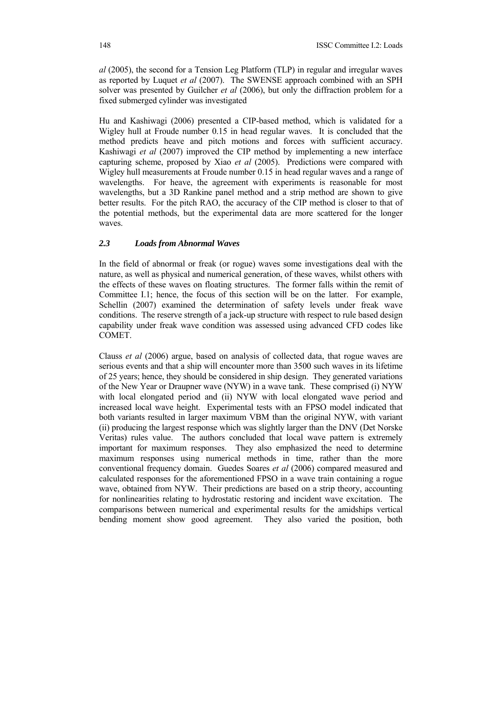*al* (2005), the second for a Tension Leg Platform (TLP) in regular and irregular waves as reported by Luquet *et al* (2007). The SWENSE approach combined with an SPH solver was presented by Guilcher *et al* (2006), but only the diffraction problem for a fixed submerged cylinder was investigated

Hu and Kashiwagi (2006) presented a CIP-based method, which is validated for a Wigley hull at Froude number 0.15 in head regular waves. It is concluded that the method predicts heave and pitch motions and forces with sufficient accuracy. Kashiwagi *et al* (2007) improved the CIP method by implementing a new interface capturing scheme, proposed by Xiao *et al* (2005). Predictions were compared with Wigley hull measurements at Froude number 0.15 in head regular waves and a range of wavelengths. For heave, the agreement with experiments is reasonable for most wavelengths, but a 3D Rankine panel method and a strip method are shown to give better results. For the pitch RAO, the accuracy of the CIP method is closer to that of the potential methods, but the experimental data are more scattered for the longer waves.

# *2.3 Loads from Abnormal Waves*

In the field of abnormal or freak (or rogue) waves some investigations deal with the nature, as well as physical and numerical generation, of these waves, whilst others with the effects of these waves on floating structures. The former falls within the remit of Committee I.1; hence, the focus of this section will be on the latter. For example, Schellin (2007) examined the determination of safety levels under freak wave conditions. The reserve strength of a jack-up structure with respect to rule based design capability under freak wave condition was assessed using advanced CFD codes like COMET.

Clauss *et al* (2006) argue, based on analysis of collected data, that rogue waves are serious events and that a ship will encounter more than 3500 such waves in its lifetime of 25 years; hence, they should be considered in ship design. They generated variations of the New Year or Draupner wave (NYW) in a wave tank. These comprised (i) NYW with local elongated period and (ii) NYW with local elongated wave period and increased local wave height. Experimental tests with an FPSO model indicated that both variants resulted in larger maximum VBM than the original NYW, with variant (ii) producing the largest response which was slightly larger than the DNV (Det Norske Veritas) rules value. The authors concluded that local wave pattern is extremely important for maximum responses. They also emphasized the need to determine maximum responses using numerical methods in time, rather than the more conventional frequency domain. Guedes Soares *et al* (2006) compared measured and calculated responses for the aforementioned FPSO in a wave train containing a rogue wave, obtained from NYW. Their predictions are based on a strip theory, accounting for nonlinearities relating to hydrostatic restoring and incident wave excitation. The comparisons between numerical and experimental results for the amidships vertical bending moment show good agreement. They also varied the position, both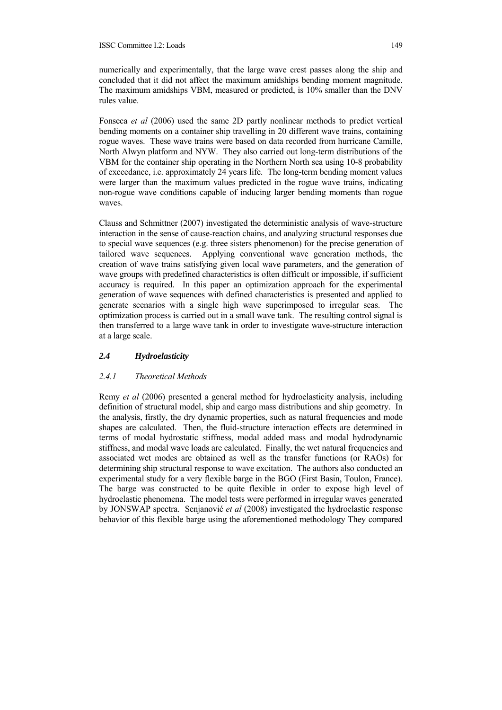#### ISSC Committee I.2: Loads 149

numerically and experimentally, that the large wave crest passes along the ship and concluded that it did not affect the maximum amidships bending moment magnitude. The maximum amidships VBM, measured or predicted, is 10% smaller than the DNV rules value.

Fonseca *et al* (2006) used the same 2D partly nonlinear methods to predict vertical bending moments on a container ship travelling in 20 different wave trains, containing rogue waves. These wave trains were based on data recorded from hurricane Camille, North Alwyn platform and NYW. They also carried out long-term distributions of the VBM for the container ship operating in the Northern North sea using 10-8 probability of exceedance, i.e. approximately 24 years life. The long-term bending moment values were larger than the maximum values predicted in the rogue wave trains, indicating non-rogue wave conditions capable of inducing larger bending moments than rogue waves.

Clauss and Schmittner (2007) investigated the deterministic analysis of wave-structure interaction in the sense of cause-reaction chains, and analyzing structural responses due to special wave sequences (e.g. three sisters phenomenon) for the precise generation of tailored wave sequences. Applying conventional wave generation methods, the creation of wave trains satisfying given local wave parameters, and the generation of wave groups with predefined characteristics is often difficult or impossible, if sufficient accuracy is required. In this paper an optimization approach for the experimental generation of wave sequences with defined characteristics is presented and applied to generate scenarios with a single high wave superimposed to irregular seas. The optimization process is carried out in a small wave tank. The resulting control signal is then transferred to a large wave tank in order to investigate wave-structure interaction at a large scale.

## *2.4 Hydroelasticity*

## *2.4.1 Theoretical Methods*

Remy *et al* (2006) presented a general method for hydroelasticity analysis, including definition of structural model, ship and cargo mass distributions and ship geometry. In the analysis, firstly, the dry dynamic properties, such as natural frequencies and mode shapes are calculated. Then, the fluid-structure interaction effects are determined in terms of modal hydrostatic stiffness, modal added mass and modal hydrodynamic stiffness, and modal wave loads are calculated. Finally, the wet natural frequencies and associated wet modes are obtained as well as the transfer functions (or RAOs) for determining ship structural response to wave excitation. The authors also conducted an experimental study for a very flexible barge in the BGO (First Basin, Toulon, France). The barge was constructed to be quite flexible in order to expose high level of hydroelastic phenomena. The model tests were performed in irregular waves generated by JONSWAP spectra. Senjanović *et al* (2008) investigated the hydroelastic response behavior of this flexible barge using the aforementioned methodology They compared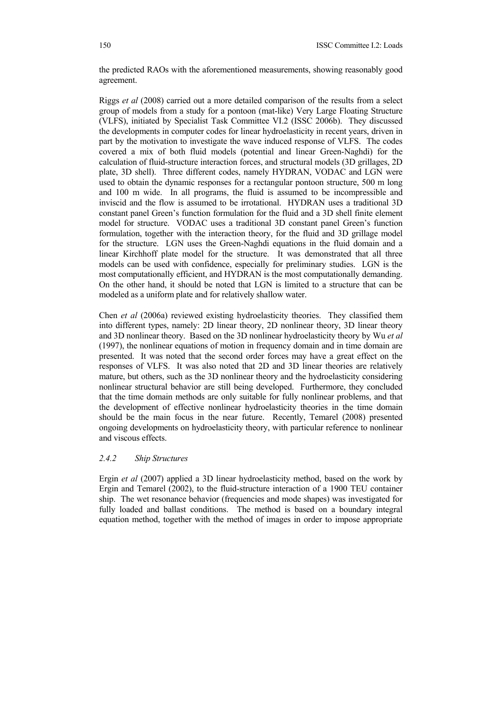the predicted RAOs with the aforementioned measurements, showing reasonably good agreement.

Riggs *et al* (2008) carried out a more detailed comparison of the results from a select group of models from a study for a pontoon (mat-like) Very Large Floating Structure (VLFS), initiated by Specialist Task Committee VI.2 (ISSC 2006b). They discussed the developments in computer codes for linear hydroelasticity in recent years, driven in part by the motivation to investigate the wave induced response of VLFS. The codes covered a mix of both fluid models (potential and linear Green-Naghdi) for the calculation of fluid-structure interaction forces, and structural models (3D grillages, 2D plate, 3D shell). Three different codes, namely HYDRAN, VODAC and LGN were used to obtain the dynamic responses for a rectangular pontoon structure, 500 m long and 100 m wide. In all programs, the fluid is assumed to be incompressible and inviscid and the flow is assumed to be irrotational. HYDRAN uses a traditional 3D constant panel Green's function formulation for the fluid and a 3D shell finite element model for structure. VODAC uses a traditional 3D constant panel Green's function formulation, together with the interaction theory, for the fluid and 3D grillage model for the structure. LGN uses the Green-Naghdi equations in the fluid domain and a linear Kirchhoff plate model for the structure. It was demonstrated that all three models can be used with confidence, especially for preliminary studies. LGN is the most computationally efficient, and HYDRAN is the most computationally demanding. On the other hand, it should be noted that LGN is limited to a structure that can be modeled as a uniform plate and for relatively shallow water.

Chen *et al* (2006a) reviewed existing hydroelasticity theories. They classified them into different types, namely: 2D linear theory, 2D nonlinear theory, 3D linear theory and 3D nonlinear theory. Based on the 3D nonlinear hydroelasticity theory by Wu *et al* (1997), the nonlinear equations of motion in frequency domain and in time domain are presented. It was noted that the second order forces may have a great effect on the responses of VLFS. It was also noted that 2D and 3D linear theories are relatively mature, but others, such as the 3D nonlinear theory and the hydroelasticity considering nonlinear structural behavior are still being developed. Furthermore, they concluded that the time domain methods are only suitable for fully nonlinear problems, and that the development of effective nonlinear hydroelasticity theories in the time domain should be the main focus in the near future. Recently, Temarel (2008) presented ongoing developments on hydroelasticity theory, with particular reference to nonlinear and viscous effects.

## *2.4.2 Ship Structures*

Ergin *et al* (2007) applied a 3D linear hydroelasticity method, based on the work by Ergin and Temarel (2002), to the fluid-structure interaction of a 1900 TEU container ship. The wet resonance behavior (frequencies and mode shapes) was investigated for fully loaded and ballast conditions. The method is based on a boundary integral equation method, together with the method of images in order to impose appropriate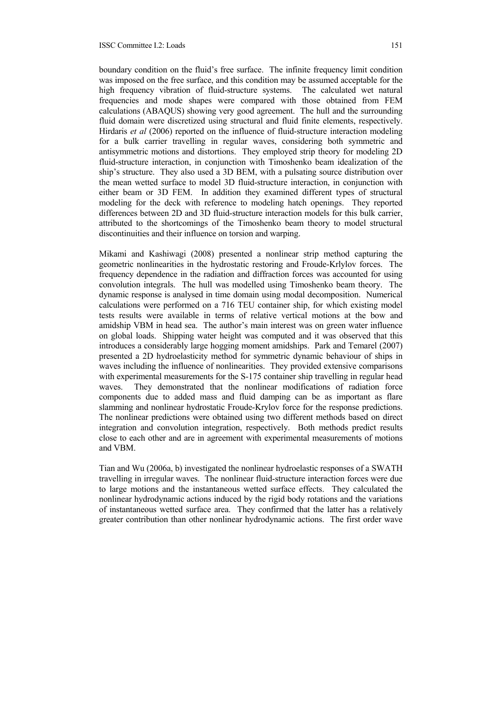#### ISSC Committee I.2: Loads 151

boundary condition on the fluid's free surface. The infinite frequency limit condition was imposed on the free surface, and this condition may be assumed acceptable for the high frequency vibration of fluid-structure systems. The calculated wet natural frequencies and mode shapes were compared with those obtained from FEM calculations (ABAQUS) showing very good agreement. The hull and the surrounding fluid domain were discretized using structural and fluid finite elements, respectively. Hirdaris *et al* (2006) reported on the influence of fluid-structure interaction modeling for a bulk carrier travelling in regular waves, considering both symmetric and antisymmetric motions and distortions. They employed strip theory for modeling 2D fluid-structure interaction, in conjunction with Timoshenko beam idealization of the ship's structure. They also used a 3D BEM, with a pulsating source distribution over the mean wetted surface to model 3D fluid-structure interaction, in conjunction with either beam or 3D FEM. In addition they examined different types of structural modeling for the deck with reference to modeling hatch openings. They reported differences between 2D and 3D fluid-structure interaction models for this bulk carrier, attributed to the shortcomings of the Timoshenko beam theory to model structural discontinuities and their influence on torsion and warping.

Mikami and Kashiwagi (2008) presented a nonlinear strip method capturing the geometric nonlinearities in the hydrostatic restoring and Froude-Krlylov forces. The frequency dependence in the radiation and diffraction forces was accounted for using convolution integrals. The hull was modelled using Timoshenko beam theory. The dynamic response is analysed in time domain using modal decomposition. Numerical calculations were performed on a 716 TEU container ship, for which existing model tests results were available in terms of relative vertical motions at the bow and amidship VBM in head sea. The author's main interest was on green water influence on global loads. Shipping water height was computed and it was observed that this introduces a considerably large hogging moment amidships. Park and Temarel (2007) presented a 2D hydroelasticity method for symmetric dynamic behaviour of ships in waves including the influence of nonlinearities. They provided extensive comparisons with experimental measurements for the S-175 container ship travelling in regular head waves. They demonstrated that the nonlinear modifications of radiation force components due to added mass and fluid damping can be as important as flare slamming and nonlinear hydrostatic Froude-Krylov force for the response predictions. The nonlinear predictions were obtained using two different methods based on direct integration and convolution integration, respectively. Both methods predict results close to each other and are in agreement with experimental measurements of motions and VBM.

Tian and Wu (2006a, b) investigated the nonlinear hydroelastic responses of a SWATH travelling in irregular waves. The nonlinear fluid-structure interaction forces were due to large motions and the instantaneous wetted surface effects. They calculated the nonlinear hydrodynamic actions induced by the rigid body rotations and the variations of instantaneous wetted surface area. They confirmed that the latter has a relatively greater contribution than other nonlinear hydrodynamic actions. The first order wave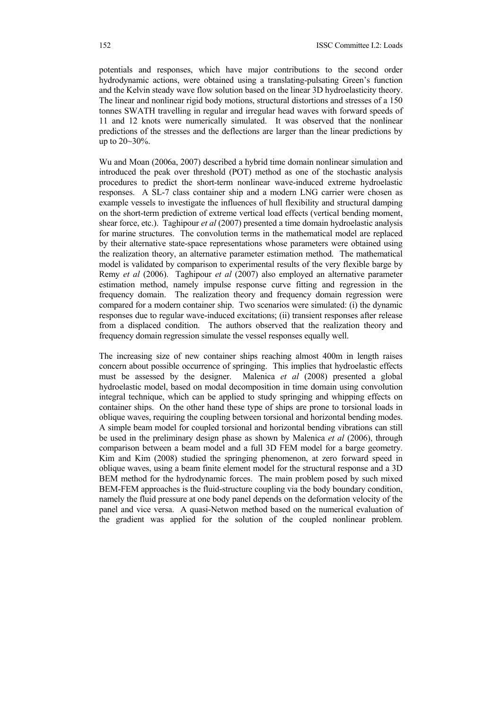potentials and responses, which have major contributions to the second order hydrodynamic actions, were obtained using a translating-pulsating Green's function and the Kelvin steady wave flow solution based on the linear 3D hydroelasticity theory. The linear and nonlinear rigid body motions, structural distortions and stresses of a 150 tonnes SWATH travelling in regular and irregular head waves with forward speeds of 11 and 12 knots were numerically simulated. It was observed that the nonlinear predictions of the stresses and the deflections are larger than the linear predictions by up to 20~30%.

Wu and Moan (2006a, 2007) described a hybrid time domain nonlinear simulation and introduced the peak over threshold (POT) method as one of the stochastic analysis procedures to predict the short-term nonlinear wave-induced extreme hydroelastic responses. A SL-7 class container ship and a modern LNG carrier were chosen as example vessels to investigate the influences of hull flexibility and structural damping on the short-term prediction of extreme vertical load effects (vertical bending moment, shear force, etc.). Taghipour *et al* (2007) presented a time domain hydroelastic analysis for marine structures. The convolution terms in the mathematical model are replaced by their alternative state-space representations whose parameters were obtained using the realization theory, an alternative parameter estimation method. The mathematical model is validated by comparison to experimental results of the very flexible barge by Remy *et al* (2006). Taghipour *et al* (2007) also employed an alternative parameter estimation method, namely impulse response curve fitting and regression in the frequency domain. The realization theory and frequency domain regression were compared for a modern container ship. Two scenarios were simulated: (i) the dynamic responses due to regular wave-induced excitations; (ii) transient responses after release from a displaced condition. The authors observed that the realization theory and frequency domain regression simulate the vessel responses equally well.

The increasing size of new container ships reaching almost 400m in length raises concern about possible occurrence of springing. This implies that hydroelastic effects must be assessed by the designer. Malenica *et al* (2008) presented a global hydroelastic model, based on modal decomposition in time domain using convolution integral technique, which can be applied to study springing and whipping effects on container ships. On the other hand these type of ships are prone to torsional loads in oblique waves, requiring the coupling between torsional and horizontal bending modes. A simple beam model for coupled torsional and horizontal bending vibrations can still be used in the preliminary design phase as shown by Malenica *et al* (2006), through comparison between a beam model and a full 3D FEM model for a barge geometry. Kim and Kim (2008) studied the springing phenomenon, at zero forward speed in oblique waves, using a beam finite element model for the structural response and a 3D BEM method for the hydrodynamic forces. The main problem posed by such mixed BEM-FEM approaches is the fluid-structure coupling via the body boundary condition, namely the fluid pressure at one body panel depends on the deformation velocity of the panel and vice versa. A quasi-Netwon method based on the numerical evaluation of the gradient was applied for the solution of the coupled nonlinear problem.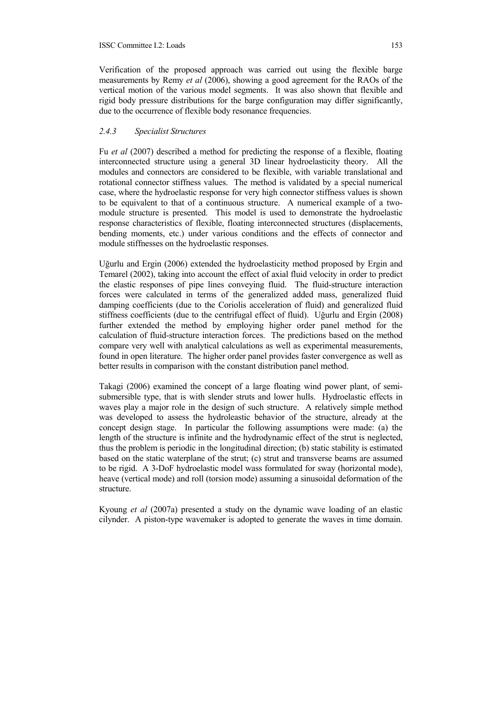Verification of the proposed approach was carried out using the flexible barge measurements by Remy *et al* (2006), showing a good agreement for the RAOs of the vertical motion of the various model segments. It was also shown that flexible and rigid body pressure distributions for the barge configuration may differ significantly, due to the occurrence of flexible body resonance frequencies.

## *2.4.3 Specialist Structures*

Fu *et al* (2007) described a method for predicting the response of a flexible, floating interconnected structure using a general 3D linear hydroelasticity theory. All the modules and connectors are considered to be flexible, with variable translational and rotational connector stiffness values. The method is validated by a special numerical case, where the hydroelastic response for very high connector stiffness values is shown to be equivalent to that of a continuous structure. A numerical example of a twomodule structure is presented. This model is used to demonstrate the hydroelastic response characteristics of flexible, floating interconnected structures (displacements, bending moments, etc.) under various conditions and the effects of connector and module stiffnesses on the hydroelastic responses.

Uğurlu and Ergin (2006) extended the hydroelasticity method proposed by Ergin and Temarel (2002), taking into account the effect of axial fluid velocity in order to predict the elastic responses of pipe lines conveying fluid. The fluid-structure interaction forces were calculated in terms of the generalized added mass, generalized fluid damping coefficients (due to the Coriolis acceleration of fluid) and generalized fluid stiffness coefficients (due to the centrifugal effect of fluid). Uğurlu and Ergin (2008) further extended the method by employing higher order panel method for the calculation of fluid-structure interaction forces. The predictions based on the method compare very well with analytical calculations as well as experimental measurements, found in open literature. The higher order panel provides faster convergence as well as better results in comparison with the constant distribution panel method.

Takagi (2006) examined the concept of a large floating wind power plant, of semisubmersible type, that is with slender struts and lower hulls. Hydroelastic effects in waves play a major role in the design of such structure. A relatively simple method was developed to assess the hydroleastic behavior of the structure, already at the concept design stage. In particular the following assumptions were made: (a) the length of the structure is infinite and the hydrodynamic effect of the strut is neglected, thus the problem is periodic in the longitudinal direction; (b) static stability is estimated based on the static waterplane of the strut; (c) strut and transverse beams are assumed to be rigid. A 3-DoF hydroelastic model wass formulated for sway (horizontal mode), heave (vertical mode) and roll (torsion mode) assuming a sinusoidal deformation of the structure.

Kyoung *et al* (2007a) presented a study on the dynamic wave loading of an elastic cilynder. A piston-type wavemaker is adopted to generate the waves in time domain.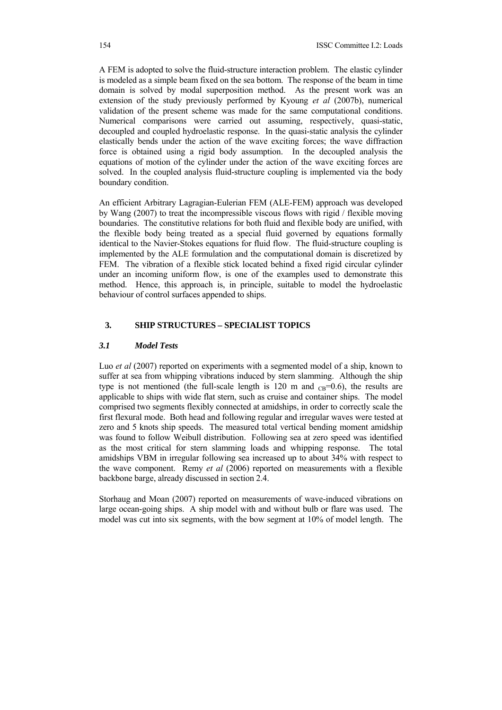A FEM is adopted to solve the fluid-structure interaction problem. The elastic cylinder is modeled as a simple beam fixed on the sea bottom. The response of the beam in time domain is solved by modal superposition method. As the present work was an extension of the study previously performed by Kyoung *et al* (2007b), numerical validation of the present scheme was made for the same computational conditions. Numerical comparisons were carried out assuming, respectively, quasi-static, decoupled and coupled hydroelastic response. In the quasi-static analysis the cylinder elastically bends under the action of the wave exciting forces; the wave diffraction force is obtained using a rigid body assumption. In the decoupled analysis the equations of motion of the cylinder under the action of the wave exciting forces are solved. In the coupled analysis fluid-structure coupling is implemented via the body boundary condition.

An efficient Arbitrary Lagragian-Eulerian FEM (ALE-FEM) approach was developed by Wang (2007) to treat the incompressible viscous flows with rigid / flexible moving boundaries. The constitutive relations for both fluid and flexible body are unified, with the flexible body being treated as a special fluid governed by equations formally identical to the Navier-Stokes equations for fluid flow. The fluid-structure coupling is implemented by the ALE formulation and the computational domain is discretized by FEM. The vibration of a flexible stick located behind a fixed rigid circular cylinder under an incoming uniform flow, is one of the examples used to demonstrate this method. Hence, this approach is, in principle, suitable to model the hydroelastic behaviour of control surfaces appended to ships.

## **3. SHIP STRUCTURES – SPECIALIST TOPICS**

#### *3.1 Model Tests*

Luo *et al* (2007) reported on experiments with a segmented model of a ship, known to suffer at sea from whipping vibrations induced by stern slamming. Although the ship type is not mentioned (the full-scale length is  $120 \text{ m}$  and  $_{CB} = 0.6$ ), the results are applicable to ships with wide flat stern, such as cruise and container ships. The model comprised two segments flexibly connected at amidships, in order to correctly scale the first flexural mode. Both head and following regular and irregular waves were tested at zero and 5 knots ship speeds. The measured total vertical bending moment amidship was found to follow Weibull distribution. Following sea at zero speed was identified as the most critical for stern slamming loads and whipping response. The total amidships VBM in irregular following sea increased up to about 34% with respect to the wave component. Remy *et al* (2006) reported on measurements with a flexible backbone barge, already discussed in section 2.4.

Storhaug and Moan (2007) reported on measurements of wave-induced vibrations on large ocean-going ships. A ship model with and without bulb or flare was used. The model was cut into six segments, with the bow segment at 10% of model length. The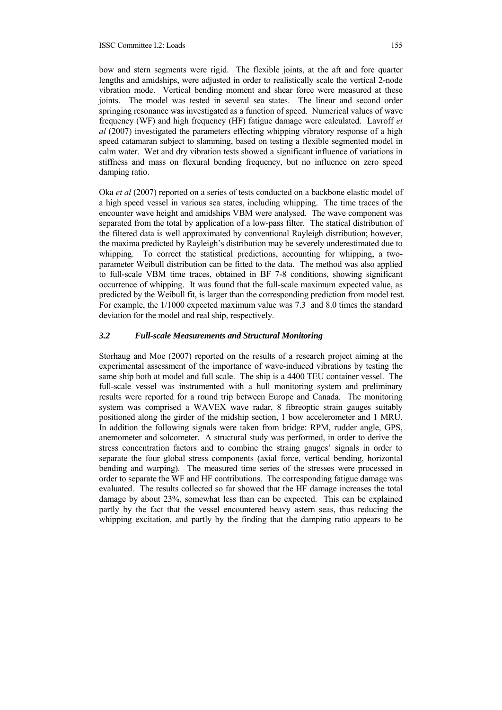bow and stern segments were rigid. The flexible joints, at the aft and fore quarter lengths and amidships, were adjusted in order to realistically scale the vertical 2-node vibration mode. Vertical bending moment and shear force were measured at these joints. The model was tested in several sea states. The linear and second order springing resonance was investigated as a function of speed. Numerical values of wave frequency (WF) and high frequency (HF) fatigue damage were calculated. Lavroff *et al* (2007) investigated the parameters effecting whipping vibratory response of a high speed catamaran subject to slamming, based on testing a flexible segmented model in calm water. Wet and dry vibration tests showed a significant influence of variations in stiffness and mass on flexural bending frequency, but no influence on zero speed damping ratio.

Oka *et al* (2007) reported on a series of tests conducted on a backbone elastic model of a high speed vessel in various sea states, including whipping. The time traces of the encounter wave height and amidships VBM were analysed. The wave component was separated from the total by application of a low-pass filter. The statical distribution of the filtered data is well approximated by conventional Rayleigh distribution; however, the maxima predicted by Rayleigh's distribution may be severely underestimated due to whipping. To correct the statistical predictions, accounting for whipping, a twoparameter Weibull distribution can be fitted to the data. The method was also applied to full-scale VBM time traces, obtained in BF 7-8 conditions, showing significant occurrence of whipping. It was found that the full-scale maximum expected value, as predicted by the Weibull fit, is larger than the corresponding prediction from model test. For example, the 1/1000 expected maximum value was 7.3 and 8.0 times the standard deviation for the model and real ship, respectively.

## *3.2 Full-scale Measurements and Structural Monitoring*

Storhaug and Moe (2007) reported on the results of a research project aiming at the experimental assessment of the importance of wave-induced vibrations by testing the same ship both at model and full scale. The ship is a 4400 TEU container vessel. The full-scale vessel was instrumented with a hull monitoring system and preliminary results were reported for a round trip between Europe and Canada. The monitoring system was comprised a WAVEX wave radar, 8 fibreoptic strain gauges suitably positioned along the girder of the midship section, 1 bow accelerometer and 1 MRU. In addition the following signals were taken from bridge: RPM, rudder angle, GPS, anemometer and solcometer. A structural study was performed, in order to derive the stress concentration factors and to combine the straing gauges' signals in order to separate the four global stress components (axial force, vertical bending, horizontal bending and warping). The measured time series of the stresses were processed in order to separate the WF and HF contributions. The corresponding fatigue damage was evaluated. The results collected so far showed that the HF damage increases the total damage by about 23%, somewhat less than can be expected. This can be explained partly by the fact that the vessel encountered heavy astern seas, thus reducing the whipping excitation, and partly by the finding that the damping ratio appears to be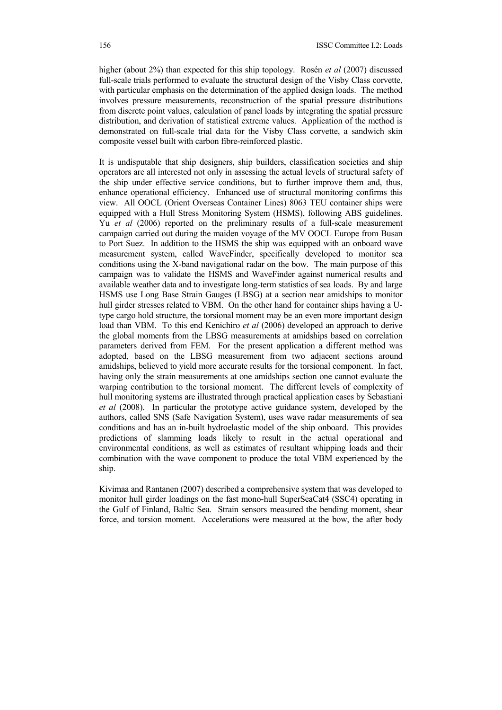higher (about 2%) than expected for this ship topology. Rosén *et al* (2007) discussed full-scale trials performed to evaluate the structural design of the Visby Class corvette, with particular emphasis on the determination of the applied design loads. The method involves pressure measurements, reconstruction of the spatial pressure distributions from discrete point values, calculation of panel loads by integrating the spatial pressure distribution, and derivation of statistical extreme values. Application of the method is demonstrated on full-scale trial data for the Visby Class corvette, a sandwich skin composite vessel built with carbon fibre-reinforced plastic.

It is undisputable that ship designers, ship builders, classification societies and ship operators are all interested not only in assessing the actual levels of structural safety of the ship under effective service conditions, but to further improve them and, thus, enhance operational efficiency. Enhanced use of structural monitoring confirms this view. All OOCL (Orient Overseas Container Lines) 8063 TEU container ships were equipped with a Hull Stress Monitoring System (HSMS), following ABS guidelines. Yu *et al* (2006) reported on the preliminary results of a full-scale measurement campaign carried out during the maiden voyage of the MV OOCL Europe from Busan to Port Suez. In addition to the HSMS the ship was equipped with an onboard wave measurement system, called WaveFinder, specifically developed to monitor sea conditions using the X-band navigational radar on the bow. The main purpose of this campaign was to validate the HSMS and WaveFinder against numerical results and available weather data and to investigate long-term statistics of sea loads. By and large HSMS use Long Base Strain Gauges (LBSG) at a section near amidships to monitor hull girder stresses related to VBM. On the other hand for container ships having a Utype cargo hold structure, the torsional moment may be an even more important design load than VBM. To this end Kenichiro *et al* (2006) developed an approach to derive the global moments from the LBSG measurements at amidships based on correlation parameters derived from FEM. For the present application a different method was adopted, based on the LBSG measurement from two adjacent sections around amidships, believed to yield more accurate results for the torsional component. In fact, having only the strain measurements at one amidships section one cannot evaluate the warping contribution to the torsional moment. The different levels of complexity of hull monitoring systems are illustrated through practical application cases by Sebastiani *et al* (2008). In particular the prototype active guidance system, developed by the authors, called SNS (Safe Navigation System), uses wave radar measurements of sea conditions and has an in-built hydroelastic model of the ship onboard. This provides predictions of slamming loads likely to result in the actual operational and environmental conditions, as well as estimates of resultant whipping loads and their combination with the wave component to produce the total VBM experienced by the ship.

Kivimaa and Rantanen (2007) described a comprehensive system that was developed to monitor hull girder loadings on the fast mono-hull SuperSeaCat4 (SSC4) operating in the Gulf of Finland, Baltic Sea. Strain sensors measured the bending moment, shear force, and torsion moment. Accelerations were measured at the bow, the after body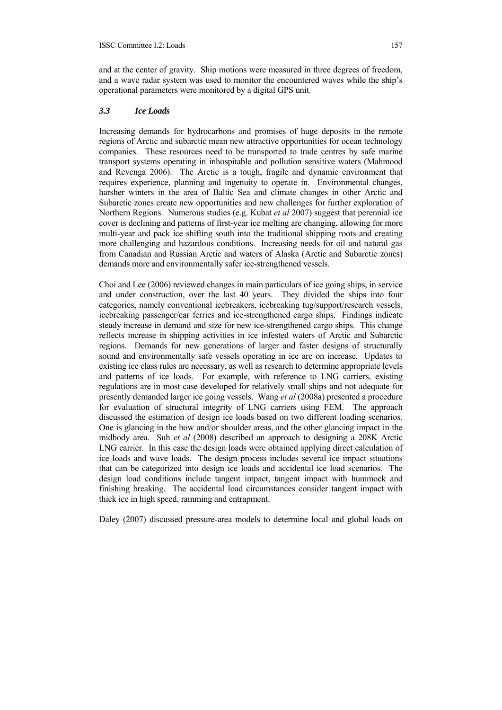and at the center of gravity. Ship motions were measured in three degrees of freedom, and a wave radar system was used to monitor the encountered waves while the ship's operational parameters were monitored by a digital GPS unit.

#### *3.3 Ice Loads*

Increasing demands for hydrocarbons and promises of huge deposits in the remote regions of Arctic and subarctic mean new attractive opportunities for ocean technology companies. These resources need to be transported to trade centres by safe marine transport systems operating in inhospitable and pollution sensitive waters (Mahmood and Revenga 2006). The Arctic is a tough, fragile and dynamic environment that requires experience, planning and ingenuity to operate in. Environmental changes, harsher winters in the area of Baltic Sea and climate changes in other Arctic and Subarctic zones create new opportunities and new challenges for further exploration of Northern Regions. Numerous studies (e.g. Kubat *et al* 2007) suggest that perennial ice cover is declining and patterns of first-year ice melting are changing, allowing for more multi-year and pack ice shifting south into the traditional shipping roots and creating more challenging and hazardous conditions. Increasing needs for oil and natural gas from Canadian and Russian Arctic and waters of Alaska (Arctic and Subarctic zones) demands more and environmentally safer ice-strengthened vessels.

Choi and Lee (2006) reviewed changes in main particulars of ice going ships, in service and under construction, over the last 40 years. They divided the ships into four categories, namely conventional icebreakers, icebreaking tug/support/research vessels, icebreaking passenger/car ferries and ice-strengthened cargo ships. Findings indicate steady increase in demand and size for new ice-strengthened cargo ships. This change reflects increase in shipping activities in ice infested waters of Arctic and Subarctic regions. Demands for new generations of larger and faster designs of structurally sound and environmentally safe vessels operating in ice are on increase. Updates to existing ice class rules are necessary, as well as research to determine appropriate levels and patterns of ice loads. For example, with reference to LNG carriers, existing regulations are in most case developed for relatively small ships and not adequate for presently demanded larger ice going vessels. Wang *et al* (2008a) presented a procedure for evaluation of structural integrity of LNG carriers using FEM. The approach discussed the estimation of design ice loads based on two different loading scenarios. One is glancing in the bow and/or shoulder areas, and the other glancing impact in the midbody area. Suh *et al* (2008) described an approach to designing a 208K Arctic LNG carrier. In this case the design loads were obtained applying direct calculation of ice loads and wave loads. The design process includes several ice impact situations that can be categorized into design ice loads and accidental ice load scenarios. The design load conditions include tangent impact, tangent impact with hummock and finishing breaking. The accidental load circumstances consider tangent impact with thick ice in high speed, ramming and entrapment.

Daley (2007) discussed pressure-area models to determine local and global loads on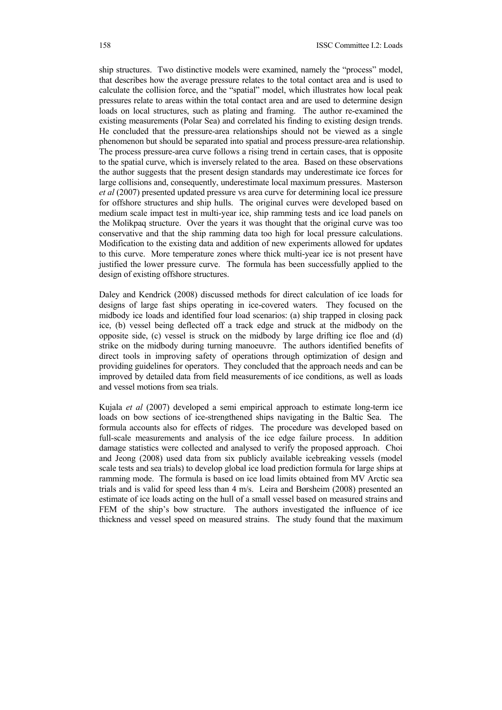ship structures. Two distinctive models were examined, namely the "process" model, that describes how the average pressure relates to the total contact area and is used to calculate the collision force, and the "spatial" model, which illustrates how local peak pressures relate to areas within the total contact area and are used to determine design loads on local structures, such as plating and framing. The author re-examined the existing measurements (Polar Sea) and correlated his finding to existing design trends. He concluded that the pressure-area relationships should not be viewed as a single phenomenon but should be separated into spatial and process pressure-area relationship. The process pressure-area curve follows a rising trend in certain cases, that is opposite to the spatial curve, which is inversely related to the area. Based on these observations the author suggests that the present design standards may underestimate ice forces for large collisions and, consequently, underestimate local maximum pressures. Masterson *et al* (2007) presented updated pressure vs area curve for determining local ice pressure for offshore structures and ship hulls. The original curves were developed based on medium scale impact test in multi-year ice, ship ramming tests and ice load panels on the Molikpaq structure. Over the years it was thought that the original curve was too conservative and that the ship ramming data too high for local pressure calculations. Modification to the existing data and addition of new experiments allowed for updates to this curve. More temperature zones where thick multi-year ice is not present have justified the lower pressure curve. The formula has been successfully applied to the design of existing offshore structures.

Daley and Kendrick (2008) discussed methods for direct calculation of ice loads for designs of large fast ships operating in ice-covered waters. They focused on the midbody ice loads and identified four load scenarios: (a) ship trapped in closing pack ice, (b) vessel being deflected off a track edge and struck at the midbody on the opposite side, (c) vessel is struck on the midbody by large drifting ice floe and (d) strike on the midbody during turning manoeuvre. The authors identified benefits of direct tools in improving safety of operations through optimization of design and providing guidelines for operators. They concluded that the approach needs and can be improved by detailed data from field measurements of ice conditions, as well as loads and vessel motions from sea trials.

Kujala *et al* (2007) developed a semi empirical approach to estimate long-term ice loads on bow sections of ice-strengthened ships navigating in the Baltic Sea. The formula accounts also for effects of ridges. The procedure was developed based on full-scale measurements and analysis of the ice edge failure process. In addition damage statistics were collected and analysed to verify the proposed approach. Choi and Jeong (2008) used data from six publicly available icebreaking vessels (model scale tests and sea trials) to develop global ice load prediction formula for large ships at ramming mode. The formula is based on ice load limits obtained from MV Arctic sea trials and is valid for speed less than 4 m/s. Leira and Børsheim (2008) presented an estimate of ice loads acting on the hull of a small vessel based on measured strains and FEM of the ship's bow structure. The authors investigated the influence of ice thickness and vessel speed on measured strains. The study found that the maximum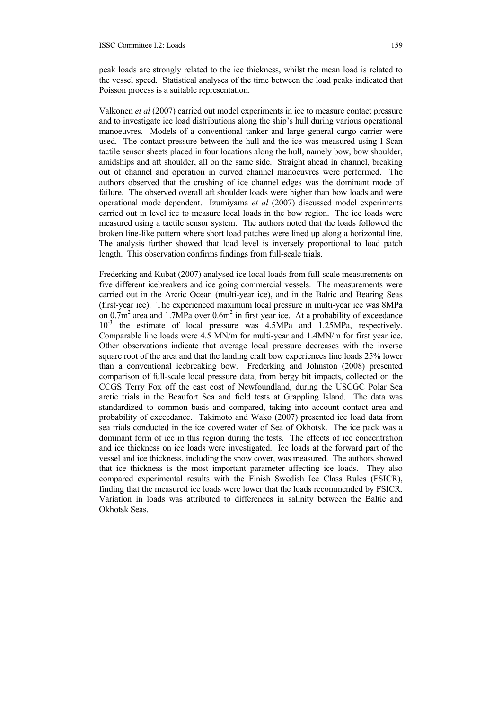peak loads are strongly related to the ice thickness, whilst the mean load is related to the vessel speed. Statistical analyses of the time between the load peaks indicated that Poisson process is a suitable representation.

Valkonen *et al* (2007) carried out model experiments in ice to measure contact pressure and to investigate ice load distributions along the ship's hull during various operational manoeuvres. Models of a conventional tanker and large general cargo carrier were used. The contact pressure between the hull and the ice was measured using I-Scan tactile sensor sheets placed in four locations along the hull, namely bow, bow shoulder, amidships and aft shoulder, all on the same side. Straight ahead in channel, breaking out of channel and operation in curved channel manoeuvres were performed. The authors observed that the crushing of ice channel edges was the dominant mode of failure. The observed overall aft shoulder loads were higher than bow loads and were operational mode dependent. Izumiyama *et al* (2007) discussed model experiments carried out in level ice to measure local loads in the bow region. The ice loads were measured using a tactile sensor system. The authors noted that the loads followed the broken line-like pattern where short load patches were lined up along a horizontal line. The analysis further showed that load level is inversely proportional to load patch length. This observation confirms findings from full-scale trials.

Frederking and Kubat (2007) analysed ice local loads from full-scale measurements on five different icebreakers and ice going commercial vessels. The measurements were carried out in the Arctic Ocean (multi-year ice), and in the Baltic and Bearing Seas (first-year ice). The experienced maximum local pressure in multi-year ice was 8MPa on  $0.7$ m<sup>2</sup> area and 1.7MPa over  $0.6$ m<sup>2</sup> in first year ice. At a probability of exceedance 10-3 the estimate of local pressure was 4.5MPa and 1.25MPa, respectively. Comparable line loads were 4.5 MN/m for multi-year and 1.4MN/m for first year ice. Other observations indicate that average local pressure decreases with the inverse square root of the area and that the landing craft bow experiences line loads 25% lower than a conventional icebreaking bow. Frederking and Johnston (2008) presented comparison of full-scale local pressure data, from bergy bit impacts, collected on the CCGS Terry Fox off the east cost of Newfoundland, during the USCGC Polar Sea arctic trials in the Beaufort Sea and field tests at Grappling Island. The data was standardized to common basis and compared, taking into account contact area and probability of exceedance. Takimoto and Wako (2007) presented ice load data from sea trials conducted in the ice covered water of Sea of Okhotsk. The ice pack was a dominant form of ice in this region during the tests. The effects of ice concentration and ice thickness on ice loads were investigated. Ice loads at the forward part of the vessel and ice thickness, including the snow cover, was measured. The authors showed that ice thickness is the most important parameter affecting ice loads. They also compared experimental results with the Finish Swedish Ice Class Rules (FSICR), finding that the measured ice loads were lower that the loads recommended by FSICR. Variation in loads was attributed to differences in salinity between the Baltic and Okhotsk Seas.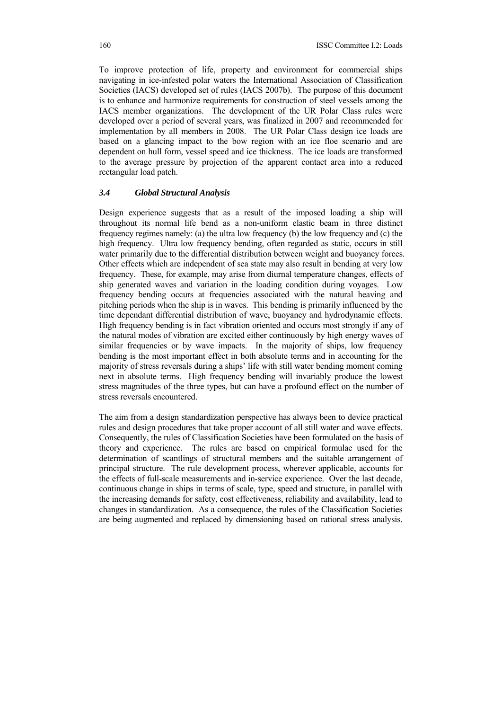To improve protection of life, property and environment for commercial ships navigating in ice-infested polar waters the International Association of Classification Societies (IACS) developed set of rules (IACS 2007b). The purpose of this document is to enhance and harmonize requirements for construction of steel vessels among the IACS member organizations. The development of the UR Polar Class rules were developed over a period of several years, was finalized in 2007 and recommended for implementation by all members in 2008. The UR Polar Class design ice loads are based on a glancing impact to the bow region with an ice floe scenario and are dependent on hull form, vessel speed and ice thickness. The ice loads are transformed to the average pressure by projection of the apparent contact area into a reduced rectangular load patch.

#### *3.4 Global Structural Analysis*

Design experience suggests that as a result of the imposed loading a ship will throughout its normal life bend as a non-uniform elastic beam in three distinct frequency regimes namely: (a) the ultra low frequency (b) the low frequency and (c) the high frequency. Ultra low frequency bending, often regarded as static, occurs in still water primarily due to the differential distribution between weight and buoyancy forces. Other effects which are independent of sea state may also result in bending at very low frequency. These, for example, may arise from diurnal temperature changes, effects of ship generated waves and variation in the loading condition during voyages. Low frequency bending occurs at frequencies associated with the natural heaving and pitching periods when the ship is in waves. This bending is primarily influenced by the time dependant differential distribution of wave, buoyancy and hydrodynamic effects. High frequency bending is in fact vibration oriented and occurs most strongly if any of the natural modes of vibration are excited either continuously by high energy waves of similar frequencies or by wave impacts. In the majority of ships, low frequency bending is the most important effect in both absolute terms and in accounting for the majority of stress reversals during a ships' life with still water bending moment coming next in absolute terms. High frequency bending will invariably produce the lowest stress magnitudes of the three types, but can have a profound effect on the number of stress reversals encountered.

The aim from a design standardization perspective has always been to device practical rules and design procedures that take proper account of all still water and wave effects. Consequently, the rules of Classification Societies have been formulated on the basis of theory and experience. The rules are based on empirical formulae used for the determination of scantlings of structural members and the suitable arrangement of principal structure. The rule development process, wherever applicable, accounts for the effects of full-scale measurements and in-service experience. Over the last decade, continuous change in ships in terms of scale, type, speed and structure, in parallel with the increasing demands for safety, cost effectiveness, reliability and availability, lead to changes in standardization. As a consequence, the rules of the Classification Societies are being augmented and replaced by dimensioning based on rational stress analysis.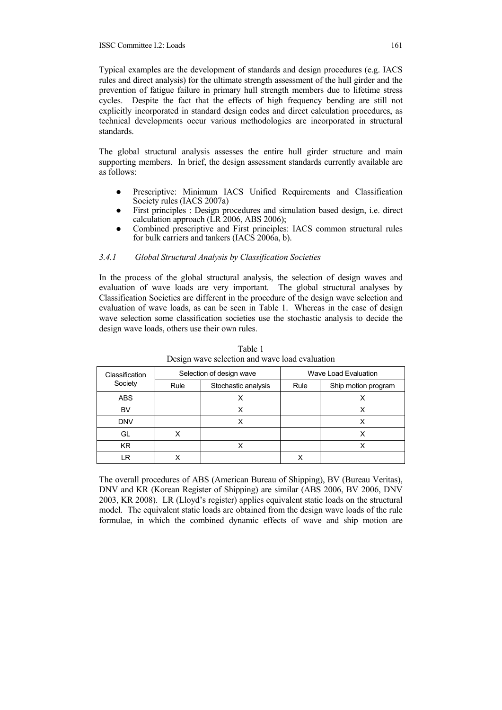Typical examples are the development of standards and design procedures (e.g. IACS rules and direct analysis) for the ultimate strength assessment of the hull girder and the prevention of fatigue failure in primary hull strength members due to lifetime stress cycles. Despite the fact that the effects of high frequency bending are still not explicitly incorporated in standard design codes and direct calculation procedures, as technical developments occur various methodologies are incorporated in structural standards.

The global structural analysis assesses the entire hull girder structure and main supporting members. In brief, the design assessment standards currently available are as follows:

- Prescriptive: Minimum IACS Unified Requirements and Classification Society rules (IACS 2007a)
- First principles : Design procedures and simulation based design, i.e. direct calculation approach (LR 2006, ABS 2006);
- Combined prescriptive and First principles: IACS common structural rules for bulk carriers and tankers (IACS 2006a, b).

# *3.4.1 Global Structural Analysis by Classification Societies*

In the process of the global structural analysis, the selection of design waves and evaluation of wave loads are very important. The global structural analyses by Classification Societies are different in the procedure of the design wave selection and evaluation of wave loads, as can be seen in Table 1. Whereas in the case of design wave selection some classification societies use the stochastic analysis to decide the design wave loads, others use their own rules.

| Classification |      | Selection of design wave | Wave Load Evaluation |                     |
|----------------|------|--------------------------|----------------------|---------------------|
| Society        | Rule | Stochastic analysis      | Rule                 | Ship motion program |
| ABS            |      |                          |                      |                     |
| BV             |      | x                        |                      | Χ                   |
| <b>DNV</b>     |      |                          |                      |                     |
| GL             |      |                          |                      | х                   |
| KR.            |      |                          |                      | ⋏                   |
| _R             |      |                          |                      |                     |

Table 1 Design wave selection and wave load evaluation

The overall procedures of ABS (American Bureau of Shipping), BV (Bureau Veritas), DNV and KR (Korean Register of Shipping) are similar (ABS 2006, BV 2006, DNV 2003, KR 2008). LR (Lloyd's register) applies equivalent static loads on the structural model. The equivalent static loads are obtained from the design wave loads of the rule formulae, in which the combined dynamic effects of wave and ship motion are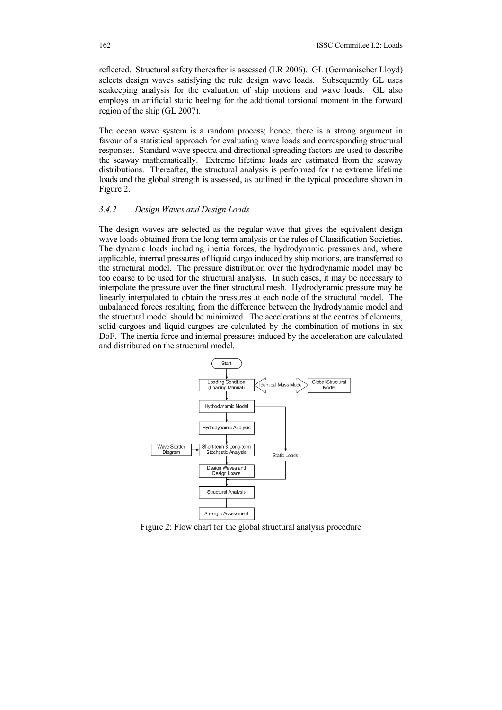reflected. Structural safety thereafter is assessed (LR 2006). GL (Germanischer Lloyd) selects design waves satisfying the rule design wave loads. Subsequently GL uses seakeeping analysis for the evaluation of ship motions and wave loads. GL also employs an artificial static heeling for the additional torsional moment in the forward region of the ship (GL 2007).

The ocean wave system is a random process; hence, there is a strong argument in favour of a statistical approach for evaluating wave loads and corresponding structural responses. Standard wave spectra and directional spreading factors are used to describe the seaway mathematically. Extreme lifetime loads are estimated from the seaway distributions. Thereafter, the structural analysis is performed for the extreme lifetime loads and the global strength is assessed, as outlined in the typical procedure shown in Figure 2.

#### *3.4.2 Design Waves and Design Loads*

The design waves are selected as the regular wave that gives the equivalent design wave loads obtained from the long-term analysis or the rules of Classification Societies. The dynamic loads including inertia forces, the hydrodynamic pressures and, where applicable, internal pressures of liquid cargo induced by ship motions, are transferred to the structural model. The pressure distribution over the hydrodynamic model may be too coarse to be used for the structural analysis. In such cases, it may be necessary to interpolate the pressure over the finer structural mesh. Hydrodynamic pressure may be linearly interpolated to obtain the pressures at each node of the structural model. The unbalanced forces resulting from the difference between the hydrodynamic model and the structural model should be minimized. The accelerations at the centres of elements, solid cargoes and liquid cargoes are calculated by the combination of motions in six DoF. The inertia force and internal pressures induced by the acceleration are calculated and distributed on the structural model.



Figure 2: Flow chart for the global structural analysis procedure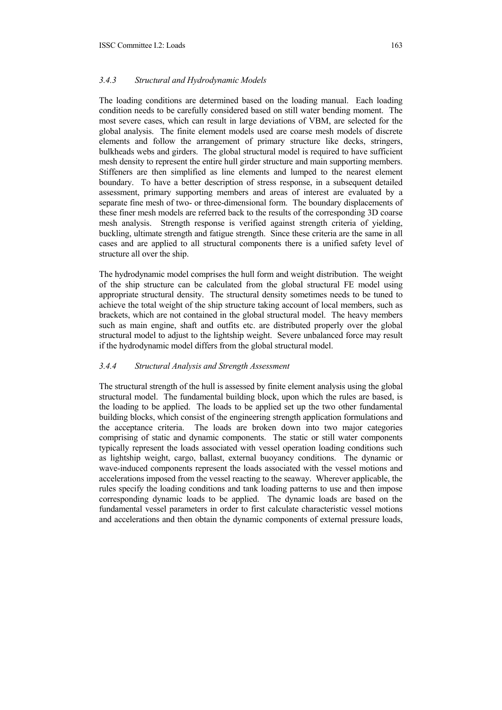#### *3.4.3 Structural and Hydrodynamic Models*

The loading conditions are determined based on the loading manual. Each loading condition needs to be carefully considered based on still water bending moment. The most severe cases, which can result in large deviations of VBM, are selected for the global analysis. The finite element models used are coarse mesh models of discrete elements and follow the arrangement of primary structure like decks, stringers, bulkheads webs and girders. The global structural model is required to have sufficient mesh density to represent the entire hull girder structure and main supporting members. Stiffeners are then simplified as line elements and lumped to the nearest element boundary. To have a better description of stress response, in a subsequent detailed assessment, primary supporting members and areas of interest are evaluated by a separate fine mesh of two- or three-dimensional form. The boundary displacements of these finer mesh models are referred back to the results of the corresponding 3D coarse mesh analysis. Strength response is verified against strength criteria of yielding, buckling, ultimate strength and fatigue strength. Since these criteria are the same in all cases and are applied to all structural components there is a unified safety level of structure all over the ship.

The hydrodynamic model comprises the hull form and weight distribution. The weight of the ship structure can be calculated from the global structural FE model using appropriate structural density. The structural density sometimes needs to be tuned to achieve the total weight of the ship structure taking account of local members, such as brackets, which are not contained in the global structural model. The heavy members such as main engine, shaft and outfits etc. are distributed properly over the global structural model to adjust to the lightship weight. Severe unbalanced force may result if the hydrodynamic model differs from the global structural model.

#### *3.4.4 Structural Analysis and Strength Assessment*

The structural strength of the hull is assessed by finite element analysis using the global structural model. The fundamental building block, upon which the rules are based, is the loading to be applied. The loads to be applied set up the two other fundamental building blocks, which consist of the engineering strength application formulations and the acceptance criteria. The loads are broken down into two major categories comprising of static and dynamic components. The static or still water components typically represent the loads associated with vessel operation loading conditions such as lightship weight, cargo, ballast, external buoyancy conditions. The dynamic or wave-induced components represent the loads associated with the vessel motions and accelerations imposed from the vessel reacting to the seaway. Wherever applicable, the rules specify the loading conditions and tank loading patterns to use and then impose corresponding dynamic loads to be applied. The dynamic loads are based on the fundamental vessel parameters in order to first calculate characteristic vessel motions and accelerations and then obtain the dynamic components of external pressure loads,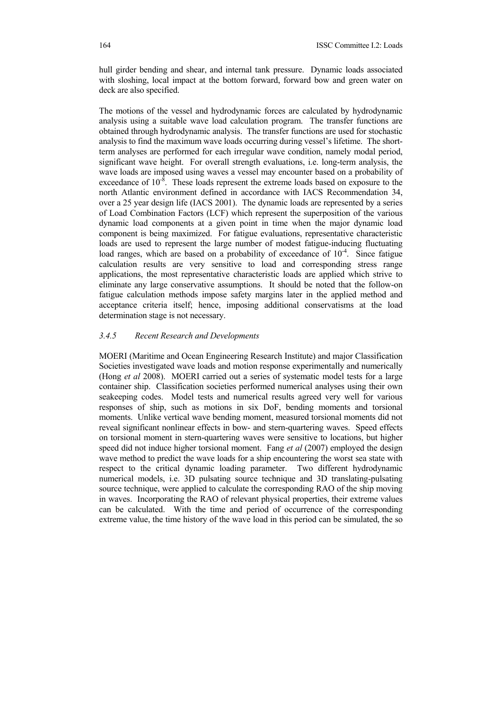hull girder bending and shear, and internal tank pressure. Dynamic loads associated with sloshing, local impact at the bottom forward, forward bow and green water on deck are also specified.

The motions of the vessel and hydrodynamic forces are calculated by hydrodynamic analysis using a suitable wave load calculation program. The transfer functions are obtained through hydrodynamic analysis. The transfer functions are used for stochastic analysis to find the maximum wave loads occurring during vessel's lifetime. The shortterm analyses are performed for each irregular wave condition, namely modal period, significant wave height. For overall strength evaluations, i.e. long-term analysis, the wave loads are imposed using waves a vessel may encounter based on a probability of exceedance of  $10^{-8}$ . These loads represent the extreme loads based on exposure to the north Atlantic environment defined in accordance with IACS Recommendation 34, over a 25 year design life (IACS 2001). The dynamic loads are represented by a series of Load Combination Factors (LCF) which represent the superposition of the various dynamic load components at a given point in time when the major dynamic load component is being maximized. For fatigue evaluations, representative characteristic loads are used to represent the large number of modest fatigue-inducing fluctuating load ranges, which are based on a probability of exceedance of  $10<sup>4</sup>$ . Since fatigue calculation results are very sensitive to load and corresponding stress range applications, the most representative characteristic loads are applied which strive to eliminate any large conservative assumptions. It should be noted that the follow-on fatigue calculation methods impose safety margins later in the applied method and acceptance criteria itself; hence, imposing additional conservatisms at the load determination stage is not necessary.

#### *3.4.5 Recent Research and Developments*

MOERI (Maritime and Ocean Engineering Research Institute) and major Classification Societies investigated wave loads and motion response experimentally and numerically (Hong *et al* 2008). MOERI carried out a series of systematic model tests for a large container ship. Classification societies performed numerical analyses using their own seakeeping codes. Model tests and numerical results agreed very well for various responses of ship, such as motions in six DoF, bending moments and torsional moments. Unlike vertical wave bending moment, measured torsional moments did not reveal significant nonlinear effects in bow- and stern-quartering waves. Speed effects on torsional moment in stern-quartering waves were sensitive to locations, but higher speed did not induce higher torsional moment. Fang *et al* (2007) employed the design wave method to predict the wave loads for a ship encountering the worst sea state with respect to the critical dynamic loading parameter. Two different hydrodynamic numerical models, i.e. 3D pulsating source technique and 3D translating-pulsating source technique, were applied to calculate the corresponding RAO of the ship moving in waves. Incorporating the RAO of relevant physical properties, their extreme values can be calculated. With the time and period of occurrence of the corresponding extreme value, the time history of the wave load in this period can be simulated, the so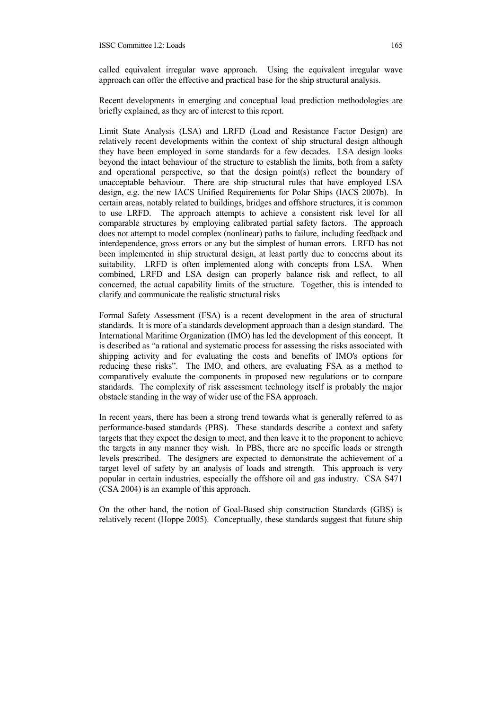called equivalent irregular wave approach. Using the equivalent irregular wave approach can offer the effective and practical base for the ship structural analysis.

Recent developments in emerging and conceptual load prediction methodologies are briefly explained, as they are of interest to this report.

Limit State Analysis (LSA) and LRFD (Load and Resistance Factor Design) are relatively recent developments within the context of ship structural design although they have been employed in some standards for a few decades. LSA design looks beyond the intact behaviour of the structure to establish the limits, both from a safety and operational perspective, so that the design point(s) reflect the boundary of unacceptable behaviour. There are ship structural rules that have employed LSA design, e.g. the new IACS Unified Requirements for Polar Ships (IACS 2007b). In certain areas, notably related to buildings, bridges and offshore structures, it is common to use LRFD. The approach attempts to achieve a consistent risk level for all comparable structures by employing calibrated partial safety factors. The approach does not attempt to model complex (nonlinear) paths to failure, including feedback and interdependence, gross errors or any but the simplest of human errors. LRFD has not been implemented in ship structural design, at least partly due to concerns about its suitability. LRFD is often implemented along with concepts from LSA. When combined, LRFD and LSA design can properly balance risk and reflect, to all concerned, the actual capability limits of the structure. Together, this is intended to clarify and communicate the realistic structural risks

Formal Safety Assessment (FSA) is a recent development in the area of structural standards. It is more of a standards development approach than a design standard. The International Maritime Organization (IMO) has led the development of this concept. It is described as "a rational and systematic process for assessing the risks associated with shipping activity and for evaluating the costs and benefits of IMO's options for reducing these risks". The IMO, and others, are evaluating FSA as a method to comparatively evaluate the components in proposed new regulations or to compare standards. The complexity of risk assessment technology itself is probably the major obstacle standing in the way of wider use of the FSA approach.

In recent years, there has been a strong trend towards what is generally referred to as performance-based standards (PBS). These standards describe a context and safety targets that they expect the design to meet, and then leave it to the proponent to achieve the targets in any manner they wish. In PBS, there are no specific loads or strength levels prescribed. The designers are expected to demonstrate the achievement of a target level of safety by an analysis of loads and strength. This approach is very popular in certain industries, especially the offshore oil and gas industry. CSA S471 (CSA 2004) is an example of this approach.

On the other hand, the notion of Goal-Based ship construction Standards (GBS) is relatively recent (Hoppe 2005). Conceptually, these standards suggest that future ship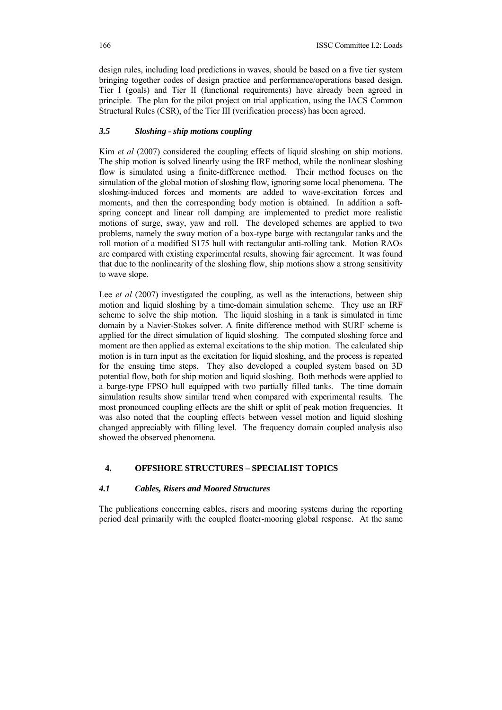design rules, including load predictions in waves, should be based on a five tier system bringing together codes of design practice and performance/operations based design. Tier I (goals) and Tier II (functional requirements) have already been agreed in principle. The plan for the pilot project on trial application, using the IACS Common Structural Rules (CSR), of the Tier III (verification process) has been agreed.

#### *3.5 Sloshing - ship motions coupling*

Kim *et al* (2007) considered the coupling effects of liquid sloshing on ship motions. The ship motion is solved linearly using the IRF method, while the nonlinear sloshing flow is simulated using a finite-difference method. Their method focuses on the simulation of the global motion of sloshing flow, ignoring some local phenomena. The sloshing-induced forces and moments are added to wave-excitation forces and moments, and then the corresponding body motion is obtained. In addition a softspring concept and linear roll damping are implemented to predict more realistic motions of surge, sway, yaw and roll. The developed schemes are applied to two problems, namely the sway motion of a box-type barge with rectangular tanks and the roll motion of a modified S175 hull with rectangular anti-rolling tank. Motion RAOs are compared with existing experimental results, showing fair agreement. It was found that due to the nonlinearity of the sloshing flow, ship motions show a strong sensitivity to wave slope.

Lee *et al* (2007) investigated the coupling, as well as the interactions, between ship motion and liquid sloshing by a time-domain simulation scheme. They use an IRF scheme to solve the ship motion. The liquid sloshing in a tank is simulated in time domain by a Navier-Stokes solver. A finite difference method with SURF scheme is applied for the direct simulation of liquid sloshing. The computed sloshing force and moment are then applied as external excitations to the ship motion. The calculated ship motion is in turn input as the excitation for liquid sloshing, and the process is repeated for the ensuing time steps. They also developed a coupled system based on 3D potential flow, both for ship motion and liquid sloshing. Both methods were applied to a barge-type FPSO hull equipped with two partially filled tanks. The time domain simulation results show similar trend when compared with experimental results. The most pronounced coupling effects are the shift or split of peak motion frequencies. It was also noted that the coupling effects between vessel motion and liquid sloshing changed appreciably with filling level. The frequency domain coupled analysis also showed the observed phenomena.

## **4. OFFSHORE STRUCTURES – SPECIALIST TOPICS**

## *4.1 Cables, Risers and Moored Structures*

The publications concerning cables, risers and mooring systems during the reporting period deal primarily with the coupled floater-mooring global response. At the same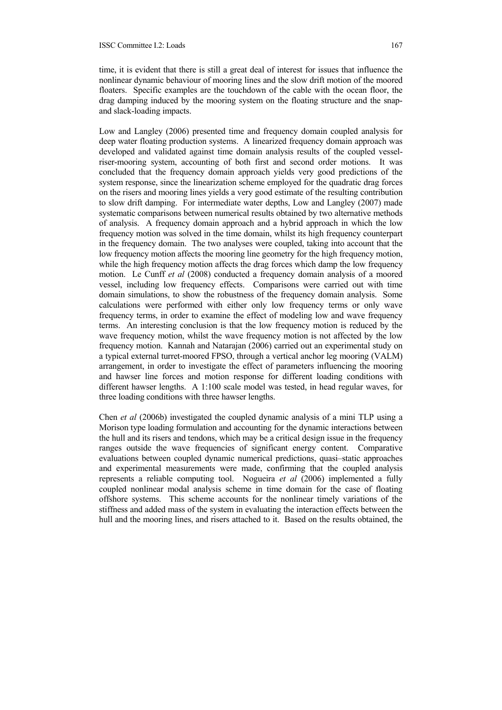time, it is evident that there is still a great deal of interest for issues that influence the nonlinear dynamic behaviour of mooring lines and the slow drift motion of the moored floaters. Specific examples are the touchdown of the cable with the ocean floor, the drag damping induced by the mooring system on the floating structure and the snapand slack-loading impacts.

Low and Langley (2006) presented time and frequency domain coupled analysis for deep water floating production systems. A linearized frequency domain approach was developed and validated against time domain analysis results of the coupled vesselriser-mooring system, accounting of both first and second order motions. It was concluded that the frequency domain approach yields very good predictions of the system response, since the linearization scheme employed for the quadratic drag forces on the risers and mooring lines yields a very good estimate of the resulting contribution to slow drift damping. For intermediate water depths, Low and Langley (2007) made systematic comparisons between numerical results obtained by two alternative methods of analysis. A frequency domain approach and a hybrid approach in which the low frequency motion was solved in the time domain, whilst its high frequency counterpart in the frequency domain. The two analyses were coupled, taking into account that the low frequency motion affects the mooring line geometry for the high frequency motion, while the high frequency motion affects the drag forces which damp the low frequency motion. Le Cunff *et al* (2008) conducted a frequency domain analysis of a moored vessel, including low frequency effects. Comparisons were carried out with time domain simulations, to show the robustness of the frequency domain analysis. Some calculations were performed with either only low frequency terms or only wave frequency terms, in order to examine the effect of modeling low and wave frequency terms. An interesting conclusion is that the low frequency motion is reduced by the wave frequency motion, whilst the wave frequency motion is not affected by the low frequency motion. Kannah and Natarajan (2006) carried out an experimental study on a typical external turret-moored FPSO, through a vertical anchor leg mooring (VALM) arrangement, in order to investigate the effect of parameters influencing the mooring and hawser line forces and motion response for different loading conditions with different hawser lengths. A 1:100 scale model was tested, in head regular waves, for three loading conditions with three hawser lengths.

Chen *et al* (2006b) investigated the coupled dynamic analysis of a mini TLP using a Morison type loading formulation and accounting for the dynamic interactions between the hull and its risers and tendons, which may be a critical design issue in the frequency ranges outside the wave frequencies of significant energy content. Comparative evaluations between coupled dynamic numerical predictions, quasi–static approaches and experimental measurements were made, confirming that the coupled analysis represents a reliable computing tool. Nogueira *et al* (2006) implemented a fully coupled nonlinear modal analysis scheme in time domain for the case of floating offshore systems. This scheme accounts for the nonlinear timely variations of the stiffness and added mass of the system in evaluating the interaction effects between the hull and the mooring lines, and risers attached to it. Based on the results obtained, the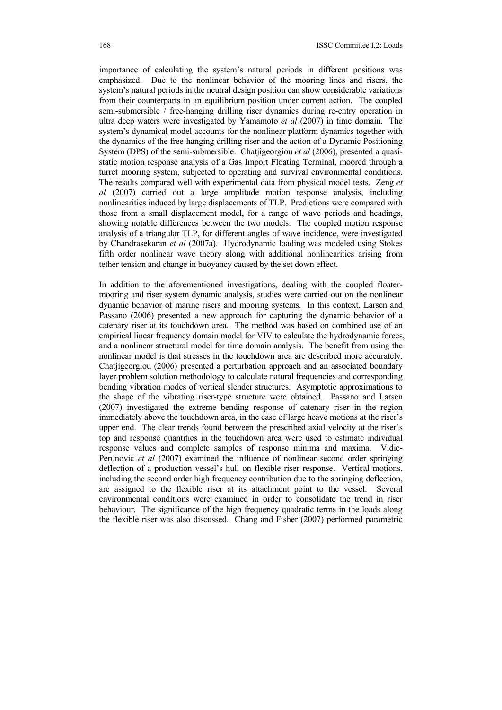importance of calculating the system's natural periods in different positions was emphasized. Due to the nonlinear behavior of the mooring lines and risers, the system's natural periods in the neutral design position can show considerable variations from their counterparts in an equilibrium position under current action. The coupled semi-submersible / free-hanging drilling riser dynamics during re-entry operation in ultra deep waters were investigated by Yamamoto *et al* (2007) in time domain. The system's dynamical model accounts for the nonlinear platform dynamics together with the dynamics of the free-hanging drilling riser and the action of a Dynamic Positioning System (DPS) of the semi-submersible. Chatjigeorgiou *et al* (2006), presented a quasistatic motion response analysis of a Gas Import Floating Terminal, moored through a turret mooring system, subjected to operating and survival environmental conditions. The results compared well with experimental data from physical model tests. Zeng *et al* (2007) carried out a large amplitude motion response analysis, including nonlinearities induced by large displacements of TLP. Predictions were compared with those from a small displacement model, for a range of wave periods and headings, showing notable differences between the two models. The coupled motion response analysis of a triangular TLP, for different angles of wave incidence, were investigated by Chandrasekaran *et al* (2007a). Hydrodynamic loading was modeled using Stokes fifth order nonlinear wave theory along with additional nonlinearities arising from tether tension and change in buoyancy caused by the set down effect.

In addition to the aforementioned investigations, dealing with the coupled floatermooring and riser system dynamic analysis, studies were carried out on the nonlinear dynamic behavior of marine risers and mooring systems. In this context, Larsen and Passano (2006) presented a new approach for capturing the dynamic behavior of a catenary riser at its touchdown area. The method was based on combined use of an empirical linear frequency domain model for VIV to calculate the hydrodynamic forces, and a nonlinear structural model for time domain analysis. The benefit from using the nonlinear model is that stresses in the touchdown area are described more accurately. Chatiigeorgiou (2006) presented a perturbation approach and an associated boundary layer problem solution methodology to calculate natural frequencies and corresponding bending vibration modes of vertical slender structures. Asymptotic approximations to the shape of the vibrating riser-type structure were obtained. Passano and Larsen (2007) investigated the extreme bending response of catenary riser in the region immediately above the touchdown area, in the case of large heave motions at the riser's upper end. The clear trends found between the prescribed axial velocity at the riser's top and response quantities in the touchdown area were used to estimate individual response values and complete samples of response minima and maxima. Vidic-Perunovic *et al* (2007) examined the influence of nonlinear second order springing deflection of a production vessel's hull on flexible riser response. Vertical motions, including the second order high frequency contribution due to the springing deflection, are assigned to the flexible riser at its attachment point to the vessel. Several environmental conditions were examined in order to consolidate the trend in riser behaviour. The significance of the high frequency quadratic terms in the loads along the flexible riser was also discussed. Chang and Fisher (2007) performed parametric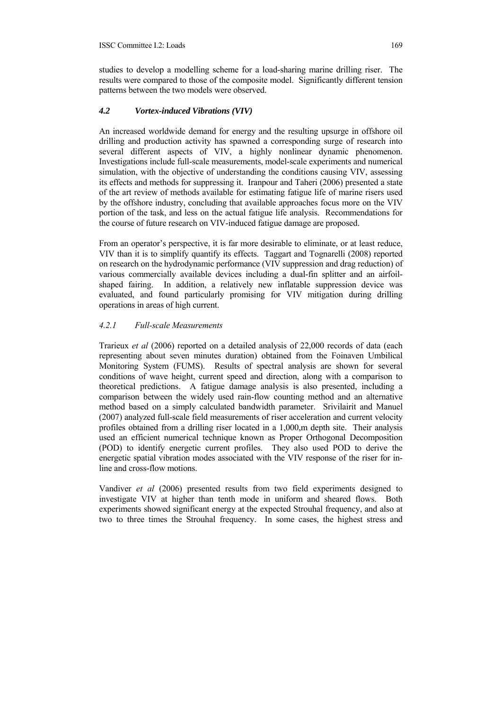studies to develop a modelling scheme for a load-sharing marine drilling riser. The results were compared to those of the composite model. Significantly different tension patterns between the two models were observed.

## *4.2 Vortex-induced Vibrations (VIV)*

An increased worldwide demand for energy and the resulting upsurge in offshore oil drilling and production activity has spawned a corresponding surge of research into several different aspects of VIV, a highly nonlinear dynamic phenomenon. Investigations include full-scale measurements, model-scale experiments and numerical simulation, with the objective of understanding the conditions causing VIV, assessing its effects and methods for suppressing it. Iranpour and Taheri (2006) presented a state of the art review of methods available for estimating fatigue life of marine risers used by the offshore industry, concluding that available approaches focus more on the VIV portion of the task, and less on the actual fatigue life analysis. Recommendations for the course of future research on VIV-induced fatigue damage are proposed.

From an operator's perspective, it is far more desirable to eliminate, or at least reduce, VIV than it is to simplify quantify its effects. Taggart and Tognarelli (2008) reported on research on the hydrodynamic performance (VIV suppression and drag reduction) of various commercially available devices including a dual-fin splitter and an airfoilshaped fairing. In addition, a relatively new inflatable suppression device was evaluated, and found particularly promising for VIV mitigation during drilling operations in areas of high current.

# *4.2.1 Full-scale Measurements*

Trarieux *et al* (2006) reported on a detailed analysis of 22,000 records of data (each representing about seven minutes duration) obtained from the Foinaven Umbilical Monitoring System (FUMS). Results of spectral analysis are shown for several conditions of wave height, current speed and direction, along with a comparison to theoretical predictions. A fatigue damage analysis is also presented, including a comparison between the widely used rain-flow counting method and an alternative method based on a simply calculated bandwidth parameter. Srivilairit and Manuel (2007) analyzed full-scale field measurements of riser acceleration and current velocity profiles obtained from a drilling riser located in a 1,000,m depth site. Their analysis used an efficient numerical technique known as Proper Orthogonal Decomposition (POD) to identify energetic current profiles. They also used POD to derive the energetic spatial vibration modes associated with the VIV response of the riser for inline and cross-flow motions.

Vandiver *et al* (2006) presented results from two field experiments designed to investigate VIV at higher than tenth mode in uniform and sheared flows. Both experiments showed significant energy at the expected Strouhal frequency, and also at two to three times the Strouhal frequency. In some cases, the highest stress and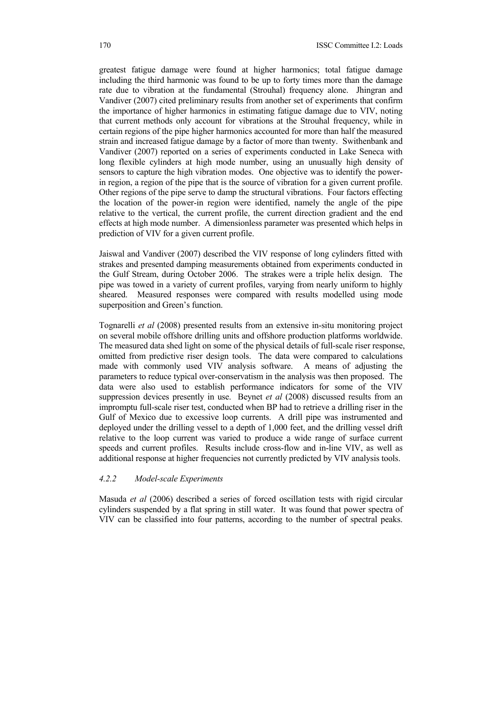greatest fatigue damage were found at higher harmonics; total fatigue damage including the third harmonic was found to be up to forty times more than the damage rate due to vibration at the fundamental (Strouhal) frequency alone. Jhingran and Vandiver (2007) cited preliminary results from another set of experiments that confirm the importance of higher harmonics in estimating fatigue damage due to VIV, noting that current methods only account for vibrations at the Strouhal frequency, while in certain regions of the pipe higher harmonics accounted for more than half the measured strain and increased fatigue damage by a factor of more than twenty. Swithenbank and Vandiver (2007) reported on a series of experiments conducted in Lake Seneca with long flexible cylinders at high mode number, using an unusually high density of sensors to capture the high vibration modes. One objective was to identify the powerin region, a region of the pipe that is the source of vibration for a given current profile. Other regions of the pipe serve to damp the structural vibrations. Four factors effecting the location of the power-in region were identified, namely the angle of the pipe relative to the vertical, the current profile, the current direction gradient and the end effects at high mode number. A dimensionless parameter was presented which helps in prediction of VIV for a given current profile.

Jaiswal and Vandiver (2007) described the VIV response of long cylinders fitted with strakes and presented damping measurements obtained from experiments conducted in the Gulf Stream, during October 2006. The strakes were a triple helix design. The pipe was towed in a variety of current profiles, varying from nearly uniform to highly sheared. Measured responses were compared with results modelled using mode superposition and Green's function.

Tognarelli *et al* (2008) presented results from an extensive in-situ monitoring project on several mobile offshore drilling units and offshore production platforms worldwide. The measured data shed light on some of the physical details of full-scale riser response, omitted from predictive riser design tools. The data were compared to calculations made with commonly used VIV analysis software. A means of adjusting the parameters to reduce typical over-conservatism in the analysis was then proposed. The data were also used to establish performance indicators for some of the VIV suppression devices presently in use. Beynet *et al* (2008) discussed results from an impromptu full-scale riser test, conducted when BP had to retrieve a drilling riser in the Gulf of Mexico due to excessive loop currents. A drill pipe was instrumented and deployed under the drilling vessel to a depth of 1,000 feet, and the drilling vessel drift relative to the loop current was varied to produce a wide range of surface current speeds and current profiles. Results include cross-flow and in-line VIV, as well as additional response at higher frequencies not currently predicted by VIV analysis tools.

#### *4.2.2 Model-scale Experiments*

Masuda *et al* (2006) described a series of forced oscillation tests with rigid circular cylinders suspended by a flat spring in still water. It was found that power spectra of VIV can be classified into four patterns, according to the number of spectral peaks.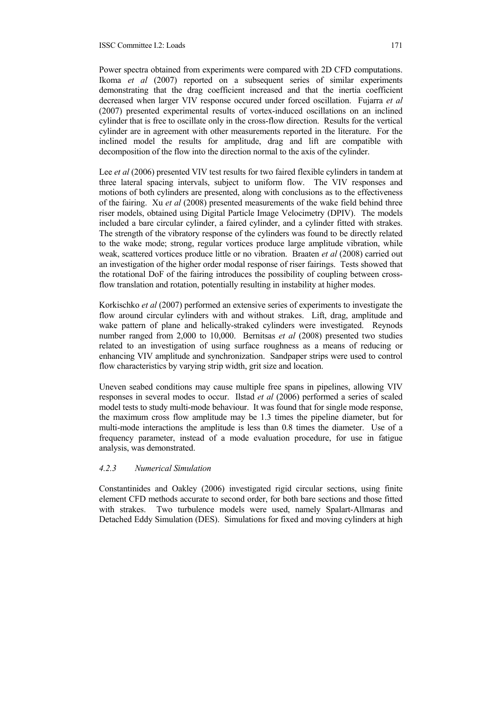Power spectra obtained from experiments were compared with 2D CFD computations. Ikoma *et al* (2007) reported on a subsequent series of similar experiments demonstrating that the drag coefficient increased and that the inertia coefficient decreased when larger VIV response occured under forced oscillation. Fujarra *et al* (2007) presented experimental results of vortex-induced oscillations on an inclined cylinder that is free to oscillate only in the cross-flow direction. Results for the vertical cylinder are in agreement with other measurements reported in the literature. For the inclined model the results for amplitude, drag and lift are compatible with decomposition of the flow into the direction normal to the axis of the cylinder.

Lee *et al* (2006) presented VIV test results for two faired flexible cylinders in tandem at three lateral spacing intervals, subject to uniform flow. The VIV responses and motions of both cylinders are presented, along with conclusions as to the effectiveness of the fairing. Xu *et al* (2008) presented measurements of the wake field behind three riser models, obtained using Digital Particle Image Velocimetry (DPIV). The models included a bare circular cylinder, a faired cylinder, and a cylinder fitted with strakes. The strength of the vibratory response of the cylinders was found to be directly related to the wake mode; strong, regular vortices produce large amplitude vibration, while weak, scattered vortices produce little or no vibration. Braaten *et al* (2008) carried out an investigation of the higher order modal response of riser fairings. Tests showed that the rotational DoF of the fairing introduces the possibility of coupling between crossflow translation and rotation, potentially resulting in instability at higher modes.

Korkischko *et al* (2007) performed an extensive series of experiments to investigate the flow around circular cylinders with and without strakes. Lift, drag, amplitude and wake pattern of plane and helically-straked cylinders were investigated. Reynods number ranged from 2,000 to 10,000. Bernitsas *et al* (2008) presented two studies related to an investigation of using surface roughness as a means of reducing or enhancing VIV amplitude and synchronization. Sandpaper strips were used to control flow characteristics by varying strip width, grit size and location.

Uneven seabed conditions may cause multiple free spans in pipelines, allowing VIV responses in several modes to occur. Ilstad *et al* (2006) performed a series of scaled model tests to study multi-mode behaviour. It was found that for single mode response, the maximum cross flow amplitude may be 1.3 times the pipeline diameter, but for multi-mode interactions the amplitude is less than 0.8 times the diameter. Use of a frequency parameter, instead of a mode evaluation procedure, for use in fatigue analysis, was demonstrated.

#### *4.2.3 Numerical Simulation*

Constantinides and Oakley (2006) investigated rigid circular sections, using finite element CFD methods accurate to second order, for both bare sections and those fitted with strakes. Two turbulence models were used, namely Spalart-Allmaras and Detached Eddy Simulation (DES). Simulations for fixed and moving cylinders at high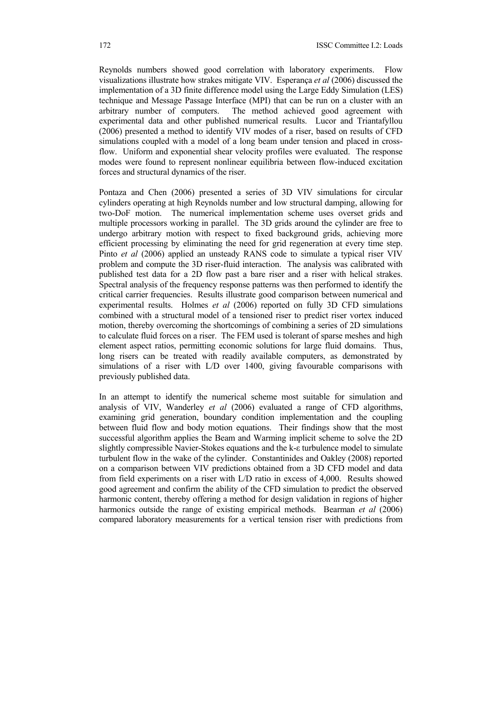Reynolds numbers showed good correlation with laboratory experiments. Flow visualizations illustrate how strakes mitigate VIV. Esperança *et al* (2006) discussed the implementation of a 3D finite difference model using the Large Eddy Simulation (LES) technique and Message Passage Interface (MPI) that can be run on a cluster with an arbitrary number of computers. The method achieved good agreement with experimental data and other published numerical results. Lucor and Triantafyllou (2006) presented a method to identify VIV modes of a riser, based on results of CFD simulations coupled with a model of a long beam under tension and placed in crossflow. Uniform and exponential shear velocity profiles were evaluated. The response modes were found to represent nonlinear equilibria between flow-induced excitation forces and structural dynamics of the riser.

Pontaza and Chen (2006) presented a series of 3D VIV simulations for circular cylinders operating at high Reynolds number and low structural damping, allowing for two-DoF motion. The numerical implementation scheme uses overset grids and multiple processors working in parallel. The 3D grids around the cylinder are free to undergo arbitrary motion with respect to fixed background grids, achieving more efficient processing by eliminating the need for grid regeneration at every time step. Pinto *et al* (2006) applied an unsteady RANS code to simulate a typical riser VIV problem and compute the 3D riser-fluid interaction. The analysis was calibrated with published test data for a 2D flow past a bare riser and a riser with helical strakes. Spectral analysis of the frequency response patterns was then performed to identify the critical carrier frequencies. Results illustrate good comparison between numerical and experimental results. Holmes *et al* (2006) reported on fully 3D CFD simulations combined with a structural model of a tensioned riser to predict riser vortex induced motion, thereby overcoming the shortcomings of combining a series of 2D simulations to calculate fluid forces on a riser. The FEM used is tolerant of sparse meshes and high element aspect ratios, permitting economic solutions for large fluid domains. Thus, long risers can be treated with readily available computers, as demonstrated by simulations of a riser with L/D over 1400, giving favourable comparisons with previously published data.

In an attempt to identify the numerical scheme most suitable for simulation and analysis of VIV, Wanderley *et al* (2006) evaluated a range of CFD algorithms, examining grid generation, boundary condition implementation and the coupling between fluid flow and body motion equations. Their findings show that the most successful algorithm applies the Beam and Warming implicit scheme to solve the 2D slightly compressible Navier-Stokes equations and the k-ε turbulence model to simulate turbulent flow in the wake of the cylinder. Constantinides and Oakley (2008) reported on a comparison between VIV predictions obtained from a 3D CFD model and data from field experiments on a riser with L/D ratio in excess of 4,000. Results showed good agreement and confirm the ability of the CFD simulation to predict the observed harmonic content, thereby offering a method for design validation in regions of higher harmonics outside the range of existing empirical methods. Bearman *et al* (2006) compared laboratory measurements for a vertical tension riser with predictions from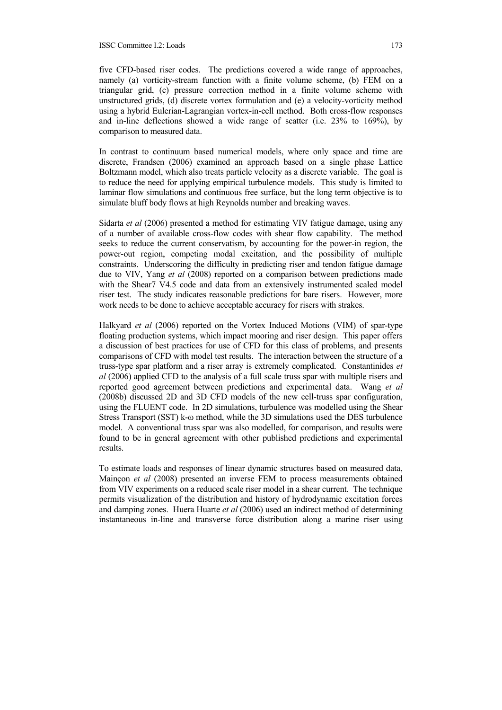five CFD-based riser codes. The predictions covered a wide range of approaches, namely (a) vorticity-stream function with a finite volume scheme, (b) FEM on a triangular grid, (c) pressure correction method in a finite volume scheme with unstructured grids, (d) discrete vortex formulation and (e) a velocity-vorticity method using a hybrid Eulerian-Lagrangian vortex-in-cell method. Both cross-flow responses and in-line deflections showed a wide range of scatter (i.e. 23% to 169%), by comparison to measured data.

In contrast to continuum based numerical models, where only space and time are discrete, Frandsen (2006) examined an approach based on a single phase Lattice Boltzmann model, which also treats particle velocity as a discrete variable. The goal is to reduce the need for applying empirical turbulence models. This study is limited to laminar flow simulations and continuous free surface, but the long term objective is to simulate bluff body flows at high Reynolds number and breaking waves.

Sidarta *et al* (2006) presented a method for estimating VIV fatigue damage, using any of a number of available cross-flow codes with shear flow capability. The method seeks to reduce the current conservatism, by accounting for the power-in region, the power-out region, competing modal excitation, and the possibility of multiple constraints. Underscoring the difficulty in predicting riser and tendon fatigue damage due to VIV, Yang *et al* (2008) reported on a comparison between predictions made with the Shear7 V4.5 code and data from an extensively instrumented scaled model riser test. The study indicates reasonable predictions for bare risers. However, more work needs to be done to achieve acceptable accuracy for risers with strakes.

Halkyard *et al* (2006) reported on the Vortex Induced Motions (VIM) of spar-type floating production systems, which impact mooring and riser design. This paper offers a discussion of best practices for use of CFD for this class of problems, and presents comparisons of CFD with model test results. The interaction between the structure of a truss-type spar platform and a riser array is extremely complicated. Constantinides *et al* (2006) applied CFD to the analysis of a full scale truss spar with multiple risers and reported good agreement between predictions and experimental data. Wang *et al* (2008b) discussed 2D and 3D CFD models of the new cell-truss spar configuration, using the FLUENT code. In 2D simulations, turbulence was modelled using the Shear Stress Transport (SST) k-ω method, while the 3D simulations used the DES turbulence model. A conventional truss spar was also modelled, for comparison, and results were found to be in general agreement with other published predictions and experimental results.

To estimate loads and responses of linear dynamic structures based on measured data, Mainçon *et al* (2008) presented an inverse FEM to process measurements obtained from VIV experiments on a reduced scale riser model in a shear current. The technique permits visualization of the distribution and history of hydrodynamic excitation forces and damping zones. Huera Huarte *et al* (2006) used an indirect method of determining instantaneous in-line and transverse force distribution along a marine riser using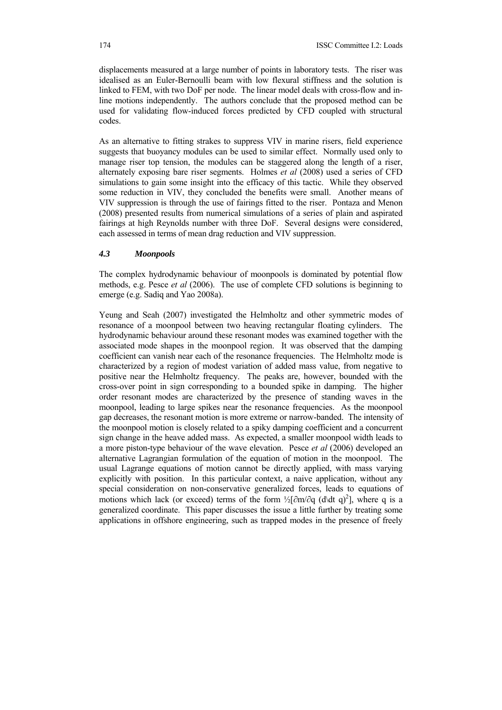displacements measured at a large number of points in laboratory tests. The riser was idealised as an Euler-Bernoulli beam with low flexural stiffness and the solution is linked to FEM, with two DoF per node. The linear model deals with cross-flow and inline motions independently. The authors conclude that the proposed method can be used for validating flow-induced forces predicted by CFD coupled with structural codes.

As an alternative to fitting strakes to suppress VIV in marine risers, field experience suggests that buoyancy modules can be used to similar effect. Normally used only to manage riser top tension, the modules can be staggered along the length of a riser, alternately exposing bare riser segments. Holmes *et al* (2008) used a series of CFD simulations to gain some insight into the efficacy of this tactic. While they observed some reduction in VIV, they concluded the benefits were small. Another means of VIV suppression is through the use of fairings fitted to the riser. Pontaza and Menon (2008) presented results from numerical simulations of a series of plain and aspirated fairings at high Reynolds number with three DoF. Several designs were considered, each assessed in terms of mean drag reduction and VIV suppression.

# *4.3 Moonpools*

The complex hydrodynamic behaviour of moonpools is dominated by potential flow methods, e.g. Pesce *et al* (2006). The use of complete CFD solutions is beginning to emerge (e.g. Sadiq and Yao 2008a).

Yeung and Seah (2007) investigated the Helmholtz and other symmetric modes of resonance of a moonpool between two heaving rectangular floating cylinders. The hydrodynamic behaviour around these resonant modes was examined together with the associated mode shapes in the moonpool region. It was observed that the damping coefficient can vanish near each of the resonance frequencies. The Helmholtz mode is characterized by a region of modest variation of added mass value, from negative to positive near the Helmholtz frequency. The peaks are, however, bounded with the cross-over point in sign corresponding to a bounded spike in damping. The higher order resonant modes are characterized by the presence of standing waves in the moonpool, leading to large spikes near the resonance frequencies. As the moonpool gap decreases, the resonant motion is more extreme or narrow-banded. The intensity of the moonpool motion is closely related to a spiky damping coefficient and a concurrent sign change in the heave added mass. As expected, a smaller moonpool width leads to a more piston-type behaviour of the wave elevation. Pesce *et al* (2006) developed an alternative Lagrangian formulation of the equation of motion in the moonpool. The usual Lagrange equations of motion cannot be directly applied, with mass varying explicitly with position. In this particular context, a naive application, without any special consideration on non-conservative generalized forces, leads to equations of motions which lack (or exceed) terms of the form  $\frac{1}{2}$ [∂m/∂q (d\dt q)<sup>2</sup>], where q is a generalized coordinate. This paper discusses the issue a little further by treating some applications in offshore engineering, such as trapped modes in the presence of freely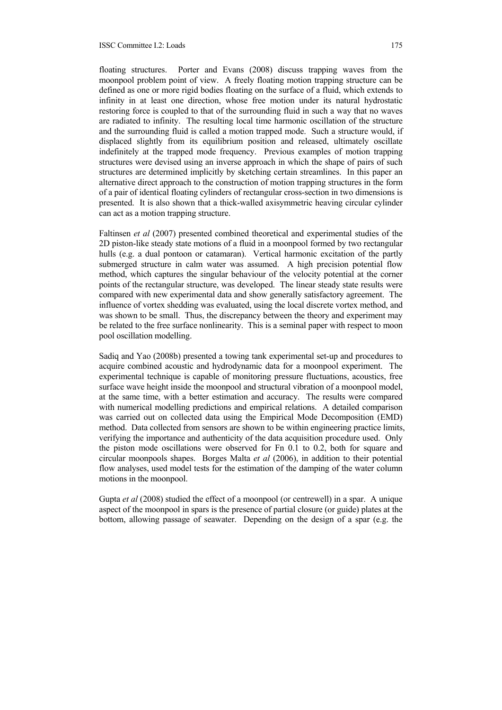floating structures. Porter and Evans (2008) discuss trapping waves from the moonpool problem point of view. A freely floating motion trapping structure can be defined as one or more rigid bodies floating on the surface of a fluid, which extends to infinity in at least one direction, whose free motion under its natural hydrostatic restoring force is coupled to that of the surrounding fluid in such a way that no waves are radiated to infinity. The resulting local time harmonic oscillation of the structure and the surrounding fluid is called a motion trapped mode. Such a structure would, if displaced slightly from its equilibrium position and released, ultimately oscillate indefinitely at the trapped mode frequency. Previous examples of motion trapping structures were devised using an inverse approach in which the shape of pairs of such structures are determined implicitly by sketching certain streamlines. In this paper an alternative direct approach to the construction of motion trapping structures in the form of a pair of identical floating cylinders of rectangular cross-section in two dimensions is presented. It is also shown that a thick-walled axisymmetric heaving circular cylinder can act as a motion trapping structure.

Faltinsen *et al* (2007) presented combined theoretical and experimental studies of the 2D piston-like steady state motions of a fluid in a moonpool formed by two rectangular hulls (e.g. a dual pontoon or catamaran). Vertical harmonic excitation of the partly submerged structure in calm water was assumed. A high precision potential flow method, which captures the singular behaviour of the velocity potential at the corner points of the rectangular structure, was developed. The linear steady state results were compared with new experimental data and show generally satisfactory agreement. The influence of vortex shedding was evaluated, using the local discrete vortex method, and was shown to be small. Thus, the discrepancy between the theory and experiment may be related to the free surface nonlinearity. This is a seminal paper with respect to moon pool oscillation modelling.

Sadiq and Yao (2008b) presented a towing tank experimental set-up and procedures to acquire combined acoustic and hydrodynamic data for a moonpool experiment. The experimental technique is capable of monitoring pressure fluctuations, acoustics, free surface wave height inside the moonpool and structural vibration of a moonpool model, at the same time, with a better estimation and accuracy. The results were compared with numerical modelling predictions and empirical relations. A detailed comparison was carried out on collected data using the Empirical Mode Decomposition (EMD) method. Data collected from sensors are shown to be within engineering practice limits, verifying the importance and authenticity of the data acquisition procedure used. Only the piston mode oscillations were observed for Fn 0.1 to 0.2, both for square and circular moonpools shapes. Borges Malta *et al* (2006), in addition to their potential flow analyses, used model tests for the estimation of the damping of the water column motions in the moonpool.

Gupta *et al* (2008) studied the effect of a moonpool (or centrewell) in a spar. A unique aspect of the moonpool in spars is the presence of partial closure (or guide) plates at the bottom, allowing passage of seawater. Depending on the design of a spar (e.g. the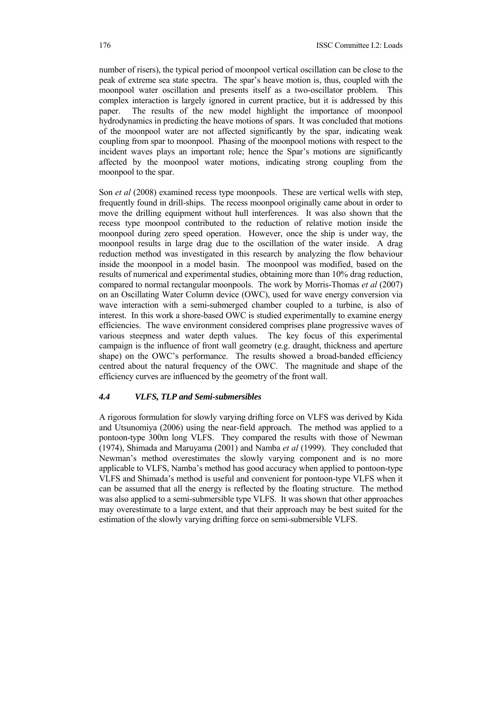number of risers), the typical period of moonpool vertical oscillation can be close to the peak of extreme sea state spectra. The spar's heave motion is, thus, coupled with the moonpool water oscillation and presents itself as a two-oscillator problem. This complex interaction is largely ignored in current practice, but it is addressed by this paper. The results of the new model highlight the importance of moonpool hydrodynamics in predicting the heave motions of spars. It was concluded that motions of the moonpool water are not affected significantly by the spar, indicating weak coupling from spar to moonpool. Phasing of the moonpool motions with respect to the incident waves plays an important role; hence the Spar's motions are significantly affected by the moonpool water motions, indicating strong coupling from the moonpool to the spar.

Son *et al* (2008) examined recess type moonpools. These are vertical wells with step, frequently found in drill-ships. The recess moonpool originally came about in order to move the drilling equipment without hull interferences. It was also shown that the recess type moonpool contributed to the reduction of relative motion inside the moonpool during zero speed operation. However, once the ship is under way, the moonpool results in large drag due to the oscillation of the water inside. A drag reduction method was investigated in this research by analyzing the flow behaviour inside the moonpool in a model basin. The moonpool was modified, based on the results of numerical and experimental studies, obtaining more than 10% drag reduction, compared to normal rectangular moonpools. The work by Morris-Thomas *et al* (2007) on an Oscillating Water Column device (OWC), used for wave energy conversion via wave interaction with a semi-submerged chamber coupled to a turbine, is also of interest. In this work a shore-based OWC is studied experimentally to examine energy efficiencies. The wave environment considered comprises plane progressive waves of various steepness and water depth values. The key focus of this experimental campaign is the influence of front wall geometry (e.g. draught, thickness and aperture shape) on the OWC's performance. The results showed a broad-banded efficiency centred about the natural frequency of the OWC. The magnitude and shape of the efficiency curves are influenced by the geometry of the front wall.

## *4.4 VLFS, TLP and Semi-submersibles*

A rigorous formulation for slowly varying drifting force on VLFS was derived by Kida and Utsunomiya (2006) using the near-field approach. The method was applied to a pontoon-type 300m long VLFS. They compared the results with those of Newman (1974), Shimada and Maruyama (2001) and Namba *et al* (1999). They concluded that Newman's method overestimates the slowly varying component and is no more applicable to VLFS, Namba's method has good accuracy when applied to pontoon-type VLFS and Shimada's method is useful and convenient for pontoon-type VLFS when it can be assumed that all the energy is reflected by the floating structure. The method was also applied to a semi-submersible type VLFS. It was shown that other approaches may overestimate to a large extent, and that their approach may be best suited for the estimation of the slowly varying drifting force on semi-submersible VLFS.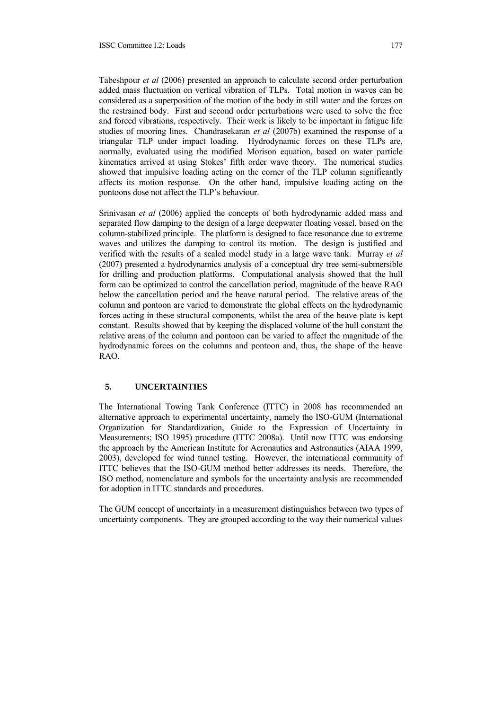Tabeshpour *et al* (2006) presented an approach to calculate second order perturbation added mass fluctuation on vertical vibration of TLPs. Total motion in waves can be considered as a superposition of the motion of the body in still water and the forces on the restrained body. First and second order perturbations were used to solve the free and forced vibrations, respectively. Their work is likely to be important in fatigue life studies of mooring lines. Chandrasekaran *et al* (2007b) examined the response of a triangular TLP under impact loading. Hydrodynamic forces on these TLPs are, normally, evaluated using the modified Morison equation, based on water particle kinematics arrived at using Stokes' fifth order wave theory. The numerical studies showed that impulsive loading acting on the corner of the TLP column significantly affects its motion response. On the other hand, impulsive loading acting on the pontoons dose not affect the TLP's behaviour.

Srinivasan *et al* (2006) applied the concepts of both hydrodynamic added mass and separated flow damping to the design of a large deepwater floating vessel, based on the column-stabilized principle. The platform is designed to face resonance due to extreme waves and utilizes the damping to control its motion. The design is justified and verified with the results of a scaled model study in a large wave tank. Murray *et al* (2007) presented a hydrodynamics analysis of a conceptual dry tree semi-submersible for drilling and production platforms. Computational analysis showed that the hull form can be optimized to control the cancellation period, magnitude of the heave RAO below the cancellation period and the heave natural period. The relative areas of the column and pontoon are varied to demonstrate the global effects on the hydrodynamic forces acting in these structural components, whilst the area of the heave plate is kept constant. Results showed that by keeping the displaced volume of the hull constant the relative areas of the column and pontoon can be varied to affect the magnitude of the hydrodynamic forces on the columns and pontoon and, thus, the shape of the heave RAO.

# **5. UNCERTAINTIES**

The International Towing Tank Conference (ITTC) in 2008 has recommended an alternative approach to experimental uncertainty, namely the ISO-GUM (International Organization for Standardization, Guide to the Expression of Uncertainty in Measurements; ISO 1995) procedure (ITTC 2008a). Until now ITTC was endorsing the approach by the American Institute for Aeronautics and Astronautics (AIAA 1999, 2003), developed for wind tunnel testing. However, the international community of ITTC believes that the ISO-GUM method better addresses its needs. Therefore, the ISO method, nomenclature and symbols for the uncertainty analysis are recommended for adoption in ITTC standards and procedures.

The GUM concept of uncertainty in a measurement distinguishes between two types of uncertainty components. They are grouped according to the way their numerical values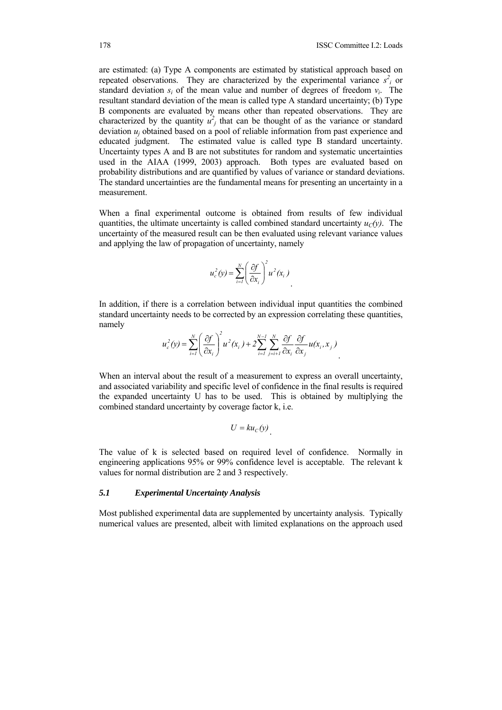are estimated: (a) Type A components are estimated by statistical approach based on repeated observations. They are characterized by the experimental variance  $s^2$  or standard deviation *si* of the mean value and number of degrees of freedom *νi*. The resultant standard deviation of the mean is called type A standard uncertainty; (b) Type B components are evaluated by means other than repeated observations. They are characterized by the quantity  $u_j^2$  that can be thought of as the variance or standard deviation  $u_i$  obtained based on a pool of reliable information from past experience and educated judgment. The estimated value is called type B standard uncertainty. Uncertainty types A and B are not substitutes for random and systematic uncertainties used in the AIAA (1999, 2003) approach. Both types are evaluated based on probability distributions and are quantified by values of variance or standard deviations. The standard uncertainties are the fundamental means for presenting an uncertainty in a measurement.

When a final experimental outcome is obtained from results of few individual quantities, the ultimate uncertainty is called combined standard uncertainty  $u_C(y)$ . The uncertainty of the measured result can be then evaluated using relevant variance values and applying the law of propagation of uncertainty, namely

$$
u_c^2(y) = \sum_{i=1}^N \left(\frac{\partial f}{\partial x_i}\right)^2 u^2(x_i)
$$

In addition, if there is a correlation between individual input quantities the combined standard uncertainty needs to be corrected by an expression correlating these quantities, namely

$$
u_c^2(y) = \sum_{i=1}^N \left(\frac{\partial f}{\partial x_i}\right)^2 u^2(x_i) + 2 \sum_{i=1}^{N-1} \sum_{j=i+1}^N \frac{\partial f}{\partial x_i} \frac{\partial f}{\partial x_j} u(x_i, x_j)
$$

When an interval about the result of a measurement to express an overall uncertainty, and associated variability and specific level of confidence in the final results is required the expanded uncertainty U has to be used. This is obtained by multiplying the combined standard uncertainty by coverage factor k, i.e.

$$
U = ku_C(y)
$$

The value of k is selected based on required level of confidence. Normally in engineering applications 95% or 99% confidence level is acceptable. The relevant k values for normal distribution are 2 and 3 respectively.

#### *5.1 Experimental Uncertainty Analysis*

Most published experimental data are supplemented by uncertainty analysis. Typically numerical values are presented, albeit with limited explanations on the approach used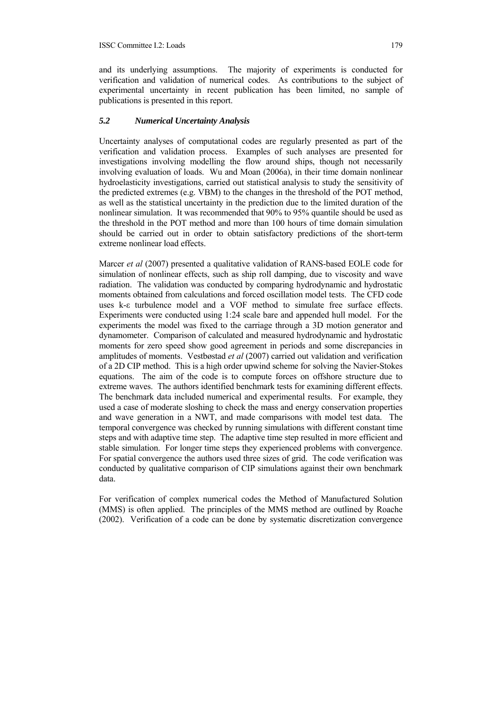and its underlying assumptions. The majority of experiments is conducted for verification and validation of numerical codes. As contributions to the subject of experimental uncertainty in recent publication has been limited, no sample of publications is presented in this report.

#### *5.2 Numerical Uncertainty Analysis*

Uncertainty analyses of computational codes are regularly presented as part of the verification and validation process. Examples of such analyses are presented for investigations involving modelling the flow around ships, though not necessarily involving evaluation of loads. Wu and Moan (2006a), in their time domain nonlinear hydroelasticity investigations, carried out statistical analysis to study the sensitivity of the predicted extremes (e.g. VBM) to the changes in the threshold of the POT method, as well as the statistical uncertainty in the prediction due to the limited duration of the nonlinear simulation. It was recommended that 90% to 95% quantile should be used as the threshold in the POT method and more than 100 hours of time domain simulation should be carried out in order to obtain satisfactory predictions of the short-term extreme nonlinear load effects.

Marcer *et al* (2007) presented a qualitative validation of RANS-based EOLE code for simulation of nonlinear effects, such as ship roll damping, due to viscosity and wave radiation. The validation was conducted by comparing hydrodynamic and hydrostatic moments obtained from calculations and forced oscillation model tests. The CFD code uses k-ε turbulence model and a VOF method to simulate free surface effects. Experiments were conducted using 1:24 scale bare and appended hull model. For the experiments the model was fixed to the carriage through a 3D motion generator and dynamometer. Comparison of calculated and measured hydrodynamic and hydrostatic moments for zero speed show good agreement in periods and some discrepancies in amplitudes of moments. Vestbøstad *et al* (2007) carried out validation and verification of a 2D CIP method. This is a high order upwind scheme for solving the Navier-Stokes equations. The aim of the code is to compute forces on offshore structure due to extreme waves. The authors identified benchmark tests for examining different effects. The benchmark data included numerical and experimental results. For example, they used a case of moderate sloshing to check the mass and energy conservation properties and wave generation in a NWT, and made comparisons with model test data. The temporal convergence was checked by running simulations with different constant time steps and with adaptive time step. The adaptive time step resulted in more efficient and stable simulation. For longer time steps they experienced problems with convergence. For spatial convergence the authors used three sizes of grid. The code verification was conducted by qualitative comparison of CIP simulations against their own benchmark data.

For verification of complex numerical codes the Method of Manufactured Solution (MMS) is often applied. The principles of the MMS method are outlined by Roache (2002). Verification of a code can be done by systematic discretization convergence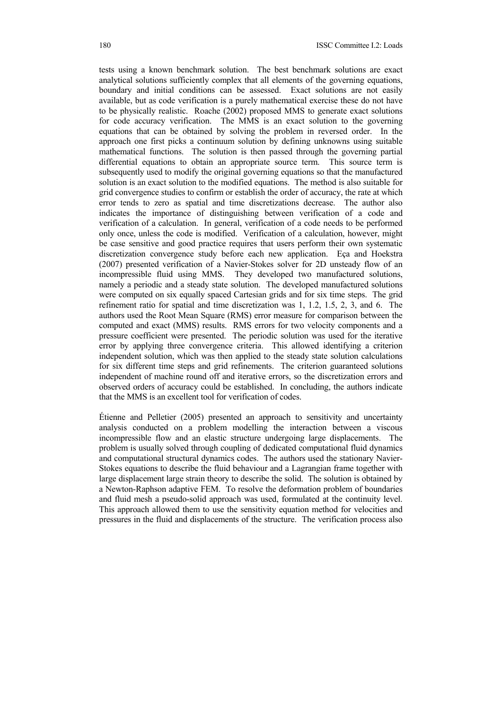tests using a known benchmark solution. The best benchmark solutions are exact analytical solutions sufficiently complex that all elements of the governing equations, boundary and initial conditions can be assessed. Exact solutions are not easily available, but as code verification is a purely mathematical exercise these do not have to be physically realistic. Roache (2002) proposed MMS to generate exact solutions for code accuracy verification. The MMS is an exact solution to the governing equations that can be obtained by solving the problem in reversed order. In the approach one first picks a continuum solution by defining unknowns using suitable mathematical functions. The solution is then passed through the governing partial differential equations to obtain an appropriate source term. This source term is subsequently used to modify the original governing equations so that the manufactured solution is an exact solution to the modified equations. The method is also suitable for grid convergence studies to confirm or establish the order of accuracy, the rate at which error tends to zero as spatial and time discretizations decrease. The author also indicates the importance of distinguishing between verification of a code and verification of a calculation. In general, verification of a code needs to be performed only once, unless the code is modified. Verification of a calculation, however, might be case sensitive and good practice requires that users perform their own systematic discretization convergence study before each new application. Eça and Hoekstra (2007) presented verification of a Navier-Stokes solver for 2D unsteady flow of an incompressible fluid using MMS. They developed two manufactured solutions, namely a periodic and a steady state solution. The developed manufactured solutions were computed on six equally spaced Cartesian grids and for six time steps. The grid refinement ratio for spatial and time discretization was 1, 1.2, 1.5, 2, 3, and 6. The authors used the Root Mean Square (RMS) error measure for comparison between the computed and exact (MMS) results. RMS errors for two velocity components and a pressure coefficient were presented. The periodic solution was used for the iterative error by applying three convergence criteria. This allowed identifying a criterion independent solution, which was then applied to the steady state solution calculations for six different time steps and grid refinements. The criterion guaranteed solutions independent of machine round off and iterative errors, so the discretization errors and observed orders of accuracy could be established. In concluding, the authors indicate that the MMS is an excellent tool for verification of codes.

Étienne and Pelletier (2005) presented an approach to sensitivity and uncertainty analysis conducted on a problem modelling the interaction between a viscous incompressible flow and an elastic structure undergoing large displacements. The problem is usually solved through coupling of dedicated computational fluid dynamics and computational structural dynamics codes. The authors used the stationary Navier-Stokes equations to describe the fluid behaviour and a Lagrangian frame together with large displacement large strain theory to describe the solid. The solution is obtained by a Newton-Raphson adaptive FEM. To resolve the deformation problem of boundaries and fluid mesh a pseudo-solid approach was used, formulated at the continuity level. This approach allowed them to use the sensitivity equation method for velocities and pressures in the fluid and displacements of the structure. The verification process also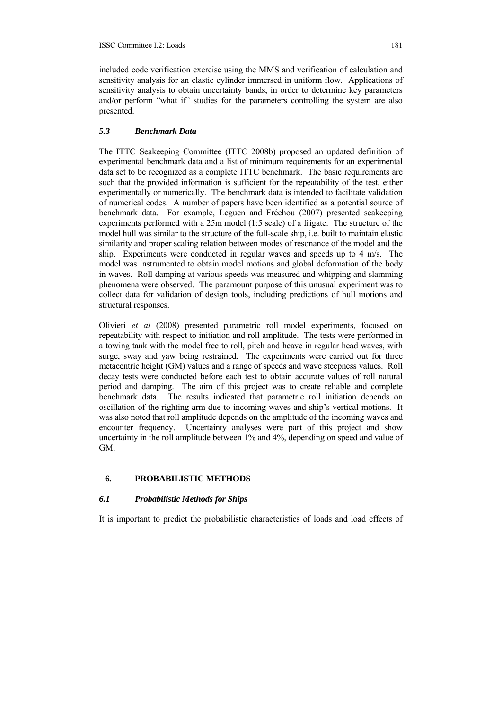included code verification exercise using the MMS and verification of calculation and sensitivity analysis for an elastic cylinder immersed in uniform flow. Applications of sensitivity analysis to obtain uncertainty bands, in order to determine key parameters and/or perform "what if" studies for the parameters controlling the system are also presented.

## *5.3 Benchmark Data*

The ITTC Seakeeping Committee (ITTC 2008b) proposed an updated definition of experimental benchmark data and a list of minimum requirements for an experimental data set to be recognized as a complete ITTC benchmark. The basic requirements are such that the provided information is sufficient for the repeatability of the test, either experimentally or numerically. The benchmark data is intended to facilitate validation of numerical codes. A number of papers have been identified as a potential source of benchmark data. For example, Leguen and Fréchou (2007) presented seakeeping experiments performed with a 25m model (1:5 scale) of a frigate. The structure of the model hull was similar to the structure of the full-scale ship, i.e. built to maintain elastic similarity and proper scaling relation between modes of resonance of the model and the ship. Experiments were conducted in regular waves and speeds up to 4 m/s. The model was instrumented to obtain model motions and global deformation of the body in waves. Roll damping at various speeds was measured and whipping and slamming phenomena were observed. The paramount purpose of this unusual experiment was to collect data for validation of design tools, including predictions of hull motions and structural responses.

Olivieri *et al* (2008) presented parametric roll model experiments, focused on repeatability with respect to initiation and roll amplitude. The tests were performed in a towing tank with the model free to roll, pitch and heave in regular head waves, with surge, sway and yaw being restrained. The experiments were carried out for three metacentric height (GM) values and a range of speeds and wave steepness values. Roll decay tests were conducted before each test to obtain accurate values of roll natural period and damping. The aim of this project was to create reliable and complete benchmark data. The results indicated that parametric roll initiation depends on oscillation of the righting arm due to incoming waves and ship's vertical motions. It was also noted that roll amplitude depends on the amplitude of the incoming waves and encounter frequency. Uncertainty analyses were part of this project and show uncertainty in the roll amplitude between 1% and 4%, depending on speed and value of GM.

## **6. PROBABILISTIC METHODS**

## *6.1 Probabilistic Methods for Ships*

It is important to predict the probabilistic characteristics of loads and load effects of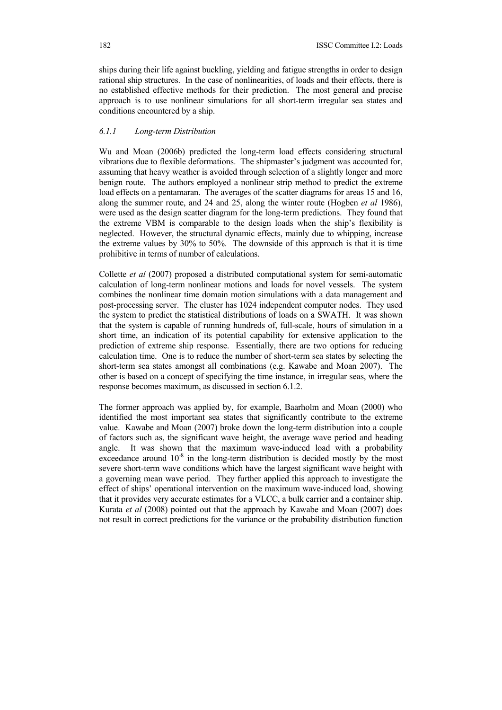ships during their life against buckling, yielding and fatigue strengths in order to design rational ship structures. In the case of nonlinearities, of loads and their effects, there is no established effective methods for their prediction. The most general and precise approach is to use nonlinear simulations for all short-term irregular sea states and conditions encountered by a ship.

## *6.1.1 Long-term Distribution*

Wu and Moan (2006b) predicted the long-term load effects considering structural vibrations due to flexible deformations. The shipmaster's judgment was accounted for, assuming that heavy weather is avoided through selection of a slightly longer and more benign route. The authors employed a nonlinear strip method to predict the extreme load effects on a pentamaran. The averages of the scatter diagrams for areas 15 and 16, along the summer route, and 24 and 25, along the winter route (Hogben *et al* 1986), were used as the design scatter diagram for the long-term predictions. They found that the extreme VBM is comparable to the design loads when the ship's flexibility is neglected. However, the structural dynamic effects, mainly due to whipping, increase the extreme values by 30% to 50%. The downside of this approach is that it is time prohibitive in terms of number of calculations.

Collette *et al* (2007) proposed a distributed computational system for semi-automatic calculation of long-term nonlinear motions and loads for novel vessels. The system combines the nonlinear time domain motion simulations with a data management and post-processing server. The cluster has 1024 independent computer nodes. They used the system to predict the statistical distributions of loads on a SWATH. It was shown that the system is capable of running hundreds of, full-scale, hours of simulation in a short time, an indication of its potential capability for extensive application to the prediction of extreme ship response. Essentially, there are two options for reducing calculation time. One is to reduce the number of short-term sea states by selecting the short-term sea states amongst all combinations (e.g. Kawabe and Moan 2007). The other is based on a concept of specifying the time instance, in irregular seas, where the response becomes maximum, as discussed in section 6.1.2.

The former approach was applied by, for example, Baarholm and Moan (2000) who identified the most important sea states that significantly contribute to the extreme value. Kawabe and Moan (2007) broke down the long-term distribution into a couple of factors such as, the significant wave height, the average wave period and heading angle. It was shown that the maximum wave-induced load with a probability exceedance around  $10^{-8}$  in the long-term distribution is decided mostly by the most severe short-term wave conditions which have the largest significant wave height with a governing mean wave period. They further applied this approach to investigate the effect of ships' operational intervention on the maximum wave-induced load, showing that it provides very accurate estimates for a VLCC, a bulk carrier and a container ship. Kurata *et al* (2008) pointed out that the approach by Kawabe and Moan (2007) does not result in correct predictions for the variance or the probability distribution function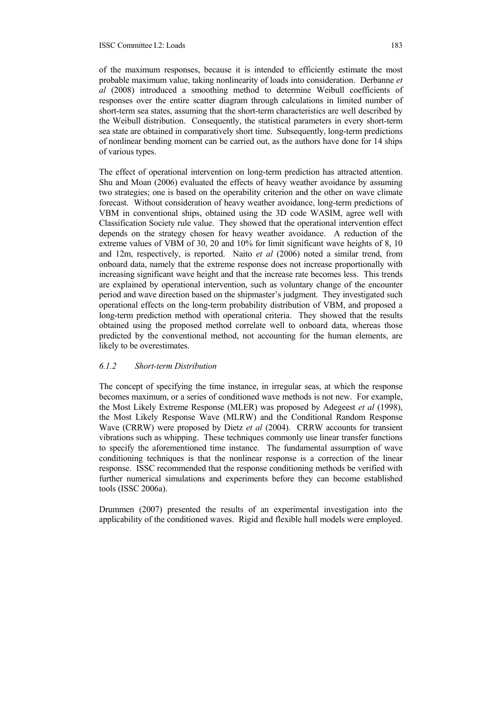of the maximum responses, because it is intended to efficiently estimate the most probable maximum value, taking nonlinearity of loads into consideration. Derbanne *et al* (2008) introduced a smoothing method to determine Weibull coefficients of responses over the entire scatter diagram through calculations in limited number of short-term sea states, assuming that the short-term characteristics are well described by the Weibull distribution. Consequently, the statistical parameters in every short-term sea state are obtained in comparatively short time. Subsequently, long-term predictions of nonlinear bending moment can be carried out, as the authors have done for 14 ships of various types.

The effect of operational intervention on long-term prediction has attracted attention. Shu and Moan (2006) evaluated the effects of heavy weather avoidance by assuming two strategies; one is based on the operability criterion and the other on wave climate forecast. Without consideration of heavy weather avoidance, long-term predictions of VBM in conventional ships, obtained using the 3D code WASIM, agree well with Classification Society rule value. They showed that the operational intervention effect depends on the strategy chosen for heavy weather avoidance. A reduction of the extreme values of VBM of 30, 20 and 10% for limit significant wave heights of 8, 10 and 12m, respectively, is reported. Naito *et al* (2006) noted a similar trend, from onboard data, namely that the extreme response does not increase proportionally with increasing significant wave height and that the increase rate becomes less. This trends are explained by operational intervention, such as voluntary change of the encounter period and wave direction based on the shipmaster's judgment. They investigated such operational effects on the long-term probability distribution of VBM, and proposed a long-term prediction method with operational criteria. They showed that the results obtained using the proposed method correlate well to onboard data, whereas those predicted by the conventional method, not accounting for the human elements, are likely to be overestimates.

#### *6.1.2 Short-term Distribution*

The concept of specifying the time instance, in irregular seas, at which the response becomes maximum, or a series of conditioned wave methods is not new. For example, the Most Likely Extreme Response (MLER) was proposed by Adegeest *et al* (1998), the Most Likely Response Wave (MLRW) and the Conditional Random Response Wave (CRRW) were proposed by Dietz *et al* (2004). CRRW accounts for transient vibrations such as whipping. These techniques commonly use linear transfer functions to specify the aforementioned time instance. The fundamental assumption of wave conditioning techniques is that the nonlinear response is a correction of the linear response. ISSC recommended that the response conditioning methods be verified with further numerical simulations and experiments before they can become established tools (ISSC 2006a).

Drummen (2007) presented the results of an experimental investigation into the applicability of the conditioned waves. Rigid and flexible hull models were employed.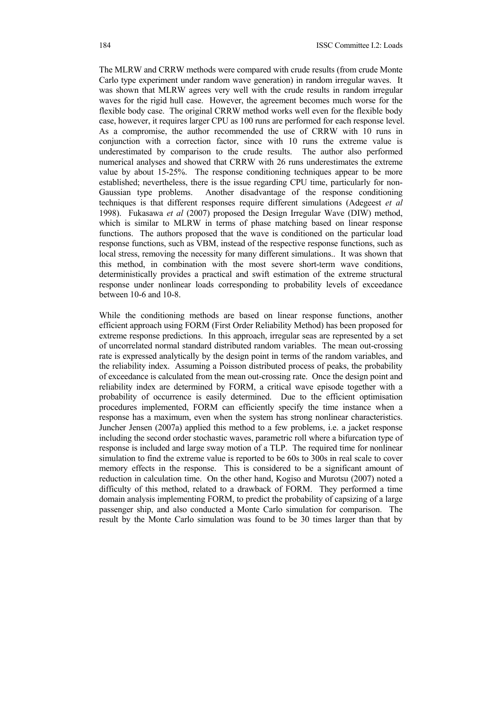The MLRW and CRRW methods were compared with crude results (from crude Monte Carlo type experiment under random wave generation) in random irregular waves. It was shown that MLRW agrees very well with the crude results in random irregular waves for the rigid hull case. However, the agreement becomes much worse for the flexible body case. The original CRRW method works well even for the flexible body case, however, it requires larger CPU as 100 runs are performed for each response level. As a compromise, the author recommended the use of CRRW with 10 runs in conjunction with a correction factor, since with 10 runs the extreme value is underestimated by comparison to the crude results. The author also performed numerical analyses and showed that CRRW with 26 runs underestimates the extreme value by about 15-25%. The response conditioning techniques appear to be more established; nevertheless, there is the issue regarding CPU time, particularly for non-Gaussian type problems. Another disadvantage of the response conditioning techniques is that different responses require different simulations (Adegeest *et al* 1998). Fukasawa *et al* (2007) proposed the Design Irregular Wave (DIW) method, which is similar to MLRW in terms of phase matching based on linear response functions. The authors proposed that the wave is conditioned on the particular load response functions, such as VBM, instead of the respective response functions, such as local stress, removing the necessity for many different simulations.. It was shown that this method, in combination with the most severe short-term wave conditions, deterministically provides a practical and swift estimation of the extreme structural response under nonlinear loads corresponding to probability levels of exceedance between 10-6 and 10-8.

While the conditioning methods are based on linear response functions, another efficient approach using FORM (First Order Reliability Method) has been proposed for extreme response predictions. In this approach, irregular seas are represented by a set of uncorrelated normal standard distributed random variables. The mean out-crossing rate is expressed analytically by the design point in terms of the random variables, and the reliability index. Assuming a Poisson distributed process of peaks, the probability of exceedance is calculated from the mean out-crossing rate. Once the design point and reliability index are determined by FORM, a critical wave episode together with a probability of occurrence is easily determined. Due to the efficient optimisation procedures implemented, FORM can efficiently specify the time instance when a response has a maximum, even when the system has strong nonlinear characteristics. Juncher Jensen (2007a) applied this method to a few problems, i.e. a jacket response including the second order stochastic waves, parametric roll where a bifurcation type of response is included and large sway motion of a TLP. The required time for nonlinear simulation to find the extreme value is reported to be 60s to 300s in real scale to cover memory effects in the response. This is considered to be a significant amount of reduction in calculation time. On the other hand, Kogiso and Murotsu (2007) noted a difficulty of this method, related to a drawback of FORM. They performed a time domain analysis implementing FORM, to predict the probability of capsizing of a large passenger ship, and also conducted a Monte Carlo simulation for comparison. The result by the Monte Carlo simulation was found to be 30 times larger than that by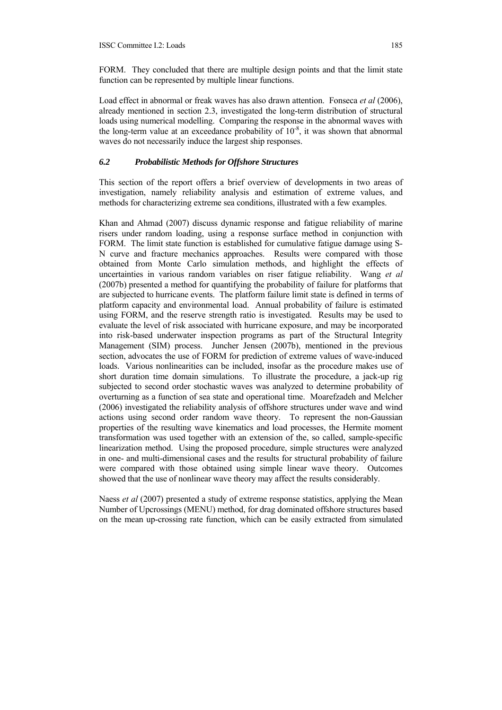FORM. They concluded that there are multiple design points and that the limit state function can be represented by multiple linear functions.

Load effect in abnormal or freak waves has also drawn attention. Fonseca *et al* (2006), already mentioned in section 2.3, investigated the long-term distribution of structural loads using numerical modelling. Comparing the response in the abnormal waves with the long-term value at an exceedance probability of  $10^{-8}$ , it was shown that abnormal waves do not necessarily induce the largest ship responses.

# *6.2 Probabilistic Methods for Offshore Structures*

This section of the report offers a brief overview of developments in two areas of investigation, namely reliability analysis and estimation of extreme values, and methods for characterizing extreme sea conditions, illustrated with a few examples.

Khan and Ahmad (2007) discuss dynamic response and fatigue reliability of marine risers under random loading, using a response surface method in conjunction with FORM. The limit state function is established for cumulative fatigue damage using S-N curve and fracture mechanics approaches. Results were compared with those obtained from Monte Carlo simulation methods, and highlight the effects of uncertainties in various random variables on riser fatigue reliability. Wang *et al* (2007b) presented a method for quantifying the probability of failure for platforms that are subjected to hurricane events. The platform failure limit state is defined in terms of platform capacity and environmental load. Annual probability of failure is estimated using FORM, and the reserve strength ratio is investigated. Results may be used to evaluate the level of risk associated with hurricane exposure, and may be incorporated into risk-based underwater inspection programs as part of the Structural Integrity Management (SIM) process. Juncher Jensen (2007b), mentioned in the previous section, advocates the use of FORM for prediction of extreme values of wave-induced loads. Various nonlinearities can be included, insofar as the procedure makes use of short duration time domain simulations. To illustrate the procedure, a jack-up rig subjected to second order stochastic waves was analyzed to determine probability of overturning as a function of sea state and operational time. Moarefzadeh and Melcher (2006) investigated the reliability analysis of offshore structures under wave and wind actions using second order random wave theory. To represent the non-Gaussian properties of the resulting wave kinematics and load processes, the Hermite moment transformation was used together with an extension of the, so called, sample-specific linearization method. Using the proposed procedure, simple structures were analyzed in one- and multi-dimensional cases and the results for structural probability of failure were compared with those obtained using simple linear wave theory. Outcomes showed that the use of nonlinear wave theory may affect the results considerably.

Naess *et al* (2007) presented a study of extreme response statistics, applying the Mean Number of Upcrossings (MENU) method, for drag dominated offshore structures based on the mean up-crossing rate function, which can be easily extracted from simulated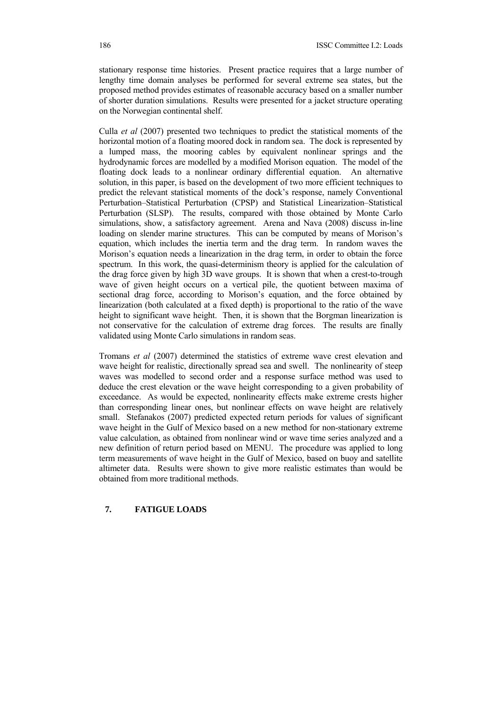stationary response time histories. Present practice requires that a large number of lengthy time domain analyses be performed for several extreme sea states, but the proposed method provides estimates of reasonable accuracy based on a smaller number of shorter duration simulations. Results were presented for a jacket structure operating on the Norwegian continental shelf.

Culla *et al* (2007) presented two techniques to predict the statistical moments of the horizontal motion of a floating moored dock in random sea. The dock is represented by a lumped mass, the mooring cables by equivalent nonlinear springs and the hydrodynamic forces are modelled by a modified Morison equation. The model of the floating dock leads to a nonlinear ordinary differential equation. An alternative solution, in this paper, is based on the development of two more efficient techniques to predict the relevant statistical moments of the dock's response, namely Conventional Perturbation–Statistical Perturbation (CPSP) and Statistical Linearization–Statistical Perturbation (SLSP). The results, compared with those obtained by Monte Carlo simulations, show, a satisfactory agreement. Arena and Nava (2008) discuss in-line loading on slender marine structures. This can be computed by means of Morison's equation, which includes the inertia term and the drag term. In random waves the Morison's equation needs a linearization in the drag term, in order to obtain the force spectrum. In this work, the quasi-determinism theory is applied for the calculation of the drag force given by high 3D wave groups. It is shown that when a crest-to-trough wave of given height occurs on a vertical pile, the quotient between maxima of sectional drag force, according to Morison's equation, and the force obtained by linearization (both calculated at a fixed depth) is proportional to the ratio of the wave height to significant wave height. Then, it is shown that the Borgman linearization is not conservative for the calculation of extreme drag forces. The results are finally validated using Monte Carlo simulations in random seas.

Tromans *et al* (2007) determined the statistics of extreme wave crest elevation and wave height for realistic, directionally spread sea and swell. The nonlinearity of steep waves was modelled to second order and a response surface method was used to deduce the crest elevation or the wave height corresponding to a given probability of exceedance. As would be expected, nonlinearity effects make extreme crests higher than corresponding linear ones, but nonlinear effects on wave height are relatively small. Stefanakos (2007) predicted expected return periods for values of significant wave height in the Gulf of Mexico based on a new method for non-stationary extreme value calculation, as obtained from nonlinear wind or wave time series analyzed and a new definition of return period based on MENU. The procedure was applied to long term measurements of wave height in the Gulf of Mexico, based on buoy and satellite altimeter data. Results were shown to give more realistic estimates than would be obtained from more traditional methods.

#### **7. FATIGUE LOADS**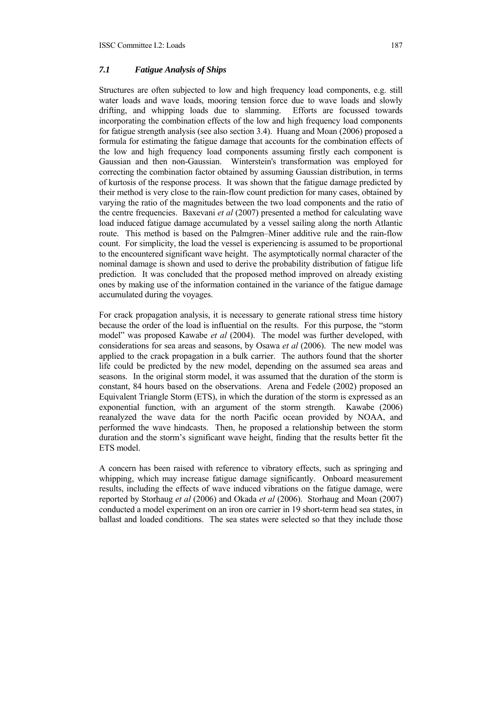# *7.1 Fatigue Analysis of Ships*

Structures are often subjected to low and high frequency load components, e.g. still water loads and wave loads, mooring tension force due to wave loads and slowly drifting, and whipping loads due to slamming. Efforts are focussed towards incorporating the combination effects of the low and high frequency load components for fatigue strength analysis (see also section 3.4). Huang and Moan (2006) proposed a formula for estimating the fatigue damage that accounts for the combination effects of the low and high frequency load components assuming firstly each component is Gaussian and then non-Gaussian. Winterstein's transformation was employed for correcting the combination factor obtained by assuming Gaussian distribution, in terms of kurtosis of the response process. It was shown that the fatigue damage predicted by their method is very close to the rain-flow count prediction for many cases, obtained by varying the ratio of the magnitudes between the two load components and the ratio of the centre frequencies. Baxevani *et al* (2007) presented a method for calculating wave load induced fatigue damage accumulated by a vessel sailing along the north Atlantic route. This method is based on the Palmgren–Miner additive rule and the rain-flow count. For simplicity, the load the vessel is experiencing is assumed to be proportional to the encountered significant wave height. The asymptotically normal character of the nominal damage is shown and used to derive the probability distribution of fatigue life prediction. It was concluded that the proposed method improved on already existing ones by making use of the information contained in the variance of the fatigue damage accumulated during the voyages.

For crack propagation analysis, it is necessary to generate rational stress time history because the order of the load is influential on the results. For this purpose, the "storm model" was proposed Kawabe *et al* (2004). The model was further developed, with considerations for sea areas and seasons, by Osawa *et al* (2006). The new model was applied to the crack propagation in a bulk carrier. The authors found that the shorter life could be predicted by the new model, depending on the assumed sea areas and seasons. In the original storm model, it was assumed that the duration of the storm is constant, 84 hours based on the observations. Arena and Fedele (2002) proposed an Equivalent Triangle Storm (ETS), in which the duration of the storm is expressed as an exponential function, with an argument of the storm strength. Kawabe (2006) reanalyzed the wave data for the north Pacific ocean provided by NOAA, and performed the wave hindcasts. Then, he proposed a relationship between the storm duration and the storm's significant wave height, finding that the results better fit the ETS model.

A concern has been raised with reference to vibratory effects, such as springing and whipping, which may increase fatigue damage significantly. Onboard measurement results, including the effects of wave induced vibrations on the fatigue damage, were reported by Storhaug *et al* (2006) and Okada *et al* (2006). Storhaug and Moan (2007) conducted a model experiment on an iron ore carrier in 19 short-term head sea states, in ballast and loaded conditions. The sea states were selected so that they include those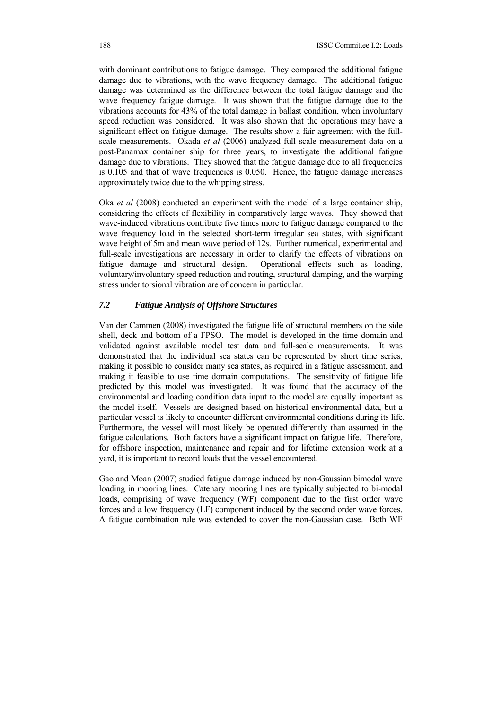with dominant contributions to fatigue damage. They compared the additional fatigue damage due to vibrations, with the wave frequency damage. The additional fatigue damage was determined as the difference between the total fatigue damage and the wave frequency fatigue damage. It was shown that the fatigue damage due to the vibrations accounts for 43% of the total damage in ballast condition, when involuntary speed reduction was considered. It was also shown that the operations may have a significant effect on fatigue damage. The results show a fair agreement with the fullscale measurements. Okada *et al* (2006) analyzed full scale measurement data on a post-Panamax container ship for three years, to investigate the additional fatigue damage due to vibrations. They showed that the fatigue damage due to all frequencies is 0.105 and that of wave frequencies is 0.050. Hence, the fatigue damage increases approximately twice due to the whipping stress.

Oka *et al* (2008) conducted an experiment with the model of a large container ship, considering the effects of flexibility in comparatively large waves. They showed that wave-induced vibrations contribute five times more to fatigue damage compared to the wave frequency load in the selected short-term irregular sea states, with significant wave height of 5m and mean wave period of 12s. Further numerical, experimental and full-scale investigations are necessary in order to clarify the effects of vibrations on fatigue damage and structural design. Operational effects such as loading, voluntary/involuntary speed reduction and routing, structural damping, and the warping stress under torsional vibration are of concern in particular.

#### *7.2 Fatigue Analysis of Offshore Structures*

Van der Cammen (2008) investigated the fatigue life of structural members on the side shell, deck and bottom of a FPSO. The model is developed in the time domain and validated against available model test data and full-scale measurements. It was demonstrated that the individual sea states can be represented by short time series, making it possible to consider many sea states, as required in a fatigue assessment, and making it feasible to use time domain computations. The sensitivity of fatigue life predicted by this model was investigated. It was found that the accuracy of the environmental and loading condition data input to the model are equally important as the model itself. Vessels are designed based on historical environmental data, but a particular vessel is likely to encounter different environmental conditions during its life. Furthermore, the vessel will most likely be operated differently than assumed in the fatigue calculations. Both factors have a significant impact on fatigue life. Therefore, for offshore inspection, maintenance and repair and for lifetime extension work at a yard, it is important to record loads that the vessel encountered.

Gao and Moan (2007) studied fatigue damage induced by non-Gaussian bimodal wave loading in mooring lines. Catenary mooring lines are typically subjected to bi-modal loads, comprising of wave frequency (WF) component due to the first order wave forces and a low frequency (LF) component induced by the second order wave forces. A fatigue combination rule was extended to cover the non-Gaussian case. Both WF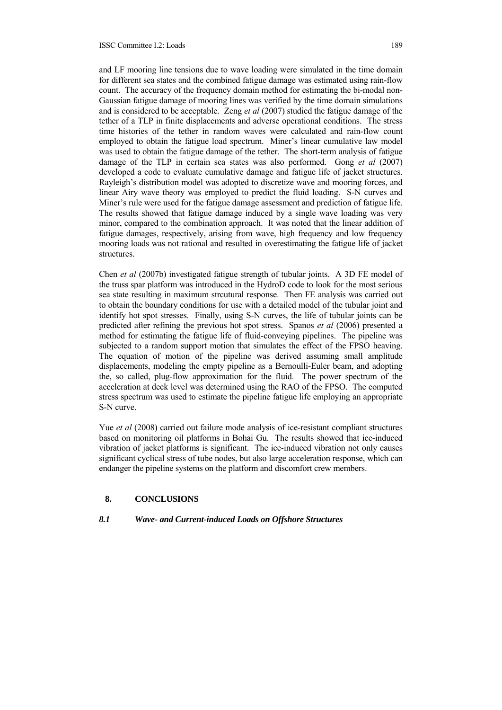#### ISSC Committee I.2: Loads 189

and LF mooring line tensions due to wave loading were simulated in the time domain for different sea states and the combined fatigue damage was estimated using rain-flow count. The accuracy of the frequency domain method for estimating the bi-modal non-Gaussian fatigue damage of mooring lines was verified by the time domain simulations and is considered to be acceptable. Zeng *et al* (2007) studied the fatigue damage of the tether of a TLP in finite displacements and adverse operational conditions. The stress time histories of the tether in random waves were calculated and rain-flow count employed to obtain the fatigue load spectrum. Miner's linear cumulative law model was used to obtain the fatigue damage of the tether. The short-term analysis of fatigue damage of the TLP in certain sea states was also performed. Gong *et al* (2007) developed a code to evaluate cumulative damage and fatigue life of jacket structures. Rayleigh's distribution model was adopted to discretize wave and mooring forces, and linear Airy wave theory was employed to predict the fluid loading. S-N curves and Miner's rule were used for the fatigue damage assessment and prediction of fatigue life. The results showed that fatigue damage induced by a single wave loading was very minor, compared to the combination approach. It was noted that the linear addition of fatigue damages, respectively, arising from wave, high frequency and low frequency mooring loads was not rational and resulted in overestimating the fatigue life of jacket structures.

Chen *et al* (2007b) investigated fatigue strength of tubular joints. A 3D FE model of the truss spar platform was introduced in the HydroD code to look for the most serious sea state resulting in maximum strcutural response. Then FE analysis was carried out to obtain the boundary conditions for use with a detailed model of the tubular joint and identify hot spot stresses. Finally, using S-N curves, the life of tubular joints can be predicted after refining the previous hot spot stress. Spanos *et al* (2006) presented a method for estimating the fatigue life of fluid-conveying pipelines. The pipeline was subjected to a random support motion that simulates the effect of the FPSO heaving. The equation of motion of the pipeline was derived assuming small amplitude displacements, modeling the empty pipeline as a Bernoulli-Euler beam, and adopting the, so called, plug-flow approximation for the fluid. The power spectrum of the acceleration at deck level was determined using the RAO of the FPSO. The computed stress spectrum was used to estimate the pipeline fatigue life employing an appropriate S-N curve.

Yue *et al* (2008) carried out failure mode analysis of ice-resistant compliant structures based on monitoring oil platforms in Bohai Gu. The results showed that ice-induced vibration of jacket platforms is significant. The ice-induced vibration not only causes significant cyclical stress of tube nodes, but also large acceleration response, which can endanger the pipeline systems on the platform and discomfort crew members.

## **8. CONCLUSIONS**

#### *8.1 Wave- and Current-induced Loads on Offshore Structures*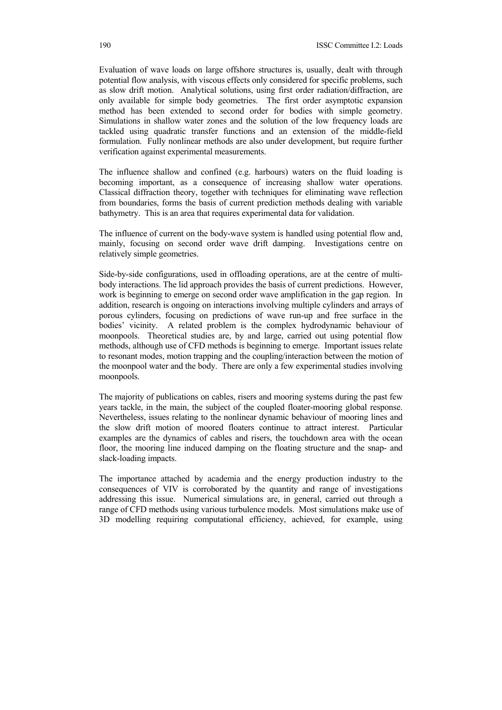Evaluation of wave loads on large offshore structures is, usually, dealt with through potential flow analysis, with viscous effects only considered for specific problems, such as slow drift motion. Analytical solutions, using first order radiation/diffraction, are only available for simple body geometries. The first order asymptotic expansion method has been extended to second order for bodies with simple geometry. Simulations in shallow water zones and the solution of the low frequency loads are tackled using quadratic transfer functions and an extension of the middle-field formulation. Fully nonlinear methods are also under development, but require further verification against experimental measurements.

The influence shallow and confined (e.g. harbours) waters on the fluid loading is becoming important, as a consequence of increasing shallow water operations. Classical diffraction theory, together with techniques for eliminating wave reflection from boundaries, forms the basis of current prediction methods dealing with variable bathymetry. This is an area that requires experimental data for validation.

The influence of current on the body-wave system is handled using potential flow and, mainly, focusing on second order wave drift damping. Investigations centre on relatively simple geometries.

Side-by-side configurations, used in offloading operations, are at the centre of multibody interactions. The lid approach provides the basis of current predictions. However, work is beginning to emerge on second order wave amplification in the gap region. In addition, research is ongoing on interactions involving multiple cylinders and arrays of porous cylinders, focusing on predictions of wave run-up and free surface in the bodies' vicinity. A related problem is the complex hydrodynamic behaviour of moonpools. Theoretical studies are, by and large, carried out using potential flow methods, although use of CFD methods is beginning to emerge. Important issues relate to resonant modes, motion trapping and the coupling/interaction between the motion of the moonpool water and the body. There are only a few experimental studies involving moonpools.

The majority of publications on cables, risers and mooring systems during the past few years tackle, in the main, the subject of the coupled floater-mooring global response. Nevertheless, issues relating to the nonlinear dynamic behaviour of mooring lines and the slow drift motion of moored floaters continue to attract interest. Particular examples are the dynamics of cables and risers, the touchdown area with the ocean floor, the mooring line induced damping on the floating structure and the snap- and slack-loading impacts.

The importance attached by academia and the energy production industry to the consequences of VIV is corroborated by the quantity and range of investigations addressing this issue. Numerical simulations are, in general, carried out through a range of CFD methods using various turbulence models. Most simulations make use of 3D modelling requiring computational efficiency, achieved, for example, using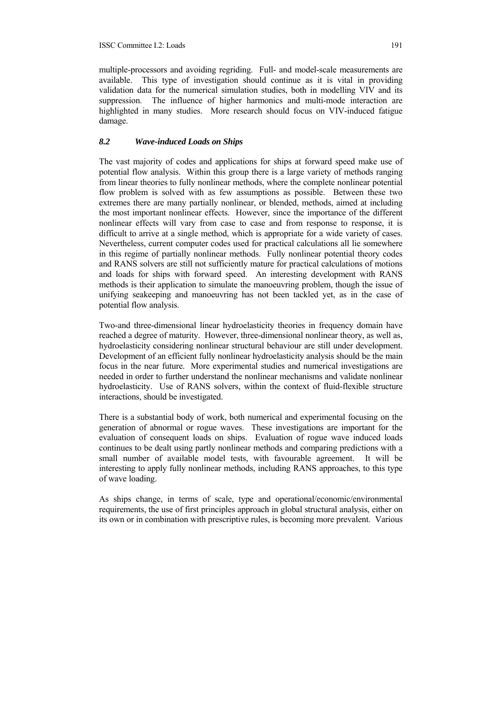multiple-processors and avoiding regriding. Full- and model-scale measurements are available. This type of investigation should continue as it is vital in providing validation data for the numerical simulation studies, both in modelling VIV and its suppression. The influence of higher harmonics and multi-mode interaction are highlighted in many studies. More research should focus on VIV-induced fatigue damage.

## *8.2 Wave-induced Loads on Ships*

The vast majority of codes and applications for ships at forward speed make use of potential flow analysis. Within this group there is a large variety of methods ranging from linear theories to fully nonlinear methods, where the complete nonlinear potential flow problem is solved with as few assumptions as possible. Between these two extremes there are many partially nonlinear, or blended, methods, aimed at including the most important nonlinear effects. However, since the importance of the different nonlinear effects will vary from case to case and from response to response, it is difficult to arrive at a single method, which is appropriate for a wide variety of cases. Nevertheless, current computer codes used for practical calculations all lie somewhere in this regime of partially nonlinear methods. Fully nonlinear potential theory codes and RANS solvers are still not sufficiently mature for practical calculations of motions and loads for ships with forward speed. An interesting development with RANS methods is their application to simulate the manoeuvring problem, though the issue of unifying seakeeping and manoeuvring has not been tackled yet, as in the case of potential flow analysis.

Two-and three-dimensional linear hydroelasticity theories in frequency domain have reached a degree of maturity. However, three-dimensional nonlinear theory, as well as, hydroelasticity considering nonlinear structural behaviour are still under development. Development of an efficient fully nonlinear hydroelasticity analysis should be the main focus in the near future. More experimental studies and numerical investigations are needed in order to further understand the nonlinear mechanisms and validate nonlinear hydroelasticity. Use of RANS solvers, within the context of fluid-flexible structure interactions, should be investigated.

There is a substantial body of work, both numerical and experimental focusing on the generation of abnormal or rogue waves. These investigations are important for the evaluation of consequent loads on ships. Evaluation of rogue wave induced loads continues to be dealt using partly nonlinear methods and comparing predictions with a small number of available model tests, with favourable agreement. It will be interesting to apply fully nonlinear methods, including RANS approaches, to this type of wave loading.

As ships change, in terms of scale, type and operational/economic/environmental requirements, the use of first principles approach in global structural analysis, either on its own or in combination with prescriptive rules, is becoming more prevalent. Various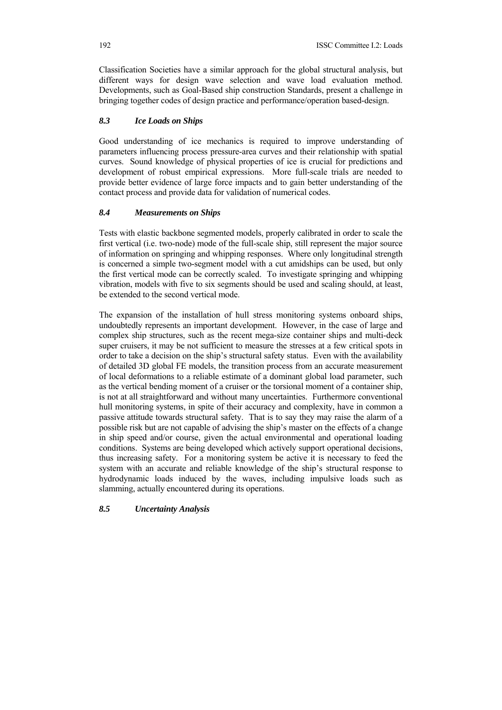Classification Societies have a similar approach for the global structural analysis, but different ways for design wave selection and wave load evaluation method. Developments, such as Goal-Based ship construction Standards, present a challenge in bringing together codes of design practice and performance/operation based-design.

# *8.3 Ice Loads on Ships*

Good understanding of ice mechanics is required to improve understanding of parameters influencing process pressure-area curves and their relationship with spatial curves. Sound knowledge of physical properties of ice is crucial for predictions and development of robust empirical expressions. More full-scale trials are needed to provide better evidence of large force impacts and to gain better understanding of the contact process and provide data for validation of numerical codes.

# *8.4 Measurements on Ships*

Tests with elastic backbone segmented models, properly calibrated in order to scale the first vertical (i.e. two-node) mode of the full-scale ship, still represent the major source of information on springing and whipping responses. Where only longitudinal strength is concerned a simple two-segment model with a cut amidships can be used, but only the first vertical mode can be correctly scaled. To investigate springing and whipping vibration, models with five to six segments should be used and scaling should, at least, be extended to the second vertical mode.

The expansion of the installation of hull stress monitoring systems onboard ships, undoubtedly represents an important development. However, in the case of large and complex ship structures, such as the recent mega-size container ships and multi-deck super cruisers, it may be not sufficient to measure the stresses at a few critical spots in order to take a decision on the ship's structural safety status. Even with the availability of detailed 3D global FE models, the transition process from an accurate measurement of local deformations to a reliable estimate of a dominant global load parameter, such as the vertical bending moment of a cruiser or the torsional moment of a container ship, is not at all straightforward and without many uncertainties. Furthermore conventional hull monitoring systems, in spite of their accuracy and complexity, have in common a passive attitude towards structural safety. That is to say they may raise the alarm of a possible risk but are not capable of advising the ship's master on the effects of a change in ship speed and/or course, given the actual environmental and operational loading conditions. Systems are being developed which actively support operational decisions, thus increasing safety. For a monitoring system be active it is necessary to feed the system with an accurate and reliable knowledge of the ship's structural response to hydrodynamic loads induced by the waves, including impulsive loads such as slamming, actually encountered during its operations.

# *8.5 Uncertainty Analysis*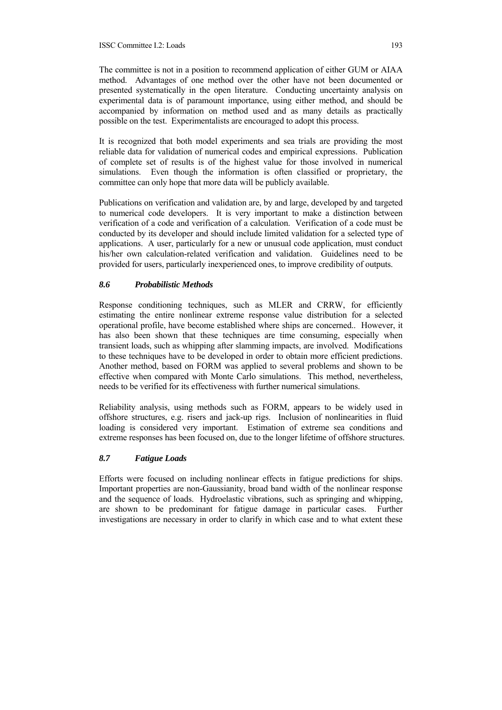The committee is not in a position to recommend application of either GUM or AIAA method. Advantages of one method over the other have not been documented or presented systematically in the open literature. Conducting uncertainty analysis on experimental data is of paramount importance, using either method, and should be accompanied by information on method used and as many details as practically possible on the test. Experimentalists are encouraged to adopt this process.

It is recognized that both model experiments and sea trials are providing the most reliable data for validation of numerical codes and empirical expressions. Publication of complete set of results is of the highest value for those involved in numerical simulations. Even though the information is often classified or proprietary, the committee can only hope that more data will be publicly available.

Publications on verification and validation are, by and large, developed by and targeted to numerical code developers. It is very important to make a distinction between verification of a code and verification of a calculation. Verification of a code must be conducted by its developer and should include limited validation for a selected type of applications. A user, particularly for a new or unusual code application, must conduct his/her own calculation-related verification and validation. Guidelines need to be provided for users, particularly inexperienced ones, to improve credibility of outputs.

## *8.6 Probabilistic Methods*

Response conditioning techniques, such as MLER and CRRW, for efficiently estimating the entire nonlinear extreme response value distribution for a selected operational profile, have become established where ships are concerned.. However, it has also been shown that these techniques are time consuming, especially when transient loads, such as whipping after slamming impacts, are involved. Modifications to these techniques have to be developed in order to obtain more efficient predictions. Another method, based on FORM was applied to several problems and shown to be effective when compared with Monte Carlo simulations. This method, nevertheless, needs to be verified for its effectiveness with further numerical simulations.

Reliability analysis, using methods such as FORM, appears to be widely used in offshore structures, e.g. risers and jack-up rigs. Inclusion of nonlinearities in fluid loading is considered very important. Estimation of extreme sea conditions and extreme responses has been focused on, due to the longer lifetime of offshore structures.

# *8.7 Fatigue Loads*

Efforts were focused on including nonlinear effects in fatigue predictions for ships. Important properties are non-Gaussianity, broad band width of the nonlinear response and the sequence of loads. Hydroelastic vibrations, such as springing and whipping, are shown to be predominant for fatigue damage in particular cases. Further investigations are necessary in order to clarify in which case and to what extent these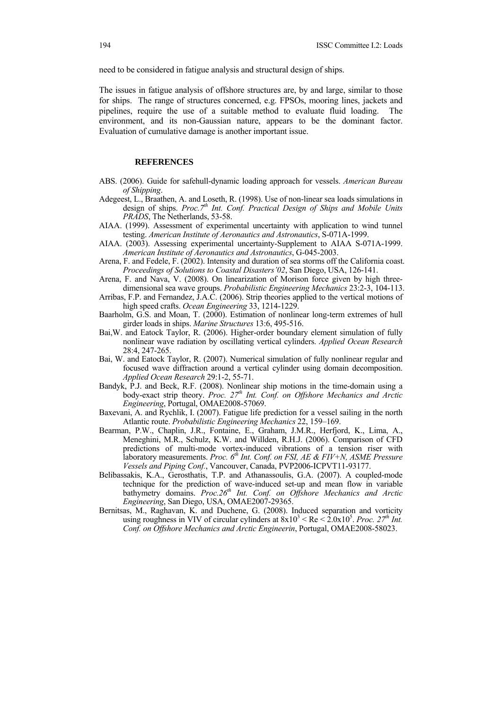need to be considered in fatigue analysis and structural design of ships.

The issues in fatigue analysis of offshore structures are, by and large, similar to those for ships. The range of structures concerned, e.g. FPSOs, mooring lines, jackets and pipelines, require the use of a suitable method to evaluate fluid loading. The environment, and its non-Gaussian nature, appears to be the dominant factor. Evaluation of cumulative damage is another important issue.

#### **REFERENCES**

- ABS. (2006). Guide for safehull-dynamic loading approach for vessels. *American Bureau of Shipping*.
- Adegeest, L., Braathen, A. and Loseth, R. (1998). Use of non-linear sea loads simulations in design of ships. *Proc.7th Int. Conf. Practical Design of Ships and Mobile Units PRADS*, The Netherlands, 53-58.
- AIAA. (1999). Assessment of experimental uncertainty with application to wind tunnel testing. *American Institute of Aeronautics and Astronautics*, S-071A-1999.
- AIAA. (2003). Assessing experimental uncertainty-Supplement to AIAA S-071A-1999. *American Institute of Aeronautics and Astronautics*, G-045-2003.
- Arena, F. and Fedele, F. (2002). Intensity and duration of sea storms off the California coast. *Proceedings of Solutions to Coastal Disasters'02*, San Diego, USA, 126-141.
- Arena, F. and Nava, V. (2008). On linearization of Morison force given by high threedimensional sea wave groups. *Probabilistic Engineering Mechanics* 23:2-3, 104-113.
- Arribas, F.P. and Fernandez, J.A.C. (2006). Strip theories applied to the vertical motions of high speed crafts. *Ocean Engineering* 33, 1214-1229.
- Baarholm, G.S. and Moan, T. (2000). Estimation of nonlinear long-term extremes of hull girder loads in ships. *Marine Structures* 13:6, 495-516.
- Bai,W. and Eatock Taylor, R. (2006). Higher-order boundary element simulation of fully nonlinear wave radiation by oscillating vertical cylinders. *Applied Ocean Research* 28:4, 247-265.
- Bai, W. and Eatock Taylor, R. (2007). Numerical simulation of fully nonlinear regular and focused wave diffraction around a vertical cylinder using domain decomposition. *Applied Ocean Research* 29:1-2, 55-71.
- Bandyk, P.J. and Beck, R.F. (2008). Nonlinear ship motions in the time-domain using a body-exact strip theory. *Proc. 27<sup>th</sup> Int. Conf. on Offshore Mechanics and Arctic Engineering*, Portugal, OMAE2008-57069.
- Baxevani, A. and Rychlik, I. (2007). Fatigue life prediction for a vessel sailing in the north Atlantic route. *Probabilistic Engineering Mechanics* 22, 159–169.
- Bearman, P.W., Chaplin, J.R., Fontaine, E., Graham, J.M.R., Herfjord, K., Lima, A., Meneghini, M.R., Schulz, K.W. and Willden, R.H.J. (2006). Comparison of CFD predictions of multi-mode vortex-induced vibrations of a tension riser with laboratory measurements. *Proc.* 6<sup>th</sup> Int. Conf. on FSI, AE & FIV+N, ASME Pressure *Vessels and Piping Conf.*, Vancouver, Canada, PVP2006-ICPVT11-93177.
- Belibassakis, K.A., Gerosthatis, T.P. and Athanassoulis, G.A. (2007). A coupled-mode technique for the prediction of wave-induced set-up and mean flow in variable bathymetry domains. *Proc.26<sup>th</sup> Int. Conf. on Offshore Mechanics and Arctic Engineering*, San Diego, USA, OMAE2007-29365.
- Bernitsas, M., Raghavan, K. and Duchene, G. (2008). Induced separation and vorticity using roughness in VIV of circular cylinders at  $8x10^3$  < Re <  $2.0x10^5$ . *Proc.*  $27^{th}$  Int. *Conf. on Offshore Mechanics and Arctic Engineerin*, Portugal, OMAE2008-58023.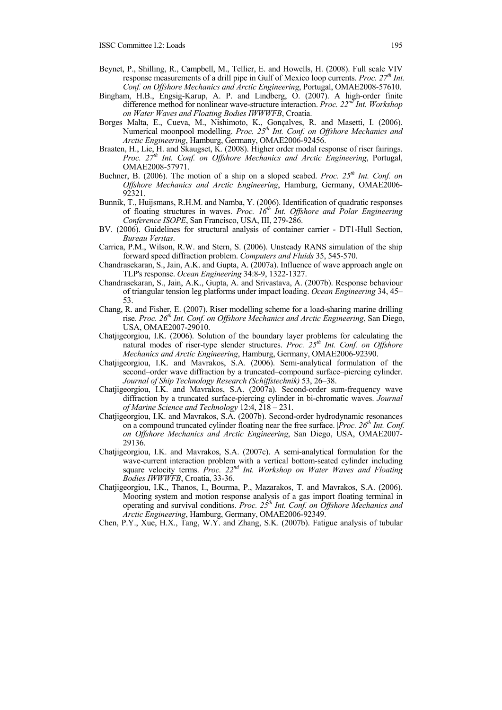- Beynet, P., Shilling, R., Campbell, M., Tellier, E. and Howells, H. (2008). Full scale VIV response measurements of a drill pipe in Gulf of Mexico loop currents. *Proc.* 27<sup>th</sup> Int. *Conf. on Offshore Mechanics and Arctic Engineering*, Portugal, OMAE2008-57610.
- Bingham, H.B., Engsig-Karup, A. P. and Lindberg, O. (2007). A high-order finite difference method for nonlinear wave-structure interaction. *Proc. 22nd Int. Workshop on Water Waves and Floating Bodies IWWWFB*, Croatia.
- Borges Malta, E., Cueva, M., Nishimoto, K., Gonçalves, R. and Masetti, I. (2006). Numerical moonpool modelling. Proc. 25<sup>th</sup> Int. Conf. on Offshore Mechanics and *Arctic Engineering*, Hamburg, Germany, OMAE2006-92456.
- Braaten, H., Lie, H. and Skaugset, K. (2008). Higher order modal response of riser fairings. *Proc. 27th Int. Conf. on Offshore Mechanics and Arctic Engineering*, Portugal, OMAE2008-57971.
- Buchner, B. (2006). The motion of a ship on a sloped seabed. *Proc. 25th Int. Conf. on Offshore Mechanics and Arctic Engineering*, Hamburg, Germany, OMAE2006- 92321.
- Bunnik, T., Huijsmans, R.H.M. and Namba, Y. (2006). Identification of quadratic responses of floating structures in waves. *Proc. 16th Int. Offshore and Polar Engineering Conference ISOPE*, San Francisco, USA, III, 279-286.
- BV. (2006). Guidelines for structural analysis of container carrier DT1-Hull Section, *Bureau Veritas*.
- Carrica, P.M., Wilson, R.W. and Stern, S. (2006). Unsteady RANS simulation of the ship forward speed diffraction problem. *Computers and Fluids* 35, 545-570.
- Chandrasekaran, S., Jain, A.K. and Gupta, A. (2007a). Influence of wave approach angle on TLP's response. *Ocean Engineering* 34:8-9, 1322-1327.
- Chandrasekaran, S., Jain, A.K., Gupta, A. and Srivastava, A. (2007b). Response behaviour of triangular tension leg platforms under impact loading. *Ocean Engineering* 34, 45– 53.
- Chang, R. and Fisher, E. (2007). Riser modelling scheme for a load-sharing marine drilling rise. *Proc. 26th Int. Conf. on Offshore Mechanics and Arctic Engineering*, San Diego, USA, OMAE2007-29010.
- Chatjigeorgiou, I.K. (2006). Solution of the boundary layer problems for calculating the natural modes of riser-type slender structures. *Proc. 25th Int. Conf. on Offshore Mechanics and Arctic Engineering*, Hamburg, Germany, OMAE2006-92390.
- Chatjigeorgiou, I.K. and Mavrakos, S.A. (2006). Semi-analytical formulation of the second–order wave diffraction by a truncated–compound surface–piercing cylinder. *Journal of Ship Technology Research (Schiffstechnik)* 53, 26–38.
- Chatjigeorgiou, I.K. and Mavrakos, S.A. (2007a). Second-order sum-frequency wave diffraction by a truncated surface-piercing cylinder in bi-chromatic waves. *Journal of Marine Science and Technology* 12:4, 218 – 231.
- Chatjigeorgiou, I.K. and Mavrakos, S.A. (2007b). Second-order hydrodynamic resonances on a compound truncated cylinder floating near the free surface. *Proc. 26<sup>th</sup> Int. Conf. on Offshore Mechanics and Arctic Engineering*, San Diego, USA, OMAE2007- 29136.
- Chatjigeorgiou, I.K. and Mavrakos, S.A. (2007c). A semi-analytical formulation for the wave-current interaction problem with a vertical bottom-seated cylinder including square velocity terms. *Proc. 22nd Int. Workshop on Water Waves and Floating Bodies IWWWFB*, Croatia, 33-36.
- Chatjigeorgiou, I.K., Thanos, I., Bourma, P., Mazarakos, T. and Mavrakos, S.A. (2006). Mooring system and motion response analysis of a gas import floating terminal in operating and survival conditions. *Proc. 25th Int. Conf. on Offshore Mechanics and Arctic Engineering*, Hamburg, Germany, OMAE2006-92349.
- Chen, P.Y., Xue, H.X., Tang, W.Y. and Zhang, S.K. (2007b). Fatigue analysis of tubular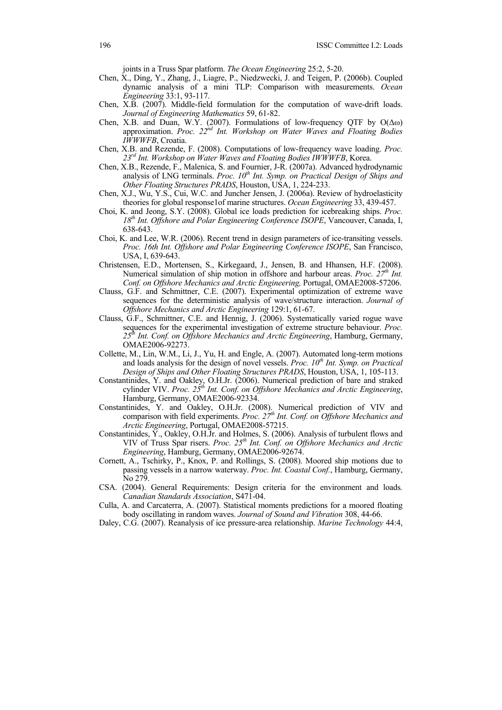joints in a Truss Spar platform. *The Ocean Engineering* 25:2, 5-20.

- Chen, X., Ding, Y., Zhang, J., Liagre, P., Niedzwecki, J. and Teigen, P. (2006b). Coupled dynamic analysis of a mini TLP: Comparison with measurements. *Ocean Engineering* 33:1, 93-117.
- Chen, X.B. (2007). Middle-field formulation for the computation of wave-drift loads. *Journal of Engineering Mathematics* 59, 61-82.
- Chen, X.B. and Duan, W.Y. (2007). Formulations of low-frequency QTF by  $O(\Delta\omega)$ approximation. Proc. 22<sup>nd</sup> Int. Workshop on Water Waves and Floating Bodies *IWWWFB*, Croatia.
- Chen, X.B. and Rezende, F. (2008). Computations of low-frequency wave loading. *Proc. 23rd Int. Workshop on Water Waves and Floating Bodies IWWWFB*, Korea.
- Chen, X.B., Rezende, F., Malenica, S. and Fournier, J-R. (2007a). Advanced hydrodynamic analysis of LNG terminals. *Proc. 10<sup>th</sup> Int. Symp. on Practical Design of Ships and Other Floating Structures PRADS*, Houston, USA, 1, 224-233.
- Chen, X.J., Wu, Y.S., Cui, W.C. and Juncher Jensen, J. (2006a). Review of hydroelasticity theories for global response1of marine structures. *Ocean Engineering* 33, 439-457.
- Choi, K. and Jeong, S.Y. (2008). Global ice loads prediction for icebreaking ships. *Proc. 18th Int. Offshore and Polar Engineering Conference ISOPE*, Vancouver, Canada, I, 638-643.
- Choi, K. and Lee, W.R. (2006). Recent trend in design parameters of ice-transiting vessels. *Proc. 16th Int. Offshore and Polar Engineering Conference ISOPE*, San Francisco, USA, I, 639-643.
- Christensen, E.D., Mortensen, S., Kirkegaard, J., Jensen, B. and Hhansen, H.F. (2008). Numerical simulation of ship motion in offshore and harbour areas. *Proc.* 27<sup>th</sup> Int. *Conf. on Offshore Mechanics and Arctic Engineering,* Portugal, OMAE2008-57206.
- Clauss, G.F. and Schmittner, C.E. (2007). Experimental optimization of extreme wave sequences for the deterministic analysis of wave/structure interaction. *Journal of Offshore Mechanics and Arctic Engineering* 129:1, 61-67.
- Clauss, G.F., Schmittner, C.E. and Hennig, J. (2006). Systematically varied rogue wave sequences for the experimental investigation of extreme structure behaviour. *Proc. 25th Int. Conf. on Offshore Mechanics and Arctic Engineering*, Hamburg, Germany, OMAE2006-92273.
- Collette, M., Lin, W.M., Li, J., Yu, H. and Engle, A. (2007). Automated long-term motions and loads analysis for the design of novel vessels. *Proc.*  $10<sup>th</sup>$  *Int. Symp. on Practical Design of Ships and Other Floating Structures PRADS*, Houston, USA, 1, 105-113.
- Constantinides, Y. and Oakley, O.H.Jr. (2006). Numerical prediction of bare and straked cylinder VIV. *Proc.* 25<sup>th</sup> Int. Conf. on Offshore Mechanics and Arctic Engineering, Hamburg, Germany, OMAE2006-92334.
- Constantinides, Y. and Oakley, O.H.Jr. (2008). Numerical prediction of VIV and comparison with field experiments. *Proc. 27<sup>th</sup> Int. Conf. on Offshore Mechanics and Arctic Engineering*, Portugal, OMAE2008-57215.
- Constantinides, Y., Oakley, O.H.Jr. and Holmes, S. (2006). Analysis of turbulent flows and VIV of Truss Spar risers. *Proc. 25<sup>th</sup> Int. Conf. on Offshore Mechanics and Arctic Engineering*, Hamburg, Germany, OMAE2006-92674.
- Cornett, A., Tschirky, P., Knox, P. and Rollings, S. (2008). Moored ship motions due to passing vessels in a narrow waterway. *Proc. Int. Coastal Conf.*, Hamburg, Germany, No 279.
- CSA. (2004). General Requirements: Design criteria for the environment and loads*. Canadian Standards Association*, S471-04.
- Culla, A. and Carcaterra, A. (2007). Statistical moments predictions for a moored floating body oscillating in random waves. *Journal of Sound and Vibration* 308, 44-66.
- Daley, C.G. (2007). Reanalysis of ice pressure-area relationship. *Marine Technology* 44:4,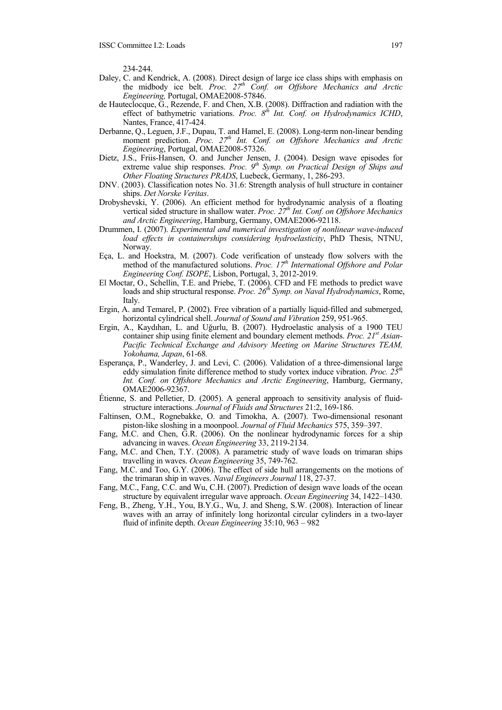234-244.

- Daley, C. and Kendrick, A. (2008). Direct design of large ice class ships with emphasis on the midbody ice belt. *Proc.* 27<sup>th</sup> Conf. on Offshore Mechanics and Arctic *Engineering,* Portugal, OMAE2008-57846.
- de Hauteclocque, G., Rezende, F. and Chen, X.B. (2008). Diffraction and radiation with the effect of bathymetric variations. Proc. 8<sup>th</sup> Int. Conf. on Hydrodynamics ICHD, Nantes, France, 417-424.
- Derbanne, Q., Leguen, J.F., Dupau, T. and Hamel, E. (2008). Long-term non-linear bending moment prediction. *Proc.* 27<sup>th</sup> Int. Conf. on Offshore Mechanics and Arctic *Engineering*, Portugal, OMAE2008-57326.
- Dietz, J.S., Friis-Hansen, O. and Juncher Jensen, J. (2004). Design wave episodes for extreme value ship responses. *Proc.* 9<sup>th</sup> Symp. on Practical Design of Ships and *Other Floating Structures PRADS*, Luebeck, Germany, 1, 286-293.
- DNV. (2003). Classification notes No. 31.6: Strength analysis of hull structure in container ships. *Det Norske Veritas*.
- Drobyshevski, Y. (2006). An efficient method for hydrodynamic analysis of a floating vertical sided structure in shallow water. *Proc.* 27<sup>th</sup> Int. Conf. on Offshore Mechanics *and Arctic Engineering*, Hamburg, Germany, OMAE2006-92118.
- Drummen, I. (2007). *Experimental and numerical investigation of nonlinear wave-induced load effects in containerships considering hydroelasticity*, PhD Thesis, NTNU, Norway.
- Eça, L. and Hoekstra, M. (2007). Code verification of unsteady flow solvers with the method of the manufactured solutions. *Proc.* 17<sup>th</sup> International Offshore and Polar *Engineering Conf. ISOPE*, Lisbon, Portugal, 3, 2012-2019.
- El Moctar, O., Schellin, T.E. and Priebe, T. (2006). CFD and FE methods to predict wave loads and ship structural response. *Proc. 26<sup>th</sup> Symp. on Naval Hydrodynamics*, Rome, Italy.
- Ergin, A. and Temarel, P. (2002). Free vibration of a partially liquid-filled and submerged, horizontal cylindrical shell. *Journal of Sound and Vibration* 259, 951-965.
- Ergin, A., Kaydıhan, L. and Uğurlu, B. (2007). Hydroelastic analysis of a 1900 TEU container ship using finite element and boundary element methods. *Proc. 21st Asian-Pacific Technical Exchange and Advisory Meeting on Marine Structures TEAM, Yokohama, Japan*, 61-68*.*
- Esperança, P., Wanderley, J. and Levi, C. (2006). Validation of a three-dimensional large eddy simulation finite difference method to study vortex induce vibration. *Proc. 25th Int. Conf. on Offshore Mechanics and Arctic Engineering*, Hamburg, Germany, OMAE2006-92367.
- Étienne, S. and Pelletier, D. (2005). A general approach to sensitivity analysis of fluidstructure interactions. *Journal of Fluids and Structures* 21:2, 169-186.
- Faltinsen, O.M., Rognebakke, O. and Timokha, A. (2007). Two-dimensional resonant piston-like sloshing in a moonpool. *Journal of Fluid Mechanics* 575, 359–397.
- Fang, M.C. and Chen, G.R. (2006). On the nonlinear hydrodynamic forces for a ship advancing in waves. *Ocean Engineering* 33, 2119-2134.
- Fang, M.C. and Chen, T.Y. (2008). A parametric study of wave loads on trimaran ships travelling in waves. *Ocean Engineering* 35, 749-762.
- Fang, M.C. and Too, G.Y. (2006). The effect of side hull arrangements on the motions of the trimaran ship in waves. *Naval Engineers Journal* 118, 27-37.
- Fang, M.C., Fang, C.C. and Wu, C.H. (2007). Prediction of design wave loads of the ocean structure by equivalent irregular wave approach. *Ocean Engineering* 34, 1422–1430.
- Feng, B., Zheng, Y.H., You, B.Y.G., Wu, J. and Sheng, S.W. (2008). Interaction of linear waves with an array of infinitely long horizontal circular cylinders in a two-layer fluid of infinite depth. *Ocean Engineering* 35:10, 963 – 982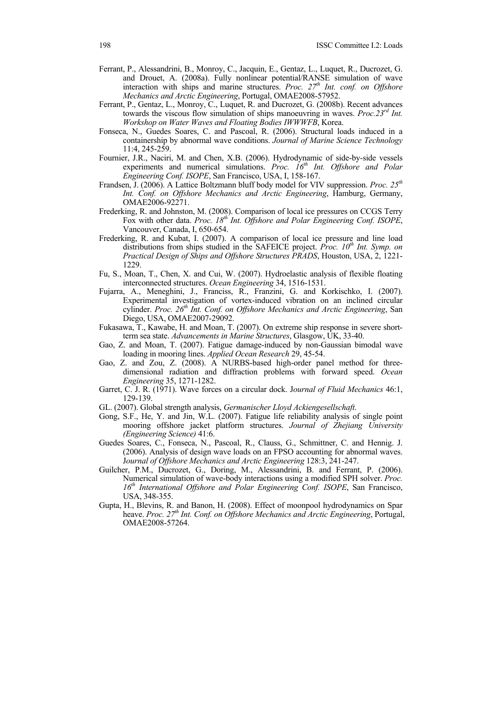- Ferrant, P., Alessandrini, B., Monroy, C., Jacquin, E., Gentaz, L., Luquet, R., Ducrozet, G. and Drouet, A. (2008a). Fully nonlinear potential/RANSE simulation of wave interaction with ships and marine structures. *Proc.* 27<sup>th</sup> Int. conf. on Offshore *Mechanics and Arctic Engineering*, Portugal, OMAE2008-57952.
- Ferrant, P., Gentaz, L., Monroy, C., Luquet, R. and Ducrozet, G. (2008b). Recent advances towards the viscous flow simulation of ships manoeuvring in waves. *Proc.23rd Int. Workshop on Water Waves and Floating Bodies IWWWFB*, Korea.
- Fonseca, N., Guedes Soares, C. and Pascoal, R. (2006). Structural loads induced in a containership by abnormal wave conditions. *Journal of Marine Science Technology* 11:4, 245-259.
- Fournier, J.R., Naciri, M. and Chen, X.B. (2006). Hydrodynamic of side-by-side vessels experiments and numerical simulations. *Proc. 16<sup>th</sup> Int. Offshore and Polar Engineering Conf. ISOPE*, San Francisco, USA, I, 158-167.
- Frandsen, J. (2006). A Lattice Boltzmann bluff body model for VIV suppression. *Proc. 25th Int. Conf. on Offshore Mechanics and Arctic Engineering*, Hamburg, Germany, OMAE2006-92271.
- Frederking, R. and Johnston, M. (2008). Comparison of local ice pressures on CCGS Terry Fox with other data. *Proc. 18th Int. Offshore and Polar Engineering Conf. ISOPE*, Vancouver, Canada, I, 650-654.
- Frederking, R. and Kubat, I. (2007). A comparison of local ice pressure and line load distributions from ships studied in the SAFEICE project. *Proc. 10<sup>th</sup> Int. Symp. on Practical Design of Ships and Offshore Structures PRADS*, Houston, USA, 2, 1221- 1229.
- Fu, S., Moan, T., Chen, X. and Cui, W. (2007). Hydroelastic analysis of flexible floating interconnected structures. *Ocean Engineering* 34, 1516-1531.
- Fujarra, A., Meneghini, J., Franciss, R., Franzini, G. and Korkischko, I. (2007). Experimental investigation of vortex-induced vibration on an inclined circular cylinder. *Proc. 26th Int. Conf. on Offshore Mechanics and Arctic Engineering*, San Diego, USA, OMAE2007-29092.
- Fukasawa, T., Kawabe, H. and Moan, T. (2007). On extreme ship response in severe shortterm sea state. *Advancements in Marine Structures*, Glasgow, UK, 33-40.
- Gao, Z. and Moan, T. (2007). Fatigue damage-induced by non-Gaussian bimodal wave loading in mooring lines. *Applied Ocean Research* 29, 45-54.
- Gao, Z. and Zou, Z. (2008). A NURBS-based high-order panel method for threedimensional radiation and diffraction problems with forward speed. *Ocean Engineering* 35, 1271-1282.
- Garret, C. J. R. (1971). Wave forces on a circular dock. J*ournal of Fluid Mechanics* 46:1, 129-139.
- GL. (2007). Global strength analysis, *Germanischer Lloyd Ackiengesellschaft*.
- Gong, S.F., He, Y. and Jin, W.L. (2007). Fatigue life reliability analysis of single point mooring offshore jacket platform structures. *Journal of Zhejiang University (Engineering Science)* 41:6.
- Guedes Soares, C., Fonseca, N., Pascoal, R., Clauss, G., Schmittner, C. and Hennig. J. (2006). Analysis of design wave loads on an FPSO accounting for abnormal waves. J*ournal of Offshore Mechanics and Arctic Engineering* 128:3, 241-247.
- Guilcher, P.M., Ducrozet, G., Doring, M., Alessandrini, B. and Ferrant, P. (2006). Numerical simulation of wave-body interactions using a modified SPH solver. *Proc. 16th International Offshore and Polar Engineering Conf. ISOPE*, San Francisco, USA, 348-355.
- Gupta, H., Blevins, R. and Banon, H. (2008). Effect of moonpool hydrodynamics on Spar heave. *Proc. 27th Int. Conf. on Offshore Mechanics and Arctic Engineering*, Portugal, OMAE2008-57264.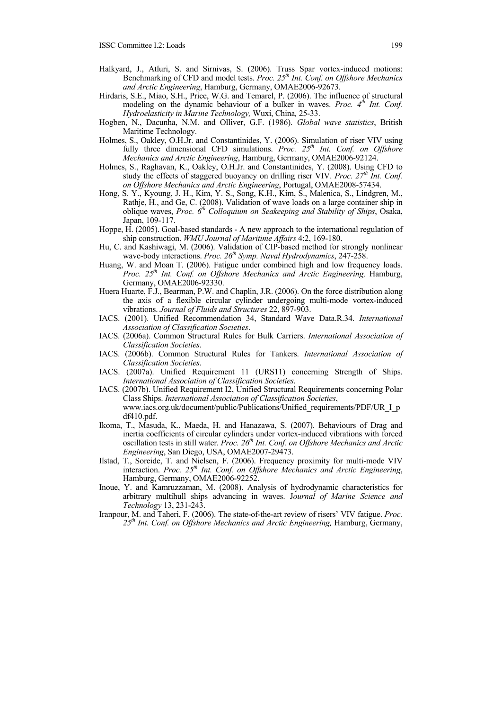- Halkyard, J., Atluri, S. and Sirnivas, S. (2006). Truss Spar vortex-induced motions: Benchmarking of CFD and model tests. *Proc. 25th Int. Conf. on Offshore Mechanics and Arctic Engineering*, Hamburg, Germany, OMAE2006-92673.
- Hirdaris, S.E., Miao, S.H., Price, W.G. and Temarel, P. (2006). The influence of structural modeling on the dynamic behaviour of a bulker in waves. *Proc.* 4<sup>th</sup> Int. Conf. *Hydroelasticity in Marine Technology,* Wuxi, China*,* 25-33.
- Hogben, N., Dacunha, N.M. and Olliver, G.F. (1986). *Global wave statistics*, British Maritime Technology.
- Holmes, S., Oakley, O.H.Jr. and Constantinides, Y. (2006). Simulation of riser VIV using fully three dimensional CFD simulations. *Proc.* 25<sup>th</sup> Int. Conf. on Offshore *Mechanics and Arctic Engineering*, Hamburg, Germany, OMAE2006-92124.
- Holmes, S., Raghavan, K., Oakley, O.H.Jr. and Constantinides, Y. (2008). Using CFD to study the effects of staggered buoyancy on drilling riser VIV. *Proc.* 27<sup>th</sup> Int. Conf. *on Offshore Mechanics and Arctic Engineering*, Portugal, OMAE2008-57434.
- Hong, S. Y., Kyoung, J. H., Kim, Y. S., Song, K.H., Kim, S., Malenica, S., Lindgren, M., Rathje, H., and Ge, C. (2008). Validation of wave loads on a large container ship in oblique waves, *Proc. 6th Colloquium on Seakeeping and Stability of Ships*, Osaka, Japan, 109-117.
- Hoppe, H. (2005). Goal-based standards A new approach to the international regulation of ship construction. *WMU Journal of Maritime Affairs* 4:2, 169-180.
- Hu, C. and Kashiwagi, M. (2006). Validation of CIP-based method for strongly nonlinear wave-body interactions. Proc. 26<sup>th</sup> Symp. Naval Hydrodynamics, 247-258.
- Huang, W. and Moan T. (2006). Fatigue under combined high and low frequency loads. *Proc. 25th Int. Conf. on Offshore Mechanics and Arctic Engineering,* Hamburg, Germany, OMAE2006-92330.
- Huera Huarte, F.J., Bearman, P.W. and Chaplin, J.R. (2006). On the force distribution along the axis of a flexible circular cylinder undergoing multi-mode vortex-induced vibrations. *Journal of Fluids and Structures* 22, 897-903.
- IACS. (2001). Unified Recommendation 34, Standard Wave Data.R.34. *International Association of Classification Societies*.
- IACS. (2006a). Common Structural Rules for Bulk Carriers. *International Association of Classification Societies*.
- IACS. (2006b). Common Structural Rules for Tankers. *International Association of Classification Societies*.
- IACS. (2007a). Unified Requirement 11 (URS11) concerning Strength of Ships. *International Association of Classification Societies*.
- IACS. (2007b). Unified Requirement I2, Unified Structural Requirements concerning Polar Class Ships. *International Association of Classification Societies*, www.iacs.org.uk/document/public/Publications/Unified\_requirements/PDF/UR\_I\_p df410.pdf.
- Ikoma, T., Masuda, K., Maeda, H. and Hanazawa, S. (2007). Behaviours of Drag and inertia coefficients of circular cylinders under vortex-induced vibrations with forced oscillation tests in still water. *Proc.* 26<sup>th</sup> Int. Conf. on Offshore Mechanics and Arctic *Engineering*, San Diego, USA, OMAE2007-29473.
- Ilstad, T., Soreide, T. and Nielsen, F. (2006). Frequency proximity for multi-mode VIV interaction. *Proc. 25th Int. Conf. on Offshore Mechanics and Arctic Engineering*, Hamburg, Germany, OMAE2006-92252.
- Inoue, Y. and Kamruzzaman, M. (2008). Analysis of hydrodynamic characteristics for arbitrary multihull ships advancing in waves. J*ournal of Marine Science and Technology* 13, 231-243.
- Iranpour, M. and Taheri, F. (2006). The state-of-the-art review of risers' VIV fatigue. *Proc. 25th Int. Conf. on Offshore Mechanics and Arctic Engineering,* Hamburg, Germany,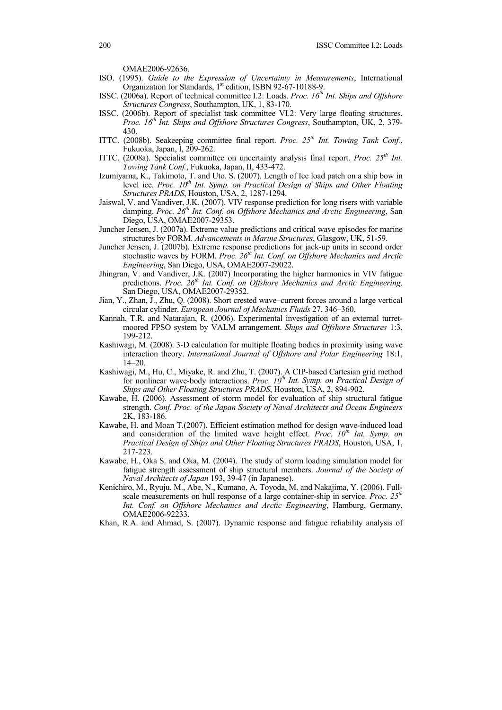OMAE2006-92636.

- ISO. (1995). *Guide to the Expression of Uncertainty in Measurements*, International Organization for Standards, 1<sup>st</sup> edition, ISBN 92-67-10188-9.
- ISSC. (2006a). Report of technical committee I.2: Loads. *Proc. 16th Int. Ships and Offshore Structures Congress*, Southampton, UK, 1, 83-170.
- ISSC. (2006b). Report of specialist task committee VI.2: Very large floating structures. *Proc. 16th Int. Ships and Offshore Structures Congress*, Southampton, UK, 2, 379- 430.
- ITTC. (2008b). Seakeeping committee final report. *Proc. 25th Int. Towing Tank Conf.*, Fukuoka, Japan, I, 209-262.
- ITTC. (2008a). Specialist committee on uncertainty analysis final report. *Proc.* 25<sup>th</sup> Int. *Towing Tank Conf.*, Fukuoka, Japan, II, 433-472.
- Izumiyama, K., Takimoto, T. and Uto. S. (2007). Length of Ice load patch on a ship bow in level ice. *Proc. 10<sup>th</sup> Int. Symp. on Practical Design of Ships and Other Floating Structures PRADS*, Houston, USA, 2, 1287-1294.
- Jaiswal, V. and Vandiver, J.K. (2007). VIV response prediction for long risers with variable damping. *Proc. 26th Int. Conf. on Offshore Mechanics and Arctic Engineering*, San Diego, USA, OMAE2007-29353.
- Juncher Jensen, J. (2007a). Extreme value predictions and critical wave episodes for marine structures by FORM. *Advancements in Marine Structures*, Glasgow, UK, 51-59.
- Juncher Jensen, J. (2007b). Extreme response predictions for jack-up units in second order stochastic waves by FORM. Proc. 26<sup>th</sup> Int. Conf. on Offshore Mechanics and Arctic *Engineering*, San Diego, USA, OMAE2007-29022.
- Jhingran, V. and Vandiver, J.K. (2007) Incorporating the higher harmonics in VIV fatigue predictions. *Proc. 26th Int. Conf. on Offshore Mechanics and Arctic Engineering,* San Diego, USA, OMAE2007-29352.
- Jian, Y., Zhan, J., Zhu, Q. (2008). Short crested wave–current forces around a large vertical circular cylinder. *European Journal of Mechanics Fluids* 27, 346–360.
- Kannah, T.R. and Natarajan, R. (2006). Experimental investigation of an external turretmoored FPSO system by VALM arrangement. *Ships and Offshore Structures* 1:3, 199-212.
- Kashiwagi, M. (2008). 3-D calculation for multiple floating bodies in proximity using wave interaction theory. *International Journal of Offshore and Polar Engineering* 18:1,  $14-20.$
- Kashiwagi, M., Hu, C., Miyake, R. and Zhu, T. (2007). A CIP-based Cartesian grid method for nonlinear wave-body interactions. *Proc. 10<sup>th</sup> Int. Symp. on Practical Design of Ships and Other Floating Structures PRADS*, Houston, USA, 2, 894-902.
- Kawabe, H. (2006). Assessment of storm model for evaluation of ship structural fatigue strength. *Conf. Proc. of the Japan Society of Naval Architects and Ocean Engineers* 2K, 183-186.
- Kawabe, H. and Moan T.(2007). Efficient estimation method for design wave-induced load and consideration of the limited wave height effect. *Proc.*  $10<sup>th</sup>$  Int. Symp. on *Practical Design of Ships and Other Floating Structures PRADS*, Houston, USA, 1, 217-223.
- Kawabe, H., Oka S. and Oka, M. (2004). The study of storm loading simulation model for fatigue strength assessment of ship structural members. *Journal of the Society of Naval Architects of Japan* 193, 39-47 (in Japanese).
- Kenichiro, M., Ryuju, M., Abe, N., Kumano, A. Toyoda, M. and Nakajima, Y. (2006). Fullscale measurements on hull response of a large container-ship in service. *Proc. 25th Int. Conf. on Offshore Mechanics and Arctic Engineering*, Hamburg, Germany, OMAE2006-92233.
- Khan, R.A. and Ahmad, S. (2007). Dynamic response and fatigue reliability analysis of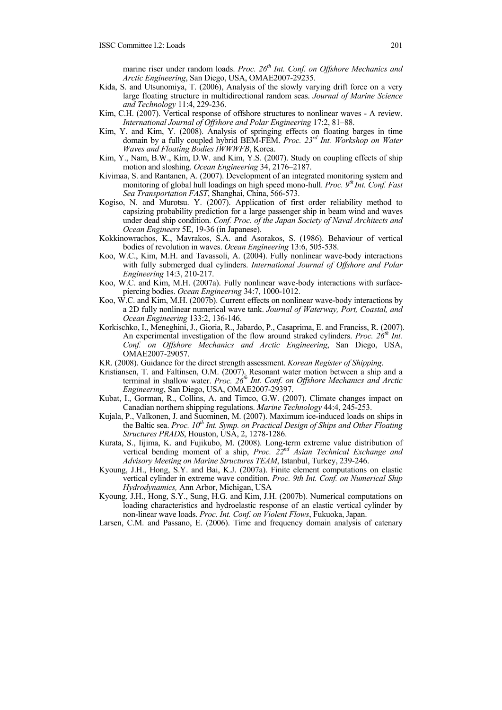marine riser under random loads. *Proc. 26<sup>th</sup> Int. Conf. on Offshore Mechanics and Arctic Engineering*, San Diego, USA, OMAE2007-29235.

- Kida, S. and Utsunomiya, T. (2006), Analysis of the slowly varying drift force on a very large floating structure in multidirectional random seas. *Journal of Marine Science and Technology* 11:4, 229-236.
- Kim, C.H. (2007). Vertical response of offshore structures to nonlinear waves A review. *International Journal of Offshore and Polar Engineering* 17:2, 81–88.
- Kim, Y. and Kim, Y. (2008). Analysis of springing effects on floating barges in time domain by a fully coupled hybrid BEM-FEM. *Proc. 23rd Int. Workshop on Water Waves and Floating Bodies IWWWFB*, Korea.
- Kim, Y., Nam, B.W., Kim, D.W. and Kim, Y.S. (2007). Study on coupling effects of ship motion and sloshing. *Ocean Engineering* 34, 2176–2187.
- Kivimaa, S. and Rantanen, A. (2007). Development of an integrated monitoring system and monitoring of global hull loadings on high speed mono-hull. *Proc.* 9<sup>th</sup> Int. Conf. Fast *Sea Transportation FAST*, Shanghai, China, 566-573.
- Kogiso, N. and Murotsu. Y. (2007). Application of first order reliability method to capsizing probability prediction for a large passenger ship in beam wind and waves under dead ship condition. *Conf. Proc. of the Japan Society of Naval Architects and Ocean Engineers* 5E, 19-36 (in Japanese).
- Kokkinowrachos, K., Mavrakos, S.A. and Asorakos, S. (1986). Behaviour of vertical bodies of revolution in waves. *Ocean Engineering* 13:6, 505-538.
- Koo, W.C., Kim, M.H. and Tavassoli, A. (2004). Fully nonlinear wave-body interactions with fully submerged dual cylinders. *International Journal of Offshore and Polar Engineering* 14:3, 210-217.
- Koo, W.C. and Kim, M.H. (2007a). Fully nonlinear wave-body interactions with surfacepiercing bodies. *Ocean Engineering* 34:7, 1000-1012.
- Koo, W.C. and Kim, M.H. (2007b). Current effects on nonlinear wave-body interactions by a 2D fully nonlinear numerical wave tank. *Journal of Waterway, Port, Coastal, and Ocean Engineering* 133:2, 136-146.
- Korkischko, I., Meneghini, J., Gioria, R., Jabardo, P., Casaprima, E. and Franciss, R. (2007). An experimental investigation of the flow around straked cylinders. *Proc.* 26<sup>th</sup> Int. *Conf. on Offshore Mechanics and Arctic Engineering*, San Diego, USA, OMAE2007-29057.
- KR. (2008). Guidance for the direct strength assessment. *Korean Register of Shipping*.
- Kristiansen, T. and Faltinsen, O.M. (2007). Resonant water motion between a ship and a terminal in shallow water. *Proc.* 26<sup>th</sup> Int. Conf. on Offshore Mechanics and Arctic *Engineering*, San Diego, USA, OMAE2007-29397.
- Kubat, I., Gorman, R., Collins, A. and Timco, G.W. (2007). Climate changes impact on Canadian northern shipping regulations. *Marine Technology* 44:4, 245-253.
- Kujala, P., Valkonen, J. and Suominen, M. (2007). Maximum ice-induced loads on ships in the Baltic sea. *Proc. 10<sup>th</sup> Int. Symp. on Practical Design of Ships and Other Floating Structures PRADS*, Houston, USA, 2, 1278-1286.
- Kurata, S., Iijima, K. and Fujikubo, M. (2008). Long-term extreme value distribution of vertical bending moment of a ship, *Proc. 22nd Asian Technical Exchange and Advisory Meeting on Marine Structures TEAM*, Istanbul, Turkey, 239-246.
- Kyoung, J.H., Hong, S.Y. and Bai, K.J. (2007a). Finite element computations on elastic vertical cylinder in extreme wave condition. *Proc. 9th Int. Conf. on Numerical Ship Hydrodynamics,* Ann Arbor, Michigan, USA
- Kyoung, J.H., Hong, S.Y., Sung, H.G. and Kim, J.H. (2007b). Numerical computations on loading characteristics and hydroelastic response of an elastic vertical cylinder by non-linear wave loads. *Proc. Int. Conf. on Violent Flows*, Fukuoka, Japan.
- Larsen, C.M. and Passano, E. (2006). Time and frequency domain analysis of catenary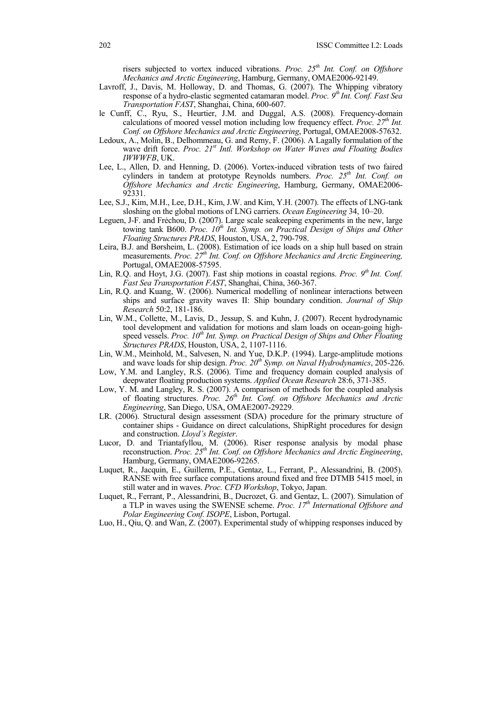risers subjected to vortex induced vibrations. *Proc.* 25<sup>th</sup> Int. Conf. on Offshore *Mechanics and Arctic Engineering*, Hamburg, Germany, OMAE2006-92149.

- Lavroff, J., Davis, M. Holloway, D. and Thomas, G. (2007). The Whipping vibratory response of a hydro-elastic segmented catamaran model. *Proc. 9th Int. Conf. Fast Sea Transportation FAST*, Shanghai, China, 600-607.
- le Cunff, C., Ryu, S., Heurtier, J.M. and Duggal, A.S. (2008). Frequency-domain calculations of moored vessel motion including low frequency effect. *Proc.* 27<sup>th</sup> Int. *Conf. on Offshore Mechanics and Arctic Engineering*, Portugal, OMAE2008-57632.
- Ledoux, A., Molin, B., Delhommeau, G. and Remy, F. (2006). A Lagally formulation of the wave drift force. *Proc. 21<sup>st</sup> Intl. Workshop on Water Waves and Floating Bodies IWWWFB*, UK.
- Lee, L., Allen, D. and Henning, D. (2006). Vortex-induced vibration tests of two faired cylinders in tandem at prototype Reynolds numbers. Proc. 25<sup>th</sup> Int. Conf. on *Offshore Mechanics and Arctic Engineering*, Hamburg, Germany, OMAE2006- 92331.
- Lee, S.J., Kim, M.H., Lee, D.H., Kim, J.W. and Kim, Y.H. (2007). The effects of LNG-tank sloshing on the global motions of LNG carriers. *Ocean Engineering* 34, 10–20.
- Leguen, J-F. and Frẻchou, D. (2007). Large scale seakeeping experiments in the new, large towing tank B600. *Proc.* 10<sup>th</sup> Int. Symp. on Practical Design of Ships and Other *Floating Structures PRADS*, Houston, USA, 2, 790-798.
- Leira, B.J. and Børsheim, L. (2008). Estimation of ice loads on a ship hull based on strain measurements. *Proc. 27th Int. Conf. on Offshore Mechanics and Arctic Engineering,* Portugal, OMAE2008-57595.
- Lin, R.Q. and Hoyt, J.G. (2007). Fast ship motions in coastal regions. *Proc.* 9<sup>th</sup> Int. Conf. *Fast Sea Transportation FAST*, Shanghai, China, 360-367.
- Lin, R.Q. and Kuang, W. (2006). Numerical modelling of nonlinear interactions between ships and surface gravity waves II: Ship boundary condition. *Journal of Ship Research* 50:2, 181-186.
- Lin, W.M., Collette, M., Lavis, D., Jessup, S. and Kuhn, J. (2007). Recent hydrodynamic tool development and validation for motions and slam loads on ocean-going highspeed vessels. *Proc.* 10<sup>th</sup> Int. Symp. on Practical Design of Ships and Other Floating *Structures PRADS*, Houston, USA, 2, 1107-1116.
- Lin, W.M., Meinhold, M., Salvesen, N. and Yue, D.K.P. (1994). Large-amplitude motions and wave loads for ship design. *Proc. 20th Symp. on Naval Hydrodynamics*, 205-226.
- Low, Y.M. and Langley, R.S. (2006). Time and frequency domain coupled analysis of deepwater floating production systems. *Applied Ocean Research* 28:6, 371-385.
- Low, Y. M. and Langley, R. S. (2007). A comparison of methods for the coupled analysis of floating structures. Proc. 26<sup>th</sup> Int. Conf. on Offshore Mechanics and Arctic *Engineering*, San Diego, USA, OMAE2007-29229.
- LR. (2006). Structural design assessment (SDA) procedure for the primary structure of container ships - Guidance on direct calculations, ShipRight procedures for design and construction. *Lloyd's Register*.
- Lucor, D. and Triantafyllou, M. (2006). Riser response analysis by modal phase reconstruction. *Proc. 25th Int. Conf. on Offshore Mechanics and Arctic Engineering*, Hamburg, Germany, OMAE2006-92265.
- Luquet, R., Jacquin, E., Guillerm, P.E., Gentaz, L., Ferrant, P., Alessandrini, B. (2005). RANSE with free surface computations around fixed and free DTMB 5415 moel, in still water and in waves. *Proc. CFD Workshop*, Tokyo, Japan.
- Luquet, R., Ferrant, P., Alessandrini, B., Ducrozet, G. and Gentaz, L. (2007). Simulation of a TLP in waves using the SWENSE scheme. *Proc. 17th International Offshore and Polar Engineering Conf. ISOPE*, Lisbon, Portugal.
- Luo, H., Qiu, Q. and Wan, Z. (2007). Experimental study of whipping responses induced by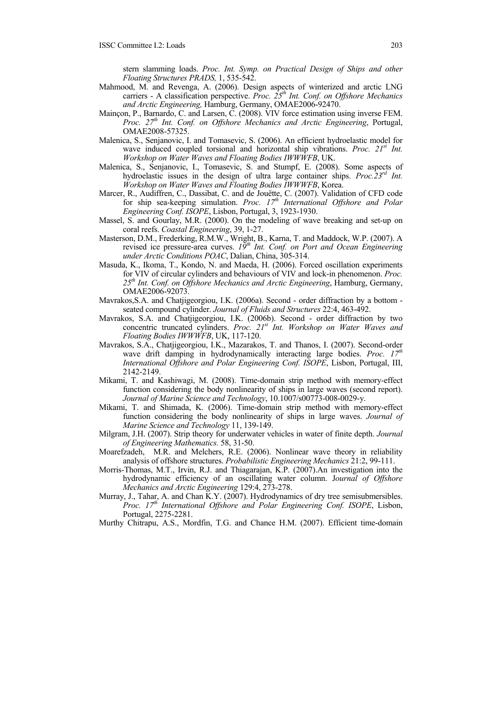stern slamming loads. *Proc. Int. Symp. on Practical Design of Ships and other Floating Structures PRADS,* 1, 535-542.

- Mahmood, M. and Revenga, A. (2006). Design aspects of winterized and arctic LNG carriers - A classification perspective. *Proc.* 25<sup>th</sup> Int. Conf. on Offshore Mechanics *and Arctic Engineering,* Hamburg, Germany, OMAE2006-92470.
- Mainçon, P., Barnardo, C. and Larsen, C. (2008). VIV force estimation using inverse FEM. *Proc. 27th Int. Conf. on Offshore Mechanics and Arctic Engineering*, Portugal, OMAE2008-57325.
- Malenica, S., Senjanovic, I. and Tomasevic, S. (2006). An efficient hydroelastic model for wave induced coupled torsional and horizontal ship vibrations. *Proc.* 21<sup>st</sup> Int. *Workshop on Water Waves and Floating Bodies IWWWFB*, UK.
- Malenica, S., Senjanovic, I., Tomasevic, S. and Stumpf, E. (2008). Some aspects of hydroelastic issues in the design of ultra large container ships. *Proc.23rd Int. Workshop on Water Waves and Floating Bodies IWWWFB*, Korea.
- Marcer, R., Audiffren, C., Dassibat, C. and de Jouëtte, C. (2007). Validation of CFD code for ship sea-keeping simulation. *Proc. 17<sup>th</sup> International Offshore and Polar Engineering Conf. ISOPE*, Lisbon, Portugal, 3, 1923-1930.
- Massel, S. and Gourlay, M.R. (2000). On the modeling of wave breaking and set-up on coral reefs. *Coastal Engineering*, 39, 1-27.
- Masterson, D.M., Frederking, R.M.W., Wright, B., Karna, T. and Maddock, W.P. (2007). A revised ice pressure-area curves. *19th Int. Conf. on Port and Ocean Engineering under Arctic Conditions POAC*, Dalian, China, 305-314.
- Masuda, K., Ikoma, T., Kondo, N. and Maeda, H. (2006). Forced oscillation experiments for VIV of circular cylinders and behaviours of VIV and lock-in phenomenon. *Proc. 25th Int. Conf. on Offshore Mechanics and Arctic Engineering*, Hamburg, Germany, OMAE2006-92073.
- Mavrakos,S.A. and Chatjigeorgiou, I.K. (2006a). Second order diffraction by a bottom seated compound cylinder. *Journal of Fluids and Structures* 22:4, 463-492.
- Mavrakos, S.A. and Chatjigeorgiou, I.K. (2006b). Second order diffraction by two concentric truncated cylinders. *Proc. 21st Int. Workshop on Water Waves and Floating Bodies IWWWFB*, UK, 117-120.
- Mavrakos, S.A., Chatjigeorgiou, I.K., Mazarakos, T. and Thanos, I. (2007). Second-order wave drift damping in hydrodynamically interacting large bodies. *Proc.* 17<sup>th</sup> *International Offshore and Polar Engineering Conf. ISOPE*, Lisbon, Portugal, III, 2142-2149.
- Mikami, T. and Kashiwagi, M. (2008). Time-domain strip method with memory-effect function considering the body nonlinearity of ships in large waves (second report). *Journal of Marine Science and Technology*, 10.1007/s00773-008-0029-y.
- Mikami, T. and Shimada, K. (2006). Time-domain strip method with memory-effect function considering the body nonlinearity of ships in large waves. *Journal of Marine Science and Technology* 11, 139-149.
- Milgram, J.H. (2007). Strip theory for underwater vehicles in water of finite depth. *Journal of Engineering Mathematics.* 58, 31-50.
- Moarefzadeh, M.R. and Melchers, R.E. (2006). Nonlinear wave theory in reliability analysis of offshore structures. *Probabilistic Engineering Mechanics* 21:2, 99-111.
- Morris-Thomas, M.T., Irvin, R.J. and Thiagarajan, K.P. (2007).An investigation into the hydrodynamic efficiency of an oscillating water column. J*ournal of Offshore Mechanics and Arctic Engineering* 129:4, 273-278.
- Murray, J., Tahar, A. and Chan K.Y. (2007). Hydrodynamics of dry tree semisubmersibles. *Proc. 17th International Offshore and Polar Engineering Conf. ISOPE*, Lisbon, Portugal, 2275-2281.
- Murthy Chitrapu, A.S., Mordfin, T.G. and Chance H.M. (2007). Efficient time-domain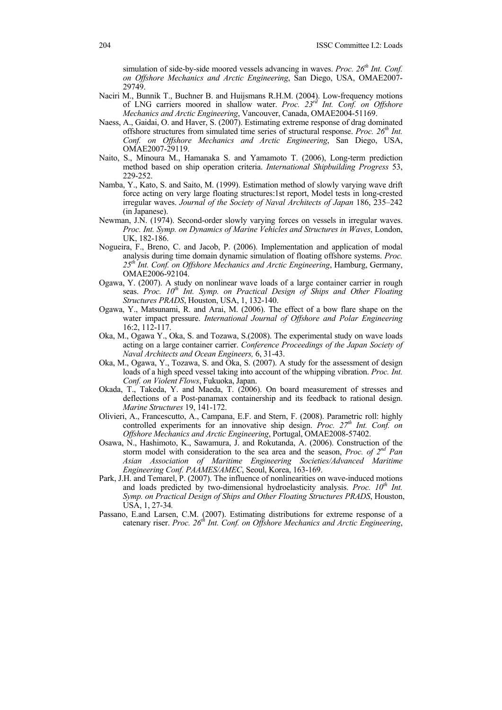simulation of side-by-side moored vessels advancing in waves. *Proc. 26<sup>th</sup> Int. Conf. on Offshore Mechanics and Arctic Engineering*, San Diego, USA, OMAE2007- 29749.

- Naciri M., Bunnik T., Buchner B. and Huijsmans R.H.M. (2004). Low-frequency motions of LNG carriers moored in shallow water. *Proc. 23rd Int. Conf. on Offshore Mechanics and Arctic Engineering*, Vancouver, Canada, OMAE2004-51169.
- Naess, A., Gaidai, O. and Haver, S. (2007). Estimating extreme response of drag dominated offshore structures from simulated time series of structural response. *Proc.* 26<sup>th</sup> Int. *Conf. on Offshore Mechanics and Arctic Engineering*, San Diego, USA, OMAE2007-29119.
- Naito, S., Minoura M., Hamanaka S. and Yamamoto T. (2006), Long-term prediction method based on ship operation criteria. *International Shipbuilding Progress* 53, 229-252.
- Namba, Y., Kato, S. and Saito, M. (1999). Estimation method of slowly varying wave drift force acting on very large floating structures:1st report, Model tests in long-crested irregular waves. *Journal of the Society of Naval Architects of Japan* 186, 235–242 (in Japanese).
- Newman, J.N. (1974). Second-order slowly varying forces on vessels in irregular waves. *Proc. Int. Symp. on Dynamics of Marine Vehicles and Structures in Waves*, London, UK, 182-186.
- Nogueira, F., Breno, C. and Jacob, P. (2006). Implementation and application of modal analysis during time domain dynamic simulation of floating offshore systems. *Proc. 25th Int. Conf. on Offshore Mechanics and Arctic Engineering*, Hamburg, Germany, OMAE2006-92104.
- Ogawa, Y. (2007). A study on nonlinear wave loads of a large container carrier in rough seas. *Proc.* 10<sup>th</sup> Int. Symp. on Practical Design of Ships and Other Floating *Structures PRADS*, Houston, USA, 1, 132-140.
- Ogawa, Y., Matsunami, R. and Arai, M. (2006). The effect of a bow flare shape on the water impact pressure. *International Journal of Offshore and Polar Engineering* 16:2, 112-117.
- Oka, M., Ogawa Y., Oka, S. and Tozawa, S.(2008). The experimental study on wave loads acting on a large container carrier. *Conference Proceedings of the Japan Society of Naval Architects and Ocean Engineers,* 6, 31-43.
- Oka, M., Ogawa, Y., Tozawa, S. and Oka, S. (2007). A study for the assessment of design loads of a high speed vessel taking into account of the whipping vibration. *Proc. Int. Conf. on Violent Flows*, Fukuoka, Japan.
- Okada, T., Takeda, Y. and Maeda, T. (2006). On board measurement of stresses and deflections of a Post-panamax containership and its feedback to rational design. *Marine Structures* 19, 141-172.
- Olivieri, A., Francescutto, A., Campana, E.F. and Stern, F. (2008). Parametric roll: highly controlled experiments for an innovative ship design. *Proc.*  $27<sup>th</sup>$  *Int. Conf. on Offshore Mechanics and Arctic Engineering*, Portugal, OMAE2008-57402.
- Osawa, N., Hashimoto, K., Sawamura, J. and Rokutanda, A. (2006). Construction of the storm model with consideration to the sea area and the season, *Proc. of 2nd Pan Asian Association of Maritime Engineering Societies/Advanced Maritime Engineering Conf. PAAMES/AMEC*, Seoul, Korea, 163-169.
- Park, J.H. and Temarel, P. (2007). The influence of nonlinearities on wave-induced motions and loads predicted by two-dimensional hydroelasticity analysis. *Proc.* 10<sup>th</sup> Int. *Symp. on Practical Design of Ships and Other Floating Structures PRADS*, Houston, USA, 1, 27-34*.*
- Passano, E.and Larsen, C.M. (2007). Estimating distributions for extreme response of a catenary riser. *Proc.* 26<sup>th</sup> Int. Conf. on Offshore Mechanics and Arctic Engineering,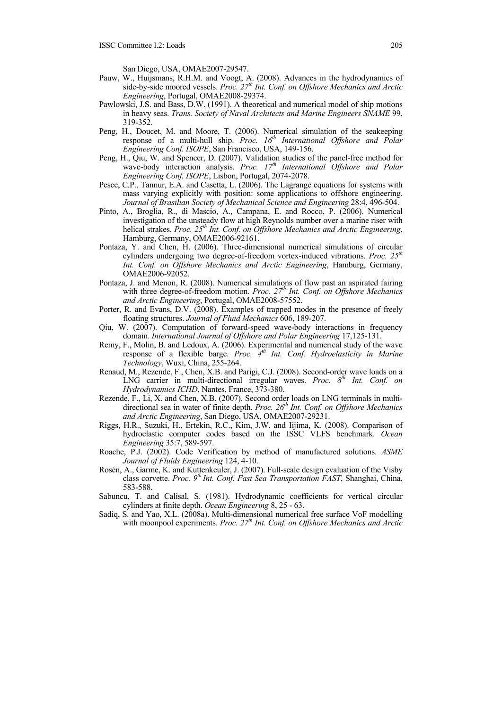San Diego, USA, OMAE2007-29547.

- Pauw, W., Huijsmans, R.H.M. and Voogt, A. (2008). Advances in the hydrodynamics of side-by-side moored vessels. *Proc.* 27<sup>th</sup> Int. Conf. on Offshore Mechanics and Arctic *Engineering*, Portugal, OMAE2008-29374.
- Pawlowski, J.S. and Bass, D.W. (1991). A theoretical and numerical model of ship motions in heavy seas. *Trans. Society of Naval Architects and Marine Engineers SNAME* 99, 319-352.
- Peng, H., Doucet, M. and Moore, T. (2006). Numerical simulation of the seakeeping response of a multi-hull ship. *Proc. 16<sup>th</sup> International Offshore and Polar Engineering Conf. ISOPE*, San Francisco, USA, 149-156.
- Peng, H., Qiu, W. and Spencer, D. (2007). Validation studies of the panel-free method for wave-body interaction analysis. *Proc.* 17<sup>th</sup> International Offshore and Polar *Engineering Conf. ISOPE*, Lisbon, Portugal, 2074-2078.
- Pesce, C.P., Tannur, E.A. and Casetta, L. (2006). The Lagrange equations for systems with mass varying explicitly with position: some applications to offshore engineering. *Journal of Brasilian Society of Mechanical Science and Engineering* 28:4, 496-504.
- Pinto, A., Broglia, R., di Mascio, A., Campana, E. and Rocco, P. (2006). Numerical investigation of the unsteady flow at high Reynolds number over a marine riser with helical strakes. *Proc. 25th Int. Conf. on Offshore Mechanics and Arctic Engineering*, Hamburg, Germany, OMAE2006-92161.
- Pontaza, Y. and Chen, H. (2006). Three-dimensional numerical simulations of circular cylinders undergoing two degree-of-freedom vortex-induced vibrations. *Proc.* 25<sup>th</sup> *Int. Conf. on Offshore Mechanics and Arctic Engineering*, Hamburg, Germany, OMAE2006-92052.
- Pontaza, J. and Menon, R. (2008). Numerical simulations of flow past an aspirated fairing with three degree-of-freedom motion. *Proc. 27<sup>th</sup> Int. Conf. on Offshore Mechanics and Arctic Engineering*, Portugal, OMAE2008-57552.
- Porter, R. and Evans, D.V. (2008). Examples of trapped modes in the presence of freely floating structures. *Journal of Fluid Mechanics* 606, 189-207.
- Qiu, W. (2007). Computation of forward-speed wave-body interactions in frequency domain. *International Journal of Offshore and Polar Engineering* 17,125-131.
- Remy, F., Molin, B. and Ledoux, A. (2006). Experimental and numerical study of the wave response of a flexible barge. *Proc. 4th Int. Conf. Hydroelasticity in Marine Technology*, Wuxi, China, 255-264.
- Renaud, M., Rezende, F., Chen, X.B. and Parigi, C.J. (2008). Second-order wave loads on a LNG carrier in multi-directional irregular waves. *Proc.*  $8<sup>th</sup>$  *Int.* Conf. on *Hydrodynamics ICHD*, Nantes, France, 373-380.
- Rezende, F., Li, X. and Chen, X.B. (2007). Second order loads on LNG terminals in multidirectional sea in water of finite depth. *Proc.* 26<sup>th</sup> Int. Conf. on Offshore Mechanics *and Arctic Engineering*, San Diego, USA, OMAE2007-29231.
- Riggs, H.R., Suzuki, H., Ertekin, R.C., Kim, J.W. and Iijima, K. (2008). Comparison of hydroelastic computer codes based on the ISSC VLFS benchmark. *Ocean Engineering* 35:7, 589-597.
- Roache, P.J. (2002). Code Verification by method of manufactured solutions. *ASME Journal of Fluids Engineering* 124, 4-10.
- Rosén, A., Garme, K. and Kuttenkeuler, J. (2007). Full-scale design evaluation of the Visby class corvette. *Proc. 9th Int. Conf. Fast Sea Transportation FAST*, Shanghai, China, 583-588.
- Sabuncu, T. and Calisal, S. (1981). Hydrodynamic coefficients for vertical circular cylinders at finite depth. *Ocean Engineering* 8, 25 - 63.
- Sadiq, S. and Yao, X.L. (2008a). Multi-dimensional numerical free surface VoF modelling with moonpool experiments. *Proc. 27<sup>th</sup> Int. Conf. on Offshore Mechanics and Arctic*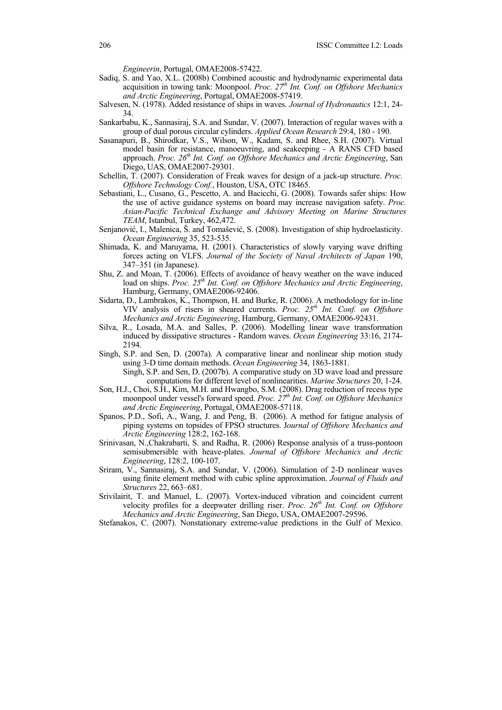*Engineerin*, Portugal, OMAE2008-57422.

- Sadiq, S. and Yao, X.L. (2008b) Combined acoustic and hydrodynamic experimental data acquisition in towing tank: Moonpool. *Proc. 27<sup>th</sup> Int. Conf. on Offshore Mechanics and Arctic Engineering*, Portugal, OMAE2008-57419.
- Salvesen, N. (1978). Added resistance of ships in waves. *Journal of Hydronautics* 12:1, 24- 34.
- Sankarbabu, K., Sannasiraj, S.A. and Sundar, V. (2007). Interaction of regular waves with a group of dual porous circular cylinders. *Applied Ocean Research* 29:4, 180 - 190.
- Sasanapuri, B., Shirodkar, V.S., Wilson, W., Kadam, S. and Rhee, S.H. (2007). Virtual model basin for resistance, manoeuvring, and seakeeping - A RANS CFD based approach. *Proc.* 26<sup>th</sup> Int. Conf. on Offshore Mechanics and Arctic Engineering, San Diego, UAS, OMAE2007-29301.
- Schellin, T. (2007). Consideration of Freak waves for design of a jack-up structure. *Proc. Offshore Technology Conf.*, Houston, USA, OTC 18465.
- Sebastiani, L., Cusano, G., Pescetto, A. and Bacicchi, G. (2008). Towards safer ships: How the use of active guidance systems on board may increase navigation safety. *Proc. Asian-Pacific Technical Exchange and Advisory Meeting on Marine Structures TEAM*, Istanbul, Turkey, 462,472.
- Senjanović, I., Malenica, Š. and Tomašević, S. (2008). Investigation of ship hydroelasticity. *Ocean Engineering* 35, 523-535.
- Shimada, K. and Maruyama, H. (2001). Characteristics of slowly varying wave drifting forces acting on VLFS. *Journal of the Society of Naval Architects of Japan* 190, 347–351 (in Japanese).
- Shu, Z. and Moan, T. (2006). Effects of avoidance of heavy weather on the wave induced load on ships. *Proc.* 25<sup>th</sup> Int. Conf. on Offshore Mechanics and Arctic Engineering, Hamburg, Germany, OMAE2006-92406.
- Sidarta, D., Lambrakos, K., Thompson, H. and Burke, R. (2006). A methodology for in-line VIV analysis of risers in sheared currents. *Proc. 25th Int. Conf. on Offshore Mechanics and Arctic Engineering*, Hamburg, Germany, OMAE2006-92431.
- Silva, R., Losada, M.A. and Salles, P. (2006). Modelling linear wave transformation induced by dissipative structures - Random waves. *Ocean Engineering* 33:16, 2174- 2194.
- Singh, S.P. and Sen, D. (2007a). A comparative linear and nonlinear ship motion study using 3-D time domain methods. *Ocean Engineering* 34, 1863-1881.
	- Singh, S.P. and Sen, D. (2007b). A comparative study on 3D wave load and pressure computations for different level of nonlinearities. *Marine Structures* 20, 1-24.
- Son, H.J., Choi, S.H., Kim, M.H. and Hwangbo, S.M. (2008). Drag reduction of recess type moonpool under vessel's forward speed. *Proc.*  $27<sup>th</sup>$  *Int. Conf. on Offshore Mechanics and Arctic Engineering*, Portugal, OMAE2008-57118.
- Spanos, P.D., Sofi, A., Wang, J. and Peng, B. (2006). A method for fatigue analysis of piping systems on topsides of FPSO structures. J*ournal of Offshore Mechanics and Arctic Engineering* 128:2, 162-168.
- Srinivasan, N.,Chakrabarti, S. and Radha, R. (2006) Response analysis of a truss-pontoon semisubmersible with heave-plates. *Journal of Offshore Mechanics and Arctic Engineering*, 128:2, 100-107.
- Sriram, V., Sannasiraj, S.A. and Sundar, V. (2006). Simulation of 2-D nonlinear waves using finite element method with cubic spline approximation. *Journal of Fluids and Structures* 22, 663–681.
- Srivilairit, T. and Manuel, L. (2007). Vortex-induced vibration and coincident current velocity profiles for a deepwater drilling riser. *Proc. 26<sup>th</sup> Int. Conf. on Offshore Mechanics and Arctic Engineering*, San Diego, USA, OMAE2007-29596.
- Stefanakos, C. (2007). Nonstationary extreme-value predictions in the Gulf of Mexico.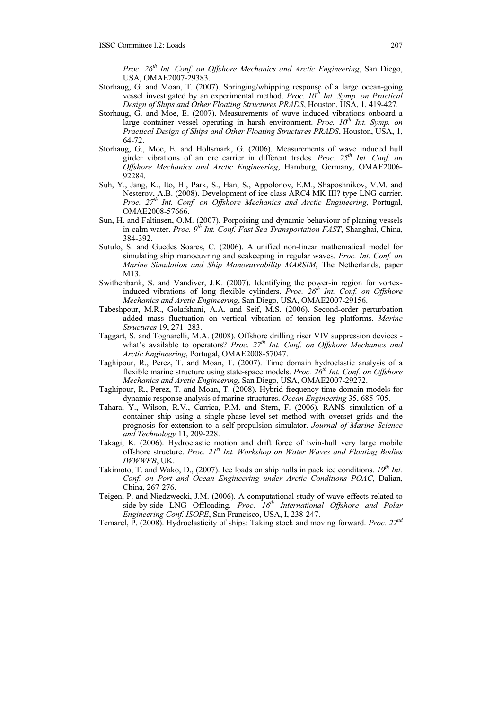*Proc. 26th Int. Conf. on Offshore Mechanics and Arctic Engineering*, San Diego, USA, OMAE2007-29383.

- Storhaug, G. and Moan, T. (2007). Springing/whipping response of a large ocean-going vessel investigated by an experimental method. *Proc. 10<sup>th</sup> Int. Symp. on Practical Design of Ships and Other Floating Structures PRADS*, Houston, USA, 1, 419-427*.*
- Storhaug, G. and Moe, E. (2007). Measurements of wave induced vibrations onboard a large container vessel operating in harsh environment. *Proc. 10<sup>th</sup> Int. Symp. on Practical Design of Ships and Other Floating Structures PRADS*, Houston, USA, 1, 64-72.
- Storhaug, G., Moe, E. and Holtsmark, G. (2006). Measurements of wave induced hull girder vibrations of an ore carrier in different trades. *Proc. 25th Int. Conf. on Offshore Mechanics and Arctic Engineering*, Hamburg, Germany, OMAE2006- 92284.
- Suh, Y., Jang, K., Ito, H., Park, S., Han, S., Appolonov, E.M., Shaposhnikov, V.M. and Nesterov, A.B. (2008). Development of ice class ARC4 MK III? type LNG carrier. *Proc. 27th Int. Conf. on Offshore Mechanics and Arctic Engineering*, Portugal, OMAE2008-57666.
- Sun, H. and Faltinsen, O.M. (2007). Porpoising and dynamic behaviour of planing vessels in calm water. *Proc.* 9<sup>th</sup> Int. Conf. Fast Sea Transportation FAST, Shanghai, China, 384-392.
- Sutulo, S. and Guedes Soares, C. (2006). A unified non-linear mathematical model for simulating ship manoeuvring and seakeeping in regular waves. *Proc. Int. Conf. on Marine Simulation and Ship Manoeuvrability MARSIM*, The Netherlands, paper M13.
- Swithenbank, S. and Vandiver, J.K. (2007). Identifying the power-in region for vortexinduced vibrations of long flexible cylinders. *Proc.* 26<sup>th</sup> Int. Conf. on Offshore *Mechanics and Arctic Engineering*, San Diego, USA, OMAE2007-29156.
- Tabeshpour, M.R., Golafshani, A.A. and Seif, M.S. (2006). Second-order perturbation added mass fluctuation on vertical vibration of tension leg platforms. *Marine Structures* 19, 271–283.
- Taggart, S. and Tognarelli, M.A. (2008). Offshore drilling riser VIV suppression devices what's available to operators? *Proc.*  $27<sup>th</sup>$  *Int. Conf. on Offshore Mechanics and Arctic Engineering*, Portugal, OMAE2008-57047.
- Taghipour, R., Perez, T. and Moan, T. (2007). Time domain hydroelastic analysis of a flexible marine structure using state-space models. *Proc.* 26<sup>th</sup> Int. Conf. on Offshore *Mechanics and Arctic Engineering*, San Diego, USA, OMAE2007-29272.
- Taghipour, R., Perez, T. and Moan, T. (2008). Hybrid frequency-time domain models for dynamic response analysis of marine structures. *Ocean Engineering* 35, 685-705.
- Tahara, Y., Wilson, R.V., Carrica, P.M. and Stern, F. (2006). RANS simulation of a container ship using a single-phase level-set method with overset grids and the prognosis for extension to a self-propulsion simulator. *Journal of Marine Science and Technology* 11, 209-228.
- Takagi, K. (2006). Hydroelastic motion and drift force of twin-hull very large mobile offshore structure. *Proc. 21st Int. Workshop on Water Waves and Floating Bodies IWWWFB*, UK.
- Takimoto, T. and Wako, D., (2007). Ice loads on ship hulls in pack ice conditions. 19<sup>th</sup> Int. *Conf. on Port and Ocean Engineering under Arctic Conditions POAC*, Dalian, China, 267-276.
- Teigen, P. and Niedzwecki, J.M. (2006). A computational study of wave effects related to side-by-side LNG Offloading. *Proc.* 16<sup>th</sup> International Offshore and Polar *Engineering Conf. ISOPE*, San Francisco, USA, I, 238-247.
- Temarel, P. (2008). Hydroelasticity of ships: Taking stock and moving forward. *Proc. 22nd*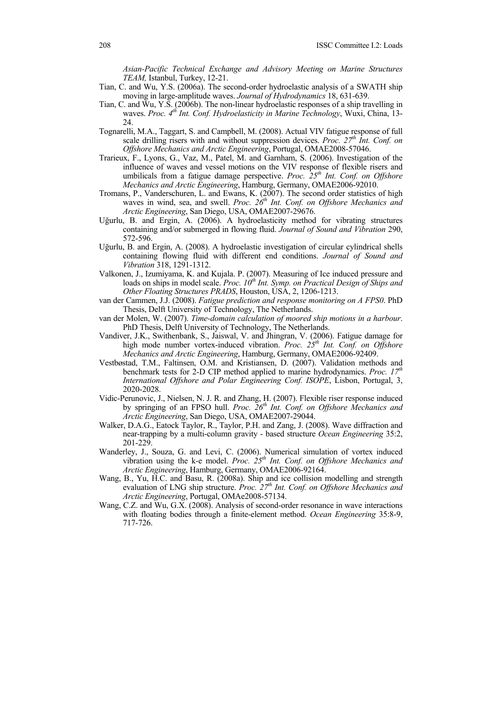*Asian-Pacific Technical Exchange and Advisory Meeting on Marine Structures TEAM,* Istanbul, Turkey, 12-21.

- Tian, C. and Wu, Y.S. (2006a). The second-order hydroelastic analysis of a SWATH ship moving in large-amplitude waves. *Journal of Hydrodynamics* 18, 631-639.
- Tian, C. and Wu, Y.S. (2006b). The non-linear hydroelastic responses of a ship travelling in waves. *Proc.* 4<sup>th</sup> Int. Conf. *Hydroelasticity in Marine Technology*, Wuxi, China, 13-24.
- Tognarelli, M.A., Taggart, S. and Campbell, M. (2008). Actual VIV fatigue response of full scale drilling risers with and without suppression devices. *Proc. 27th Int. Conf. on Offshore Mechanics and Arctic Engineering*, Portugal, OMAE2008-57046.
- Trarieux, F., Lyons, G., Vaz, M., Patel, M. and Garnham, S. (2006). Investigation of the influence of waves and vessel motions on the VIV response of flexible risers and umbilicals from a fatigue damage perspective. *Proc.* 25<sup>th</sup> Int. Conf. on Offshore *Mechanics and Arctic Engineering*, Hamburg, Germany, OMAE2006-92010.
- Tromans, P., Vanderschuren, L. and Ewans, K. (2007). The second order statistics of high waves in wind, sea, and swell. *Proc. 26<sup>th</sup> Int. Conf. on Offshore Mechanics and Arctic Engineering*, San Diego, USA, OMAE2007-29676.
- Uğurlu, B. and Ergin, A. (2006). A hydroelasticity method for vibrating structures containing and/or submerged in flowing fluid. *Journal of Sound and Vibration* 290, 572-596.
- Uğurlu, B. and Ergin, A. (2008). A hydroelastic investigation of circular cylindrical shells containing flowing fluid with different end conditions. *Journal of Sound and Vibration* 318, 1291-1312.
- Valkonen, J., Izumiyama, K. and Kujala. P. (2007). Measuring of Ice induced pressure and loads on ships in model scale. *Proc. 10<sup>th</sup> Int. Symp. on Practical Design of Ships and Other Floating Structures PRADS*, Houston, USA, 2, 1206-1213.
- van der Cammen, J.J. (2008). *Fatigue prediction and response monitoring on A FPS0*. PhD Thesis, Delft University of Technology, The Netherlands.
- van der Molen, W. (2007). *Time-domain calculation of moored ship motions in a harbour*. PhD Thesis, Delft University of Technology, The Netherlands.
- Vandiver, J.K., Swithenbank, S., Jaiswal, V. and Jhingran, V. (2006). Fatigue damage for high mode number vortex-induced vibration. *Proc.* 25<sup>th</sup> Int. Conf. on Offshore *Mechanics and Arctic Engineering*, Hamburg, Germany, OMAE2006-92409.
- Vestbøstad, T.M., Faltinsen, O.M. and Kristiansen, D. (2007). Validation methods and benchmark tests for 2-D CIP method applied to marine hydrodynamics. *Proc. 17th International Offshore and Polar Engineering Conf. ISOPE*, Lisbon, Portugal, 3, 2020-2028.
- Vidic-Perunovic, J., Nielsen, N. J. R. and Zhang, H. (2007). Flexible riser response induced by springing of an FPSO hull. *Proc.* 26<sup>th</sup> Int. Conf. on Offshore Mechanics and *Arctic Engineering*, San Diego, USA, OMAE2007-29044.
- Walker, D.A.G., Eatock Taylor, R., Taylor, P.H. and Zang, J. (2008). Wave diffraction and near-trapping by a multi-column gravity - based structure *Ocean Engineering* 35:2, 201-229.
- Wanderley, J., Souza, G. and Levi, C. (2006). Numerical simulation of vortex induced vibration using the k-e model. *Proc. 25th Int. Conf. on Offshore Mechanics and Arctic Engineering*, Hamburg, Germany, OMAE2006-92164.
- Wang, B., Yu, H.C. and Basu, R. (2008a). Ship and ice collision modelling and strength evaluation of LNG ship structure. *Proc. 27th Int. Conf. on Offshore Mechanics and Arctic Engineering*, Portugal, OMAe2008-57134.
- Wang, C.Z. and Wu, G.X. (2008). Analysis of second-order resonance in wave interactions with floating bodies through a finite-element method. *Ocean Engineering* 35:8-9, 717-726.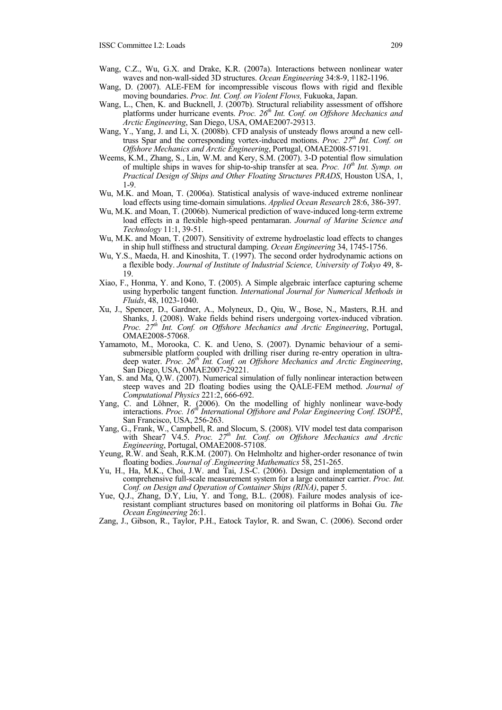- Wang, C.Z., Wu, G.X. and Drake, K.R. (2007a). Interactions between nonlinear water waves and non-wall-sided 3D structures. *Ocean Engineering* 34:8-9, 1182-1196.
- Wang, D. (2007). ALE-FEM for incompressible viscous flows with rigid and flexible moving boundaries. *Proc. Int. Conf. on Violent Flows,* Fukuoka, Japan.
- Wang, L., Chen, K. and Bucknell, J. (2007b). Structural reliability assessment of offshore platforms under hurricane events. *Proc. 26<sup>th</sup> Int. Conf. on Offshore Mechanics and Arctic Engineering*, San Diego, USA, OMAE2007-29313.
- Wang, Y., Yang, J. and Li, X. (2008b). CFD analysis of unsteady flows around a new celltruss Spar and the corresponding vortex-induced motions. *Proc.* 27<sup>th</sup> Int. Conf. on *Offshore Mechanics and Arctic Engineering*, Portugal, OMAE2008-57191.
- Weems, K.M., Zhang, S., Lin, W.M. and Kery, S.M. (2007). 3-D potential flow simulation of multiple ships in waves for ship-to-ship transfer at sea. *Proc.*  $10^{th}$  *Int. Symp. on Practical Design of Ships and Other Floating Structures PRADS*, Houston USA, 1, 1-9.
- Wu, M.K. and Moan, T. (2006a). Statistical analysis of wave-induced extreme nonlinear load effects using time-domain simulations. *Applied Ocean Research* 28:6, 386-397.
- Wu, M.K. and Moan, T. (2006b). Numerical prediction of wave-induced long-term extreme load effects in a flexible high-speed pentamaran. *Journal of Marine Science and Technology* 11:1, 39-51.
- Wu, M.K. and Moan, T. (2007). Sensitivity of extreme hydroelastic load effects to changes in ship hull stiffness and structural damping. *Ocean Engineering* 34, 1745-1756.
- Wu, Y.S., Maeda, H. and Kinoshita, T. (1997). The second order hydrodynamic actions on a flexible body. *Journal of Institute of Industrial Science, University of Tokyo* 49, 8- 19.
- Xiao, F., Honma, Y. and Kono, T. (2005). A Simple algebraic interface capturing scheme using hyperbolic tangent function. *International Journal for Numerical Methods in Fluids*, 48, 1023-1040.
- Xu, J., Spencer, D., Gardner, A., Molyneux, D., Qiu, W., Bose, N., Masters, R.H. and Shanks, J. (2008). Wake fields behind risers undergoing vortex-induced vibration. *Proc. 27th Int. Conf. on Offshore Mechanics and Arctic Engineering*, Portugal, OMAE2008-57068.
- Yamamoto, M., Morooka, C. K. and Ueno, S. (2007). Dynamic behaviour of a semisubmersible platform coupled with drilling riser during re-entry operation in ultradeep water. *Proc. 26<sup>th</sup> Int. Conf. on Offshore Mechanics and Arctic Engineering*, San Diego, USA, OMAE2007-29221.
- Yan, S. and Ma, Q.W. (2007). Numerical simulation of fully nonlinear interaction between steep waves and 2D floating bodies using the QALE-FEM method. *Journal of Computational Physics* 221:2, 666-692.
- Yang, C. and Löhner, R. (2006). On the modelling of highly nonlinear wave-body interactions. *Proc. 16th International Offshore and Polar Engineering Conf. ISOPE*, San Francisco, USA, 256-263.
- Yang, G., Frank, W., Campbell, R. and Slocum, S. (2008). VIV model test data comparison with Shear7 V4.5. *Proc.* 27<sup>th</sup> Int. Conf. on Offshore Mechanics and Arctic *Engineering*, Portugal, OMAE2008-57108.
- Yeung, R.W. and Seah, R.K.M. (2007). On Helmholtz and higher-order resonance of twin floating bodies. *Journal of .Engineering Mathematics* 58, 251-265.
- Yu, H., Ha, M.K., Choi, J.W. and Tai, J.S-C. (2006). Design and implementation of a comprehensive full-scale measurement system for a large container carrier. *Proc. Int. Conf. on Design and Operation of Container Ships (RINA)*, paper 5.
- Yue, Q.J., Zhang, D.Y, Liu, Y. and Tong, B.L. (2008). Failure modes analysis of iceresistant compliant structures based on monitoring oil platforms in Bohai Gu. *The Ocean Engineering* 26:1.
- Zang, J., Gibson, R., Taylor, P.H., Eatock Taylor, R. and Swan, C. (2006). Second order